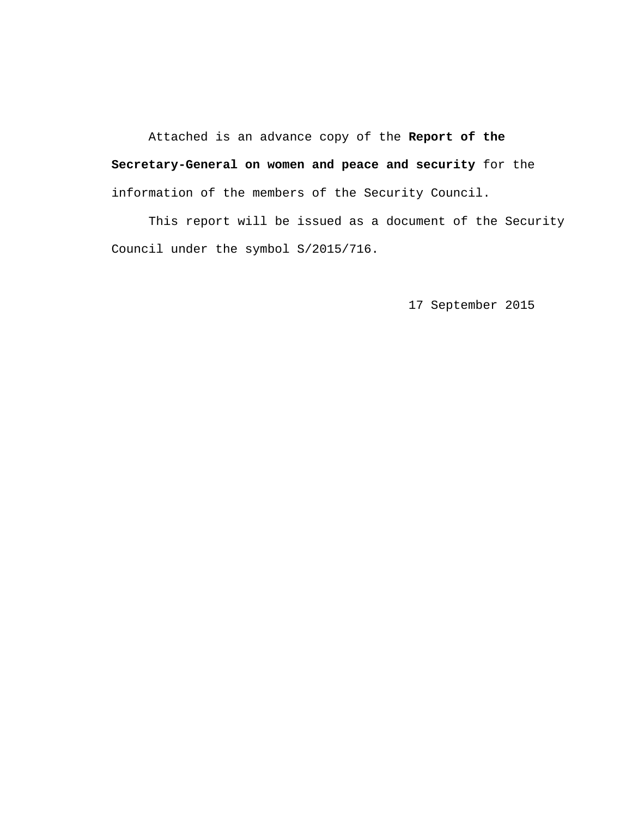Attached is an advance copy of the **Report of the Secretary-General on women and peace and security** for the information of the members of the Security Council.

 This report will be issued as a document of the Security Council under the symbol S/2015/716.

17 September 2015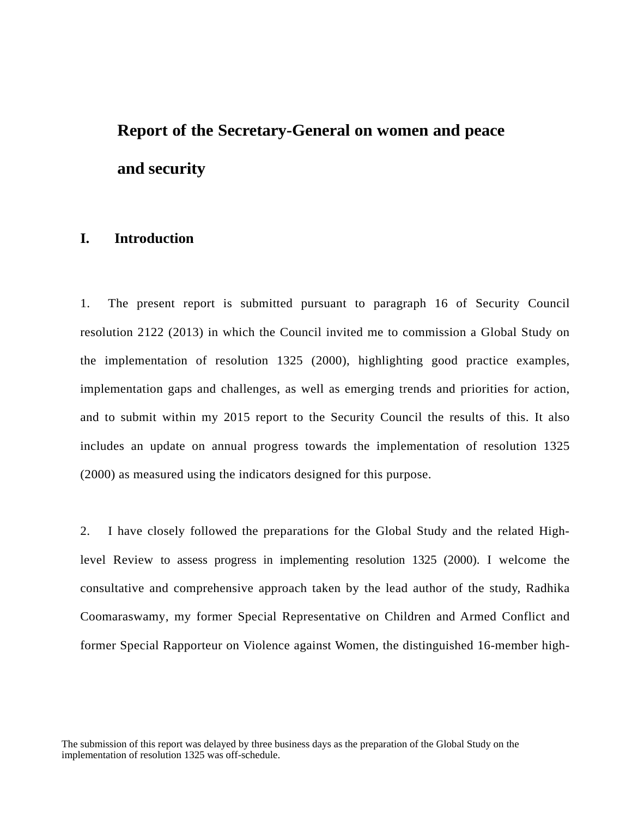# **Report of the Secretary-General on women and peace and security**

### **I. Introduction**

1. The present report is submitted pursuant to paragraph 16 of Security Council resolution 2122 (2013) in which the Council invited me to commission a Global Study on the implementation of resolution 1325 (2000), highlighting good practice examples, implementation gaps and challenges, as well as emerging trends and priorities for action, and to submit within my 2015 report to the Security Council the results of this. It also includes an update on annual progress towards the implementation of resolution 1325 (2000) as measured using the indicators designed for this purpose.

2. I have closely followed the preparations for the Global Study and the related Highlevel Review to assess progress in implementing resolution 1325 (2000). I welcome the consultative and comprehensive approach taken by the lead author of the study, Radhika Coomaraswamy, my former Special Representative on Children and Armed Conflict and former Special Rapporteur on Violence against Women, the distinguished 16-member high-

The submission of this report was delayed by three business days as the preparation of the Global Study on the implementation of resolution 1325 was off-schedule.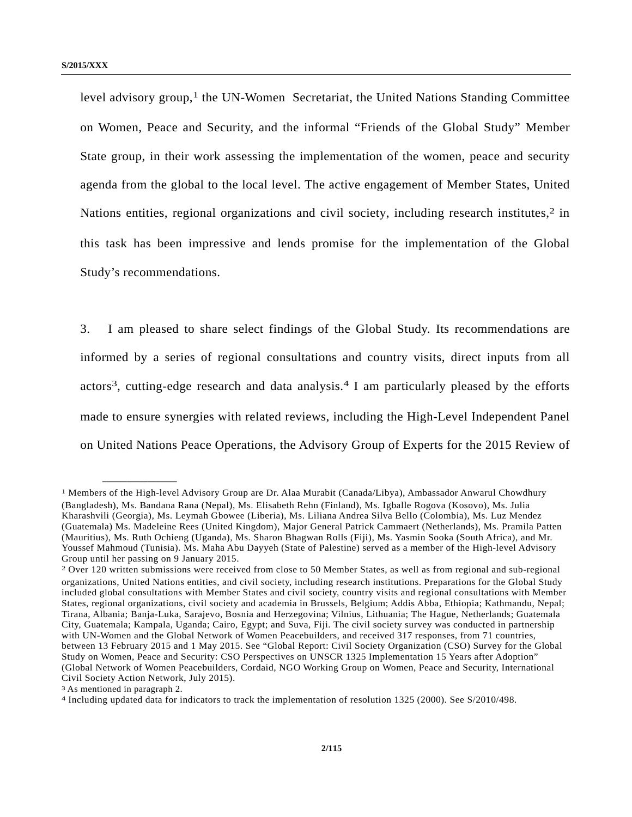level advisory group,<sup>1</sup> the UN-Women Secretariat, the United Nations Standing Committee on Women, Peace and Security, and the informal "Friends of the Global Study" Member State group, in their work assessing the implementation of the women, peace and security agenda from the global to the local level. The active engagement of Member States, United Nations entities, regional organizations and civil society, including research institutes, $2$  in this task has been impressive and lends promise for the implementation of the Global Study's recommendations.

3. I am pleased to share select findings of the Global Study. Its recommendations are informed by a series of regional consultations and country visits, direct inputs from all actors3, cutting-edge research and data analysis.4 I am particularly pleased by the efforts made to ensure synergies with related reviews, including the High-Level Independent Panel on United Nations Peace Operations, the Advisory Group of Experts for the 2015 Review of

<sup>1</sup> Members of the High-level Advisory Group are Dr. Alaa Murabit (Canada/Libya), Ambassador Anwarul Chowdhury (Bangladesh), Ms. Bandana Rana (Nepal), Ms. Elisabeth Rehn (Finland), Ms. Igballe Rogova (Kosovo), Ms. Julia Kharashvili (Georgia), Ms. Leymah Gbowee (Liberia), Ms. Liliana Andrea Silva Bello (Colombia), Ms. Luz Mendez (Guatemala) Ms. Madeleine Rees (United Kingdom), Major General Patrick Cammaert (Netherlands), Ms. Pramila Patten (Mauritius), Ms. Ruth Ochieng (Uganda), Ms. Sharon Bhagwan Rolls (Fiji), Ms. Yasmin Sooka (South Africa), and Mr. Youssef Mahmoud (Tunisia). Ms. Maha Abu Dayyeh (State of Palestine) served as a member of the High-level Advisory Group until her passing on 9 January 2015.

<sup>2</sup> Over 120 written submissions were received from close to 50 Member States, as well as from regional and sub-regional organizations, United Nations entities, and civil society, including research institutions. Preparations for the Global Study included global consultations with Member States and civil society, country visits and regional consultations with Member States, regional organizations, civil society and academia in Brussels, Belgium; Addis Abba, Ethiopia; Kathmandu, Nepal; Tirana, Albania; Banja-Luka, Sarajevo, Bosnia and Herzegovina; Vilnius, Lithuania; The Hague, Netherlands; Guatemala City, Guatemala; Kampala, Uganda; Cairo, Egypt; and Suva, Fiji. The civil society survey was conducted in partnership with UN-Women and the Global Network of Women Peacebuilders, and received 317 responses, from 71 countries, between 13 February 2015 and 1 May 2015. See "Global Report: Civil Society Organization (CSO) Survey for the Global Study on Women, Peace and Security: CSO Perspectives on UNSCR 1325 Implementation 15 Years after Adoption" (Global Network of Women Peacebuilders, Cordaid, NGO Working Group on Women, Peace and Security, International Civil Society Action Network, July 2015).

<sup>&</sup>lt;sup>3</sup> As mentioned in paragraph 2.<br><sup>4</sup> Including updated data for indicators to track the implementation of resolution 1325 (2000). See S/2010/498.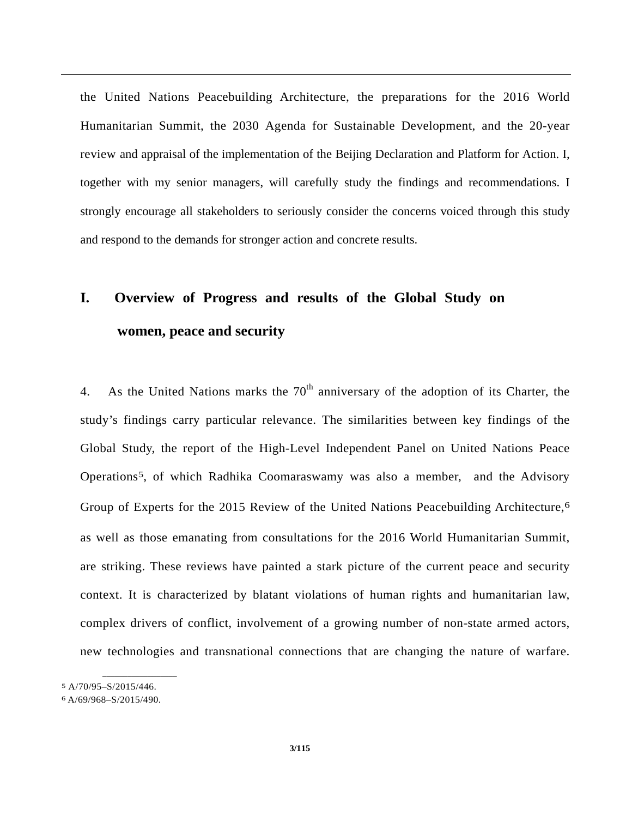the United Nations Peacebuilding Architecture, the preparations for the 2016 World Humanitarian Summit, the 2030 Agenda for Sustainable Development, and the 20-year review and appraisal of the implementation of the Beijing Declaration and Platform for Action. I, together with my senior managers, will carefully study the findings and recommendations. I strongly encourage all stakeholders to seriously consider the concerns voiced through this study and respond to the demands for stronger action and concrete results.

## **I. Overview of Progress and results of the Global Study on women, peace and security**

4. As the United Nations marks the  $70<sup>th</sup>$  anniversary of the adoption of its Charter, the study's findings carry particular relevance. The similarities between key findings of the Global Study, the report of the High-Level Independent Panel on United Nations Peace Operations5, of which Radhika Coomaraswamy was also a member, and the Advisory Group of Experts for the 2015 Review of the United Nations Peacebuilding Architecture,<sup>6</sup> as well as those emanating from consultations for the 2016 World Humanitarian Summit, are striking. These reviews have painted a stark picture of the current peace and security context. It is characterized by blatant violations of human rights and humanitarian law, complex drivers of conflict, involvement of a growing number of non-state armed actors, new technologies and transnational connections that are changing the nature of warfare.

<sup>5</sup> A/70/95–S/2015/446.

<sup>6</sup> A/69/968–S/2015/490.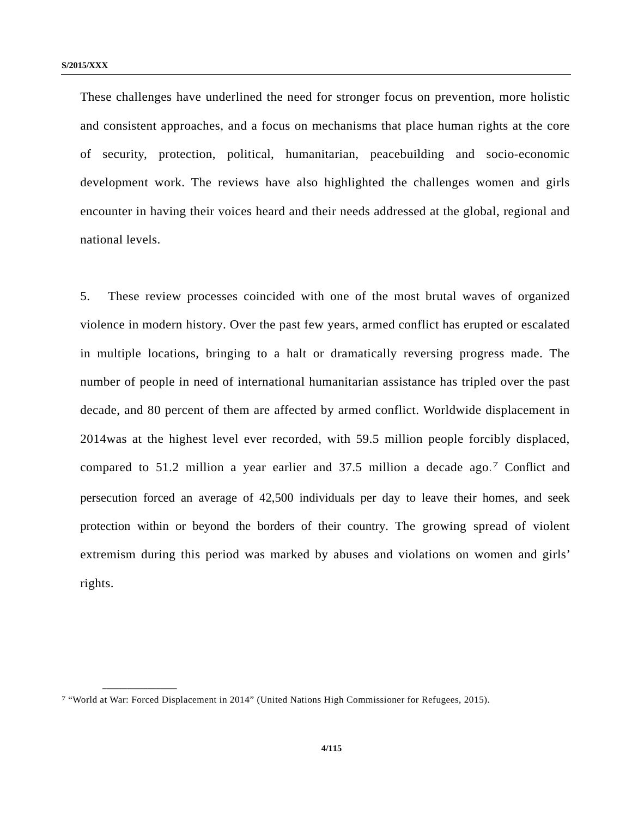These challenges have underlined the need for stronger focus on prevention, more holistic and consistent approaches, and a focus on mechanisms that place human rights at the core of security, protection, political, humanitarian, peacebuilding and socio-economic development work. The reviews have also highlighted the challenges women and girls encounter in having their voices heard and their needs addressed at the global, regional and national levels.

5. These review processes coincided with one of the most brutal waves of organized violence in modern history. Over the past few years, armed conflict has erupted or escalated in multiple locations, bringing to a halt or dramatically reversing progress made. The number of people in need of international humanitarian assistance has tripled over the past decade, and 80 percent of them are affected by armed conflict. Worldwide displacement in 2014was at the highest level ever recorded, with 59.5 million people forcibly displaced, compared to 51.2 million a year earlier and 37.5 million a decade ago.7 Conflict and persecution forced an average of 42,500 individuals per day to leave their homes, and seek protection within or beyond the borders of their country. The growing spread of violent extremism during this period was marked by abuses and violations on women and girls' rights.

<sup>7 &</sup>quot;World at War: Forced Displacement in 2014" (United Nations High Commissioner for Refugees, 2015).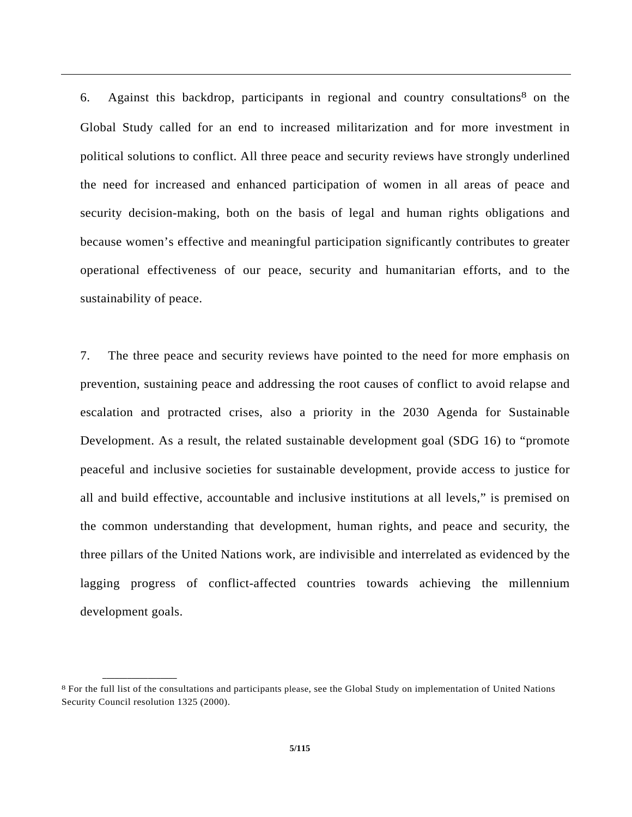6. Against this backdrop, participants in regional and country consultations8 on the Global Study called for an end to increased militarization and for more investment in political solutions to conflict. All three peace and security reviews have strongly underlined the need for increased and enhanced participation of women in all areas of peace and security decision-making, both on the basis of legal and human rights obligations and because women's effective and meaningful participation significantly contributes to greater operational effectiveness of our peace, security and humanitarian efforts, and to the sustainability of peace.

7. The three peace and security reviews have pointed to the need for more emphasis on prevention, sustaining peace and addressing the root causes of conflict to avoid relapse and escalation and protracted crises, also a priority in the 2030 Agenda for Sustainable Development. As a result, the related sustainable development goal (SDG 16) to "promote peaceful and inclusive societies for sustainable development, provide access to justice for all and build effective, accountable and inclusive institutions at all levels," is premised on the common understanding that development, human rights, and peace and security, the three pillars of the United Nations work, are indivisible and interrelated as evidenced by the lagging progress of conflict-affected countries towards achieving the millennium development goals.

<sup>8</sup> For the full list of the consultations and participants please, see the Global Study on implementation of United Nations Security Council resolution 1325 (2000).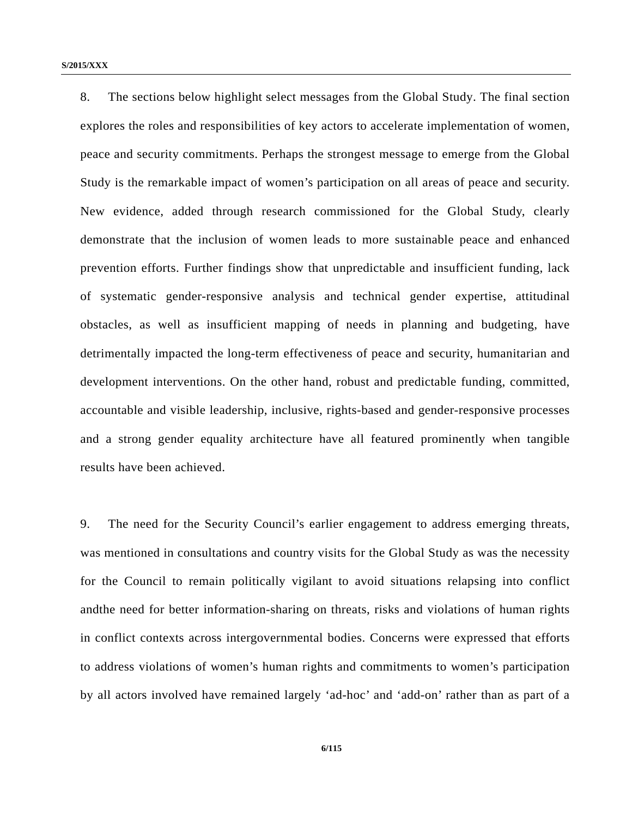8. The sections below highlight select messages from the Global Study. The final section explores the roles and responsibilities of key actors to accelerate implementation of women, peace and security commitments. Perhaps the strongest message to emerge from the Global Study is the remarkable impact of women's participation on all areas of peace and security. New evidence, added through research commissioned for the Global Study, clearly demonstrate that the inclusion of women leads to more sustainable peace and enhanced prevention efforts. Further findings show that unpredictable and insufficient funding, lack of systematic gender-responsive analysis and technical gender expertise, attitudinal obstacles, as well as insufficient mapping of needs in planning and budgeting, have detrimentally impacted the long-term effectiveness of peace and security, humanitarian and development interventions. On the other hand, robust and predictable funding, committed, accountable and visible leadership, inclusive, rights-based and gender-responsive processes and a strong gender equality architecture have all featured prominently when tangible results have been achieved.

9. The need for the Security Council's earlier engagement to address emerging threats, was mentioned in consultations and country visits for the Global Study as was the necessity for the Council to remain politically vigilant to avoid situations relapsing into conflict andthe need for better information-sharing on threats, risks and violations of human rights in conflict contexts across intergovernmental bodies. Concerns were expressed that efforts to address violations of women's human rights and commitments to women's participation by all actors involved have remained largely 'ad-hoc' and 'add-on' rather than as part of a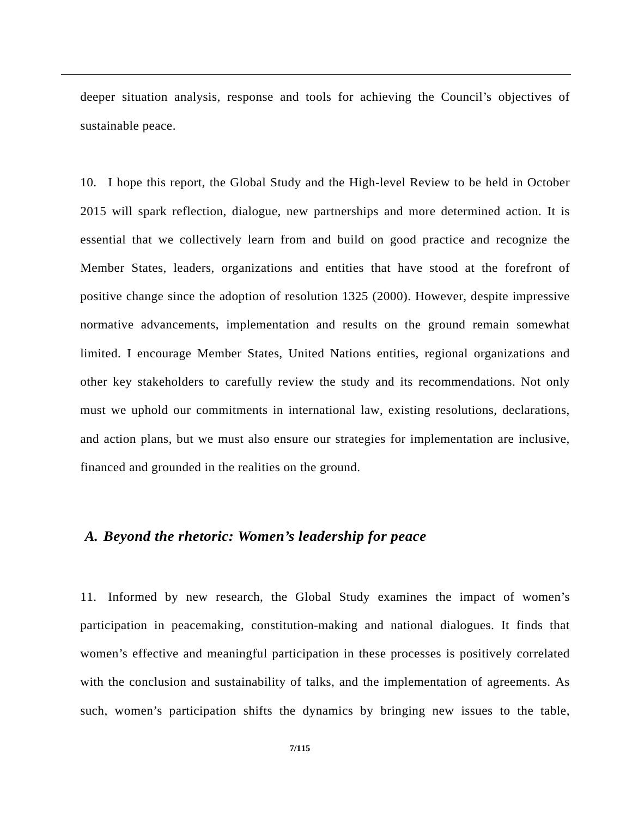deeper situation analysis, response and tools for achieving the Council's objectives of sustainable peace.

10. I hope this report, the Global Study and the High-level Review to be held in October 2015 will spark reflection, dialogue, new partnerships and more determined action. It is essential that we collectively learn from and build on good practice and recognize the Member States, leaders, organizations and entities that have stood at the forefront of positive change since the adoption of resolution 1325 (2000). However, despite impressive normative advancements, implementation and results on the ground remain somewhat limited. I encourage Member States, United Nations entities, regional organizations and other key stakeholders to carefully review the study and its recommendations. Not only must we uphold our commitments in international law, existing resolutions, declarations, and action plans, but we must also ensure our strategies for implementation are inclusive, financed and grounded in the realities on the ground.

## *A. Beyond the rhetoric: Women's leadership for peace*

11. Informed by new research, the Global Study examines the impact of women's participation in peacemaking, constitution-making and national dialogues. It finds that women's effective and meaningful participation in these processes is positively correlated with the conclusion and sustainability of talks, and the implementation of agreements. As such, women's participation shifts the dynamics by bringing new issues to the table,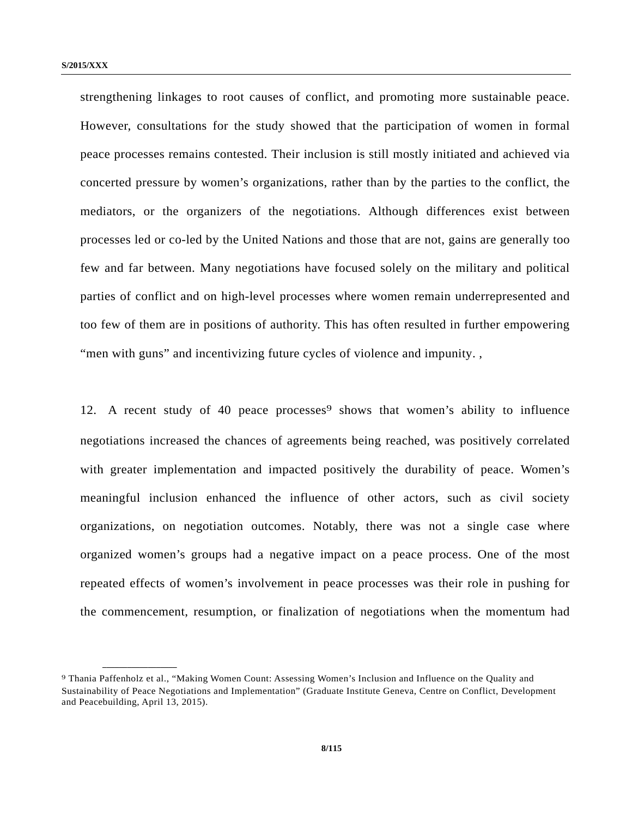strengthening linkages to root causes of conflict, and promoting more sustainable peace. However, consultations for the study showed that the participation of women in formal peace processes remains contested. Their inclusion is still mostly initiated and achieved via concerted pressure by women's organizations, rather than by the parties to the conflict, the mediators, or the organizers of the negotiations. Although differences exist between processes led or co-led by the United Nations and those that are not, gains are generally too few and far between. Many negotiations have focused solely on the military and political parties of conflict and on high-level processes where women remain underrepresented and too few of them are in positions of authority. This has often resulted in further empowering "men with guns" and incentivizing future cycles of violence and impunity. ,

12. A recent study of 40 peace processes<sup>9</sup> shows that women's ability to influence negotiations increased the chances of agreements being reached, was positively correlated with greater implementation and impacted positively the durability of peace. Women's meaningful inclusion enhanced the influence of other actors, such as civil society organizations, on negotiation outcomes. Notably, there was not a single case where organized women's groups had a negative impact on a peace process. One of the most repeated effects of women's involvement in peace processes was their role in pushing for the commencement, resumption, or finalization of negotiations when the momentum had

<sup>9</sup> Thania Paffenholz et al., "Making Women Count: Assessing Women's Inclusion and Influence on the Quality and Sustainability of Peace Negotiations and Implementation" (Graduate Institute Geneva, Centre on Conflict, Development and Peacebuilding, April 13, 2015).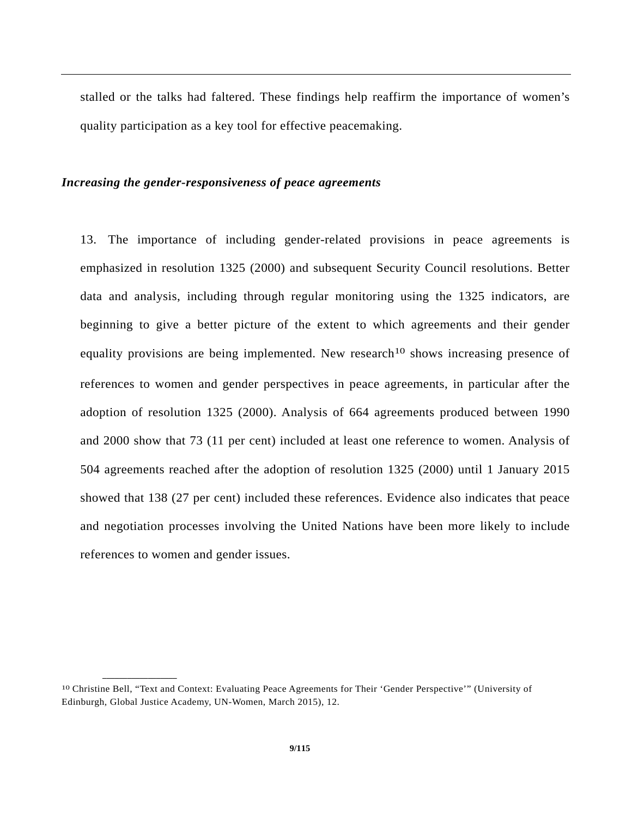stalled or the talks had faltered. These findings help reaffirm the importance of women's quality participation as a key tool for effective peacemaking.

#### *Increasing the gender-responsiveness of peace agreements*

13. The importance of including gender-related provisions in peace agreements is emphasized in resolution 1325 (2000) and subsequent Security Council resolutions. Better data and analysis, including through regular monitoring using the 1325 indicators, are beginning to give a better picture of the extent to which agreements and their gender equality provisions are being implemented. New research<sup>10</sup> shows increasing presence of references to women and gender perspectives in peace agreements, in particular after the adoption of resolution 1325 (2000). Analysis of 664 agreements produced between 1990 and 2000 show that 73 (11 per cent) included at least one reference to women. Analysis of 504 agreements reached after the adoption of resolution 1325 (2000) until 1 January 2015 showed that 138 (27 per cent) included these references. Evidence also indicates that peace and negotiation processes involving the United Nations have been more likely to include references to women and gender issues.

<sup>10</sup> Christine Bell, "Text and Context: Evaluating Peace Agreements for Their 'Gender Perspective'" (University of Edinburgh, Global Justice Academy, UN-Women, March 2015), 12.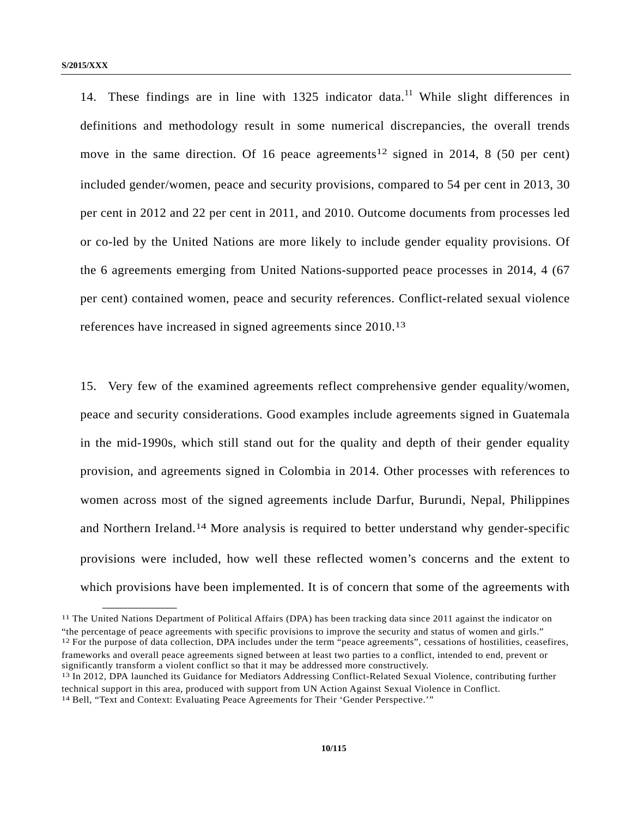**\_\_\_\_\_\_\_\_\_\_\_\_\_\_\_\_\_\_** 

14. These findings are in line with  $1325$  indicator data.<sup>11</sup> While slight differences in definitions and methodology result in some numerical discrepancies, the overall trends move in the same direction. Of 16 peace agreements<sup>12</sup> signed in 2014, 8 (50 per cent) included gender/women, peace and security provisions, compared to 54 per cent in 2013, 30 per cent in 2012 and 22 per cent in 2011, and 2010. Outcome documents from processes led or co-led by the United Nations are more likely to include gender equality provisions. Of the 6 agreements emerging from United Nations-supported peace processes in 2014, 4 (67 per cent) contained women, peace and security references. Conflict-related sexual violence references have increased in signed agreements since 2010.13

15. Very few of the examined agreements reflect comprehensive gender equality/women, peace and security considerations. Good examples include agreements signed in Guatemala in the mid-1990s, which still stand out for the quality and depth of their gender equality provision, and agreements signed in Colombia in 2014. Other processes with references to women across most of the signed agreements include Darfur, Burundi, Nepal, Philippines and Northern Ireland.14 More analysis is required to better understand why gender-specific provisions were included, how well these reflected women's concerns and the extent to which provisions have been implemented. It is of concern that some of the agreements with

<sup>11</sup> The United Nations Department of Political Affairs (DPA) has been tracking data since 2011 against the indicator on "the percentage of peace agreements with specific provisions to improve the security and status of women and girls."<br><sup>12</sup> For the purpose of data collection, DPA includes under the term "peace agreements", cessations of ho frameworks and overall peace agreements signed between at least two parties to a conflict, intended to end, prevent or significantly transform a violent conflict so that it may be addressed more constructively.<br><sup>13</sup> In 2012, DPA launched its Guidance for Mediators Addressing Conflict-Related Sexual Violence, contributing further

technical support in this area, produced with support from UN Action Against Sexual Violence in Conflict. 14 Bell, "Text and Context: Evaluating Peace Agreements for Their 'Gender Perspective.'"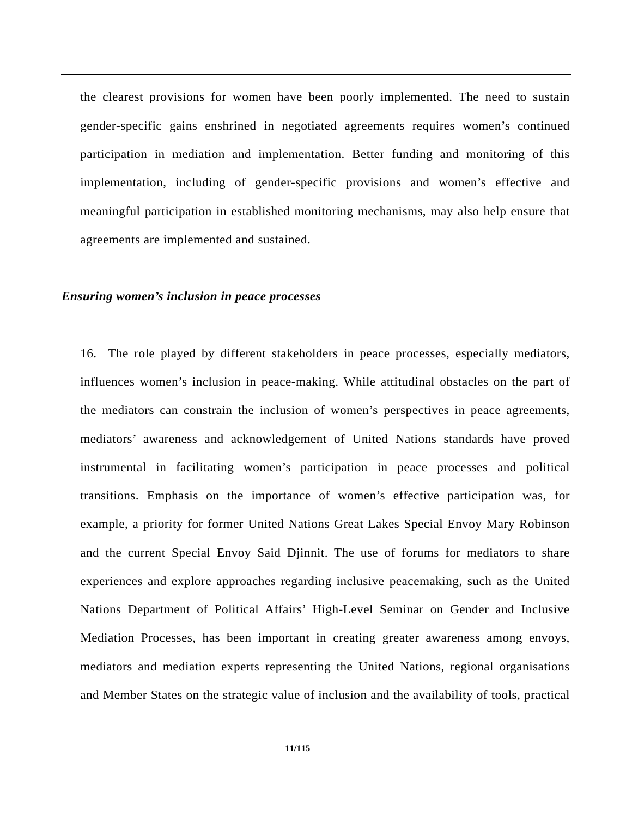the clearest provisions for women have been poorly implemented. The need to sustain gender-specific gains enshrined in negotiated agreements requires women's continued participation in mediation and implementation. Better funding and monitoring of this implementation, including of gender-specific provisions and women's effective and meaningful participation in established monitoring mechanisms, may also help ensure that agreements are implemented and sustained.

#### *Ensuring women's inclusion in peace processes*

16. The role played by different stakeholders in peace processes, especially mediators, influences women's inclusion in peace-making. While attitudinal obstacles on the part of the mediators can constrain the inclusion of women's perspectives in peace agreements, mediators' awareness and acknowledgement of United Nations standards have proved instrumental in facilitating women's participation in peace processes and political transitions. Emphasis on the importance of women's effective participation was, for example, a priority for former United Nations Great Lakes Special Envoy Mary Robinson and the current Special Envoy Said Djinnit. The use of forums for mediators to share experiences and explore approaches regarding inclusive peacemaking, such as the United Nations Department of Political Affairs' High-Level Seminar on Gender and Inclusive Mediation Processes, has been important in creating greater awareness among envoys, mediators and mediation experts representing the United Nations, regional organisations and Member States on the strategic value of inclusion and the availability of tools, practical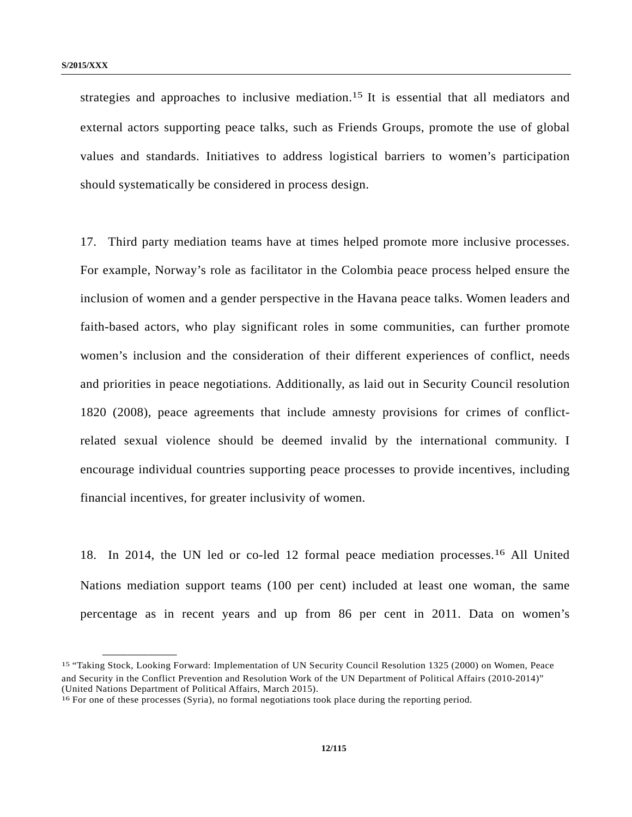strategies and approaches to inclusive mediation.15 It is essential that all mediators and external actors supporting peace talks, such as Friends Groups, promote the use of global values and standards. Initiatives to address logistical barriers to women's participation should systematically be considered in process design.

17. Third party mediation teams have at times helped promote more inclusive processes. For example, Norway's role as facilitator in the Colombia peace process helped ensure the inclusion of women and a gender perspective in the Havana peace talks. Women leaders and faith-based actors, who play significant roles in some communities, can further promote women's inclusion and the consideration of their different experiences of conflict, needs and priorities in peace negotiations. Additionally, as laid out in Security Council resolution 1820 (2008), peace agreements that include amnesty provisions for crimes of conflictrelated sexual violence should be deemed invalid by the international community. I encourage individual countries supporting peace processes to provide incentives, including financial incentives, for greater inclusivity of women.

18. In 2014, the UN led or co-led 12 formal peace mediation processes.16 All United Nations mediation support teams (100 per cent) included at least one woman, the same percentage as in recent years and up from 86 per cent in 2011. Data on women's

<sup>15 &</sup>quot;Taking Stock, Looking Forward: Implementation of UN Security Council Resolution 1325 (2000) on Women, Peace and Security in the Conflict Prevention and Resolution Work of the UN Department of Political Affairs (2010-2014)" (United Nations Department of Political Affairs, March 2015).

<sup>16</sup> For one of these processes (Syria), no formal negotiations took place during the reporting period.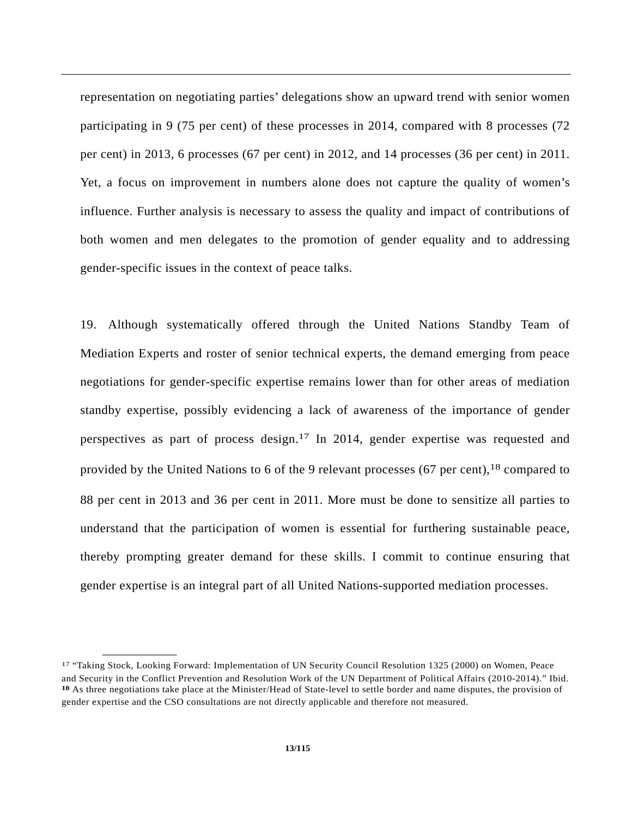representation on negotiating parties' delegations show an upward trend with senior women participating in 9 (75 per cent) of these processes in 2014, compared with 8 processes (72 per cent) in 2013, 6 processes (67 per cent) in 2012, and 14 processes (36 per cent) in 2011. Yet, a focus on improvement in numbers alone does not capture the quality of women's influence. Further analysis is necessary to assess the quality and impact of contributions of both women and men delegates to the promotion of gender equality and to addressing gender-specific issues in the context of peace talks.

19. Although systematically offered through the United Nations Standby Team of Mediation Experts and roster of senior technical experts, the demand emerging from peace negotiations for gender-specific expertise remains lower than for other areas of mediation standby expertise, possibly evidencing a lack of awareness of the importance of gender perspectives as part of process design.17 In 2014, gender expertise was requested and provided by the United Nations to 6 of the 9 relevant processes (67 per cent),<sup>18</sup> compared to 88 per cent in 2013 and 36 per cent in 2011. More must be done to sensitize all parties to understand that the participation of women is essential for furthering sustainable peace, thereby prompting greater demand for these skills. I commit to continue ensuring that gender expertise is an integral part of all United Nations-supported mediation processes.

<sup>17 &</sup>quot;Taking Stock, Looking Forward: Implementation of UN Security Council Resolution 1325 (2000) on Women, Peace and Security in the Conflict Prevention and Resolution Work of the UN Department of Political Affairs (2010-2014)." Ibid. **18** As three negotiations take place at the Minister/Head of State-level to settle border and name disputes, the provision of gender expertise and the CSO consultations are not directly applicable and therefore not measured.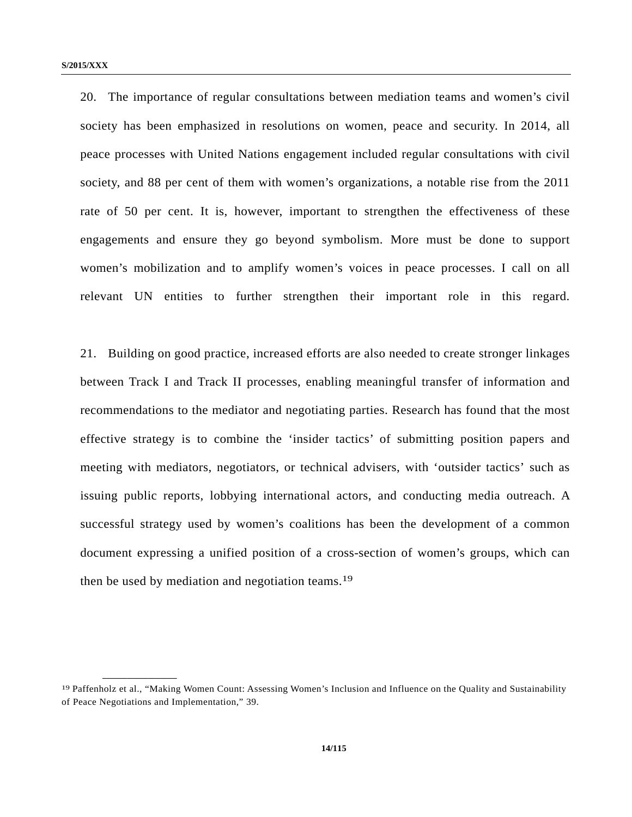20. The importance of regular consultations between mediation teams and women's civil society has been emphasized in resolutions on women, peace and security. In 2014, all peace processes with United Nations engagement included regular consultations with civil society, and 88 per cent of them with women's organizations, a notable rise from the 2011 rate of 50 per cent. It is, however, important to strengthen the effectiveness of these engagements and ensure they go beyond symbolism. More must be done to support women's mobilization and to amplify women's voices in peace processes. I call on all relevant UN entities to further strengthen their important role in this regard.

21. Building on good practice, increased efforts are also needed to create stronger linkages between Track I and Track II processes, enabling meaningful transfer of information and recommendations to the mediator and negotiating parties. Research has found that the most effective strategy is to combine the 'insider tactics' of submitting position papers and meeting with mediators, negotiators, or technical advisers, with 'outsider tactics' such as issuing public reports, lobbying international actors, and conducting media outreach. A successful strategy used by women's coalitions has been the development of a common document expressing a unified position of a cross-section of women's groups, which can then be used by mediation and negotiation teams.19

<sup>19</sup> Paffenholz et al., "Making Women Count: Assessing Women's Inclusion and Influence on the Quality and Sustainability of Peace Negotiations and Implementation," 39.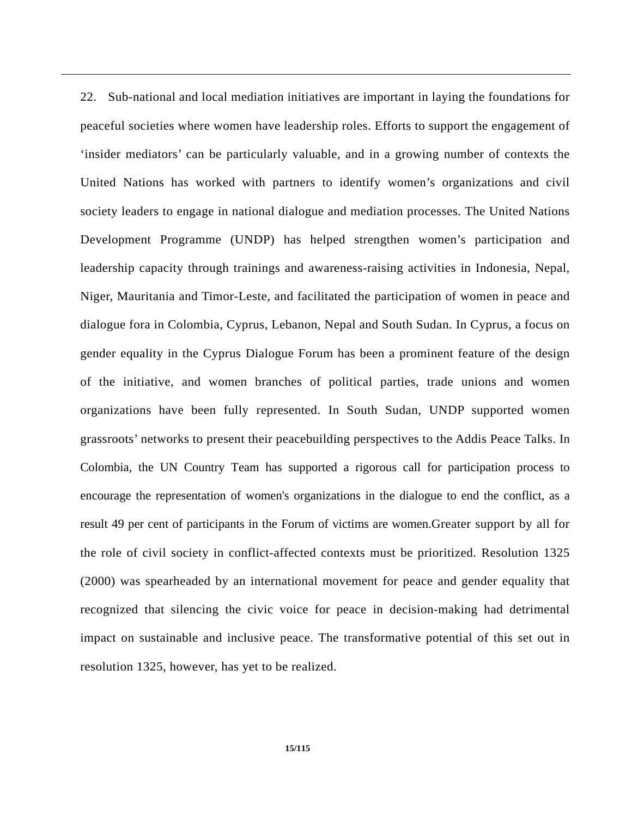22. Sub-national and local mediation initiatives are important in laying the foundations for peaceful societies where women have leadership roles. Efforts to support the engagement of 'insider mediators' can be particularly valuable, and in a growing number of contexts the United Nations has worked with partners to identify women's organizations and civil society leaders to engage in national dialogue and mediation processes. The United Nations Development Programme (UNDP) has helped strengthen women's participation and leadership capacity through trainings and awareness-raising activities in Indonesia, Nepal, Niger, Mauritania and Timor-Leste, and facilitated the participation of women in peace and dialogue fora in Colombia, Cyprus, Lebanon, Nepal and South Sudan. In Cyprus, a focus on gender equality in the Cyprus Dialogue Forum has been a prominent feature of the design of the initiative, and women branches of political parties, trade unions and women organizations have been fully represented. In South Sudan, UNDP supported women grassroots' networks to present their peacebuilding perspectives to the Addis Peace Talks. In Colombia, the UN Country Team has supported a rigorous call for participation process to encourage the representation of women's organizations in the dialogue to end the conflict, as a result 49 per cent of participants in the Forum of victims are women.Greater support by all for the role of civil society in conflict-affected contexts must be prioritized. Resolution 1325 (2000) was spearheaded by an international movement for peace and gender equality that recognized that silencing the civic voice for peace in decision-making had detrimental impact on sustainable and inclusive peace. The transformative potential of this set out in resolution 1325, however, has yet to be realized.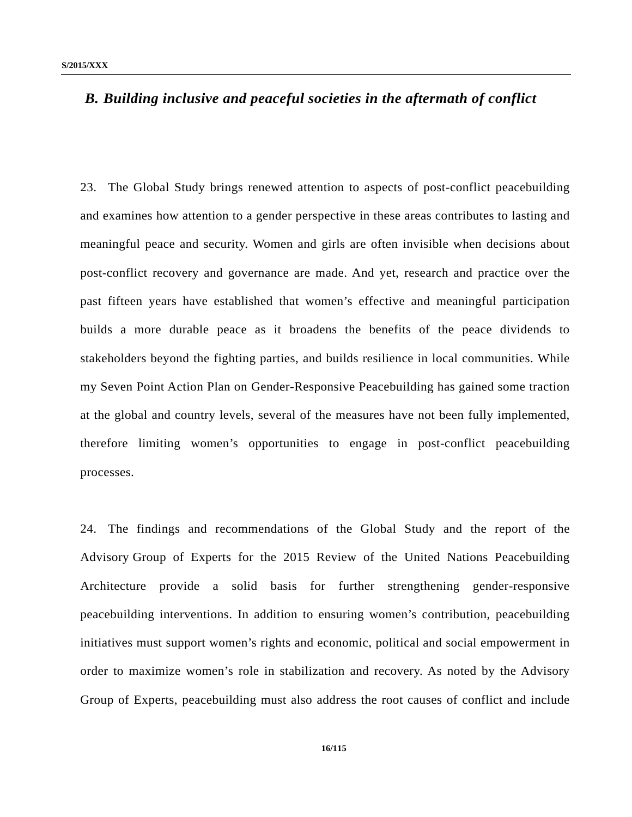## *B. Building inclusive and peaceful societies in the aftermath of conflict*

23. The Global Study brings renewed attention to aspects of post-conflict peacebuilding and examines how attention to a gender perspective in these areas contributes to lasting and meaningful peace and security. Women and girls are often invisible when decisions about post-conflict recovery and governance are made. And yet, research and practice over the past fifteen years have established that women's effective and meaningful participation builds a more durable peace as it broadens the benefits of the peace dividends to stakeholders beyond the fighting parties, and builds resilience in local communities. While my Seven Point Action Plan on Gender-Responsive Peacebuilding has gained some traction at the global and country levels, several of the measures have not been fully implemented, therefore limiting women's opportunities to engage in post-conflict peacebuilding processes.

24. The findings and recommendations of the Global Study and the report of the Advisory Group of Experts for the 2015 Review of the United Nations Peacebuilding Architecture provide a solid basis for further strengthening gender-responsive peacebuilding interventions. In addition to ensuring women's contribution, peacebuilding initiatives must support women's rights and economic, political and social empowerment in order to maximize women's role in stabilization and recovery. As noted by the Advisory Group of Experts, peacebuilding must also address the root causes of conflict and include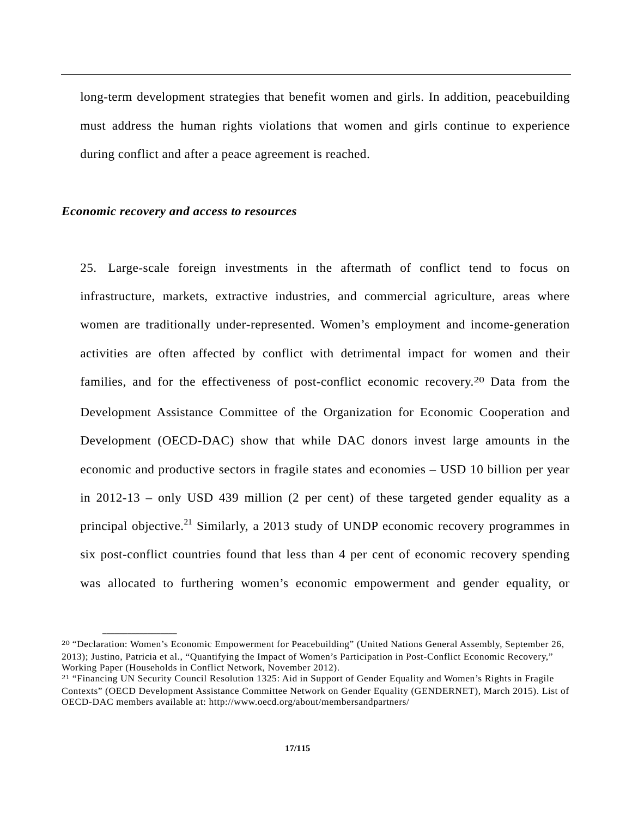long-term development strategies that benefit women and girls. In addition, peacebuilding must address the human rights violations that women and girls continue to experience during conflict and after a peace agreement is reached.

#### *Economic recovery and access to resources*

**\_\_\_\_\_\_\_\_\_\_\_\_\_\_\_\_\_\_** 

25. Large-scale foreign investments in the aftermath of conflict tend to focus on infrastructure, markets, extractive industries, and commercial agriculture, areas where women are traditionally under-represented. Women's employment and income-generation activities are often affected by conflict with detrimental impact for women and their families, and for the effectiveness of post-conflict economic recovery.20 Data from the Development Assistance Committee of the Organization for Economic Cooperation and Development (OECD-DAC) show that while DAC donors invest large amounts in the economic and productive sectors in fragile states and economies – USD 10 billion per year in 2012-13 – only USD 439 million (2 per cent) of these targeted gender equality as a principal objective.<sup>21</sup> Similarly, a 2013 study of UNDP economic recovery programmes in six post-conflict countries found that less than 4 per cent of economic recovery spending was allocated to furthering women's economic empowerment and gender equality, or

<sup>20 &</sup>quot;Declaration: Women's Economic Empowerment for Peacebuilding" (United Nations General Assembly, September 26, 2013); Justino, Patricia et al., "Quantifying the Impact of Women's Participation in Post-Conflict Economic Recovery," Working Paper (Households in Conflict Network, November 2012).<br><sup>21</sup> "Financing UN Security Council Resolution 1325: Aid in Support of Gender Equality and Women's Rights in Fragile

Contexts" (OECD Development Assistance Committee Network on Gender Equality (GENDERNET), March 2015). List of OECD-DAC members available at: http://www.oecd.org/about/membersandpartners/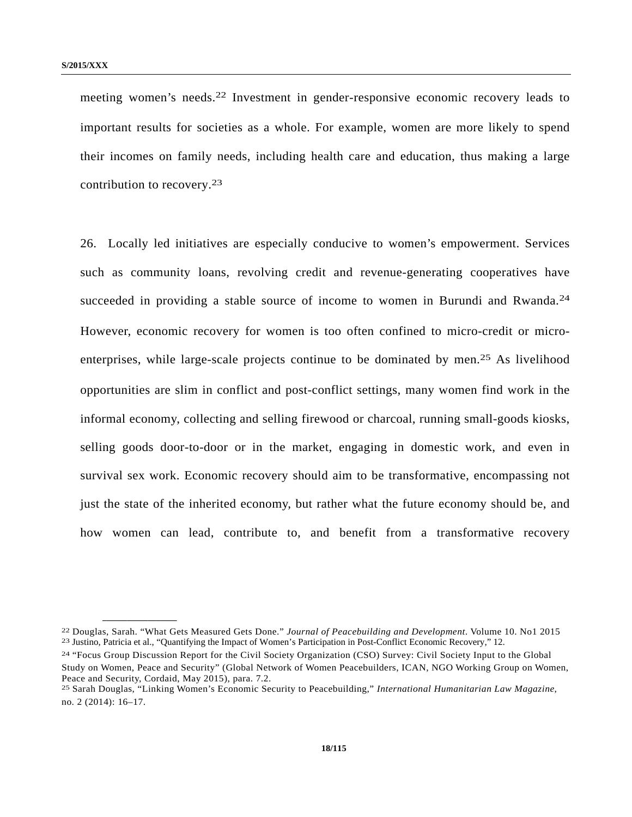**\_\_\_\_\_\_\_\_\_\_\_\_\_\_\_\_\_\_** 

meeting women's needs.22 Investment in gender-responsive economic recovery leads to important results for societies as a whole. For example, women are more likely to spend their incomes on family needs, including health care and education, thus making a large contribution to recovery.23

26. Locally led initiatives are especially conducive to women's empowerment. Services such as community loans, revolving credit and revenue-generating cooperatives have succeeded in providing a stable source of income to women in Burundi and Rwanda.<sup>24</sup> However, economic recovery for women is too often confined to micro-credit or microenterprises, while large-scale projects continue to be dominated by men.25 As livelihood opportunities are slim in conflict and post-conflict settings, many women find work in the informal economy, collecting and selling firewood or charcoal, running small-goods kiosks, selling goods door-to-door or in the market, engaging in domestic work, and even in survival sex work. Economic recovery should aim to be transformative, encompassing not just the state of the inherited economy, but rather what the future economy should be, and how women can lead, contribute to, and benefit from a transformative recovery

<sup>&</sup>lt;sup>22</sup> Douglas, Sarah. "What Gets Measured Gets Done." *Journal of Peacebuilding and Development*. Volume 10. No1 2015<br><sup>23</sup> Justino, Patricia et al., "Quantifying the Impact of Women's Participation in Post-Conflict Economic

<sup>24 &</sup>quot;Focus Group Discussion Report for the Civil Society Organization (CSO) Survey: Civil Society Input to the Global Study on Women, Peace and Security" (Global Network of Women Peacebuilders, ICAN, NGO Working Group on Women, Peace and Security, Cordaid, May 2015), para. 7.2.

<sup>25</sup> Sarah Douglas, "Linking Women's Economic Security to Peacebuilding," *International Humanitarian Law Magazine*, no. 2 (2014): 16–17.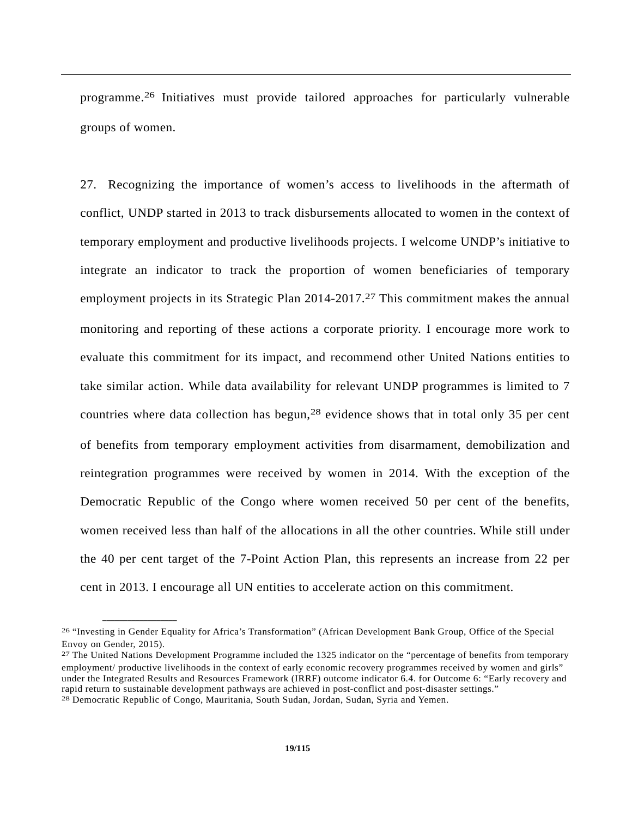programme.26 Initiatives must provide tailored approaches for particularly vulnerable groups of women.

27. Recognizing the importance of women's access to livelihoods in the aftermath of conflict, UNDP started in 2013 to track disbursements allocated to women in the context of temporary employment and productive livelihoods projects. I welcome UNDP's initiative to integrate an indicator to track the proportion of women beneficiaries of temporary employment projects in its Strategic Plan 2014-2017.<sup>27</sup> This commitment makes the annual monitoring and reporting of these actions a corporate priority. I encourage more work to evaluate this commitment for its impact, and recommend other United Nations entities to take similar action. While data availability for relevant UNDP programmes is limited to 7 countries where data collection has begun,<sup>28</sup> evidence shows that in total only 35 per cent of benefits from temporary employment activities from disarmament, demobilization and reintegration programmes were received by women in 2014. With the exception of the Democratic Republic of the Congo where women received 50 per cent of the benefits, women received less than half of the allocations in all the other countries. While still under the 40 per cent target of the 7-Point Action Plan, this represents an increase from 22 per cent in 2013. I encourage all UN entities to accelerate action on this commitment.

<sup>26 &</sup>quot;Investing in Gender Equality for Africa's Transformation" (African Development Bank Group, Office of the Special Envoy on Gender, 2015).

<sup>27</sup> The United Nations Development Programme included the 1325 indicator on the "percentage of benefits from temporary employment/ productive livelihoods in the context of early economic recovery programmes received by women and girls" under the Integrated Results and Resources Framework (IRRF) outcome indicator 6.4. for Outcome 6: "Early recovery and rapid return to sustainable development pathways are achieved in post-conflict and post-disaster settings." 28 Democratic Republic of Congo, Mauritania, South Sudan, Jordan, Sudan, Syria and Yemen.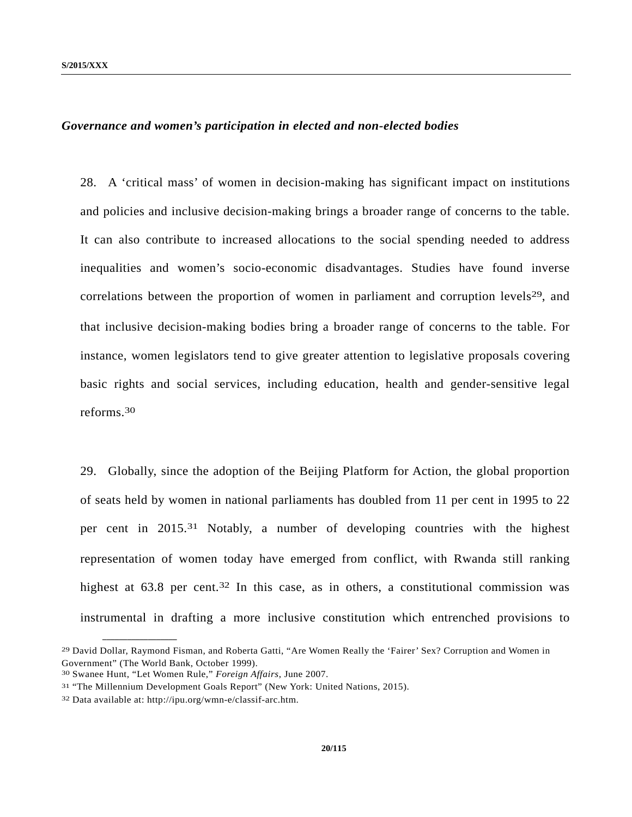#### *Governance and women's participation in elected and non-elected bodies*

28. A 'critical mass' of women in decision-making has significant impact on institutions and policies and inclusive decision-making brings a broader range of concerns to the table. It can also contribute to increased allocations to the social spending needed to address inequalities and women's socio-economic disadvantages. Studies have found inverse correlations between the proportion of women in parliament and corruption levels<sup>29</sup>, and that inclusive decision-making bodies bring a broader range of concerns to the table. For instance, women legislators tend to give greater attention to legislative proposals covering basic rights and social services, including education, health and gender-sensitive legal reforms.30

29. Globally, since the adoption of the Beijing Platform for Action, the global proportion of seats held by women in national parliaments has doubled from 11 per cent in 1995 to 22 per cent in 2015.31 Notably, a number of developing countries with the highest representation of women today have emerged from conflict, with Rwanda still ranking highest at  $63.8$  per cent.<sup>32</sup> In this case, as in others, a constitutional commission was instrumental in drafting a more inclusive constitution which entrenched provisions to

<sup>29</sup> David Dollar, Raymond Fisman, and Roberta Gatti, "Are Women Really the 'Fairer' Sex? Corruption and Women in Government" (The World Bank, October 1999).

<sup>30</sup> Swanee Hunt, "Let Women Rule," *Foreign Affairs*, June 2007.

<sup>31 &</sup>quot;The Millennium Development Goals Report" (New York: United Nations, 2015).

<sup>32</sup> Data available at: http://ipu.org/wmn-e/classif-arc.htm.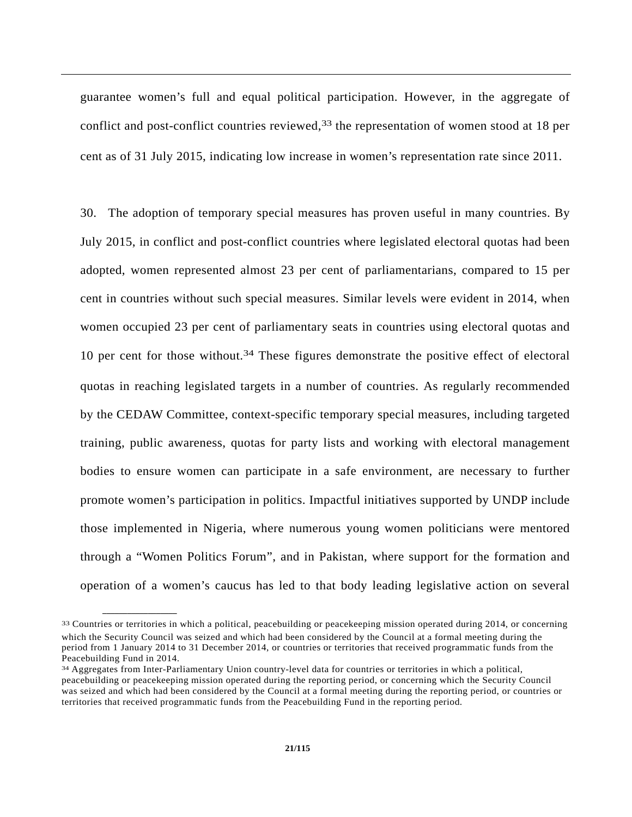guarantee women's full and equal political participation. However, in the aggregate of conflict and post-conflict countries reviewed,<sup>33</sup> the representation of women stood at 18 per cent as of 31 July 2015, indicating low increase in women's representation rate since 2011.

30. The adoption of temporary special measures has proven useful in many countries. By July 2015, in conflict and post-conflict countries where legislated electoral quotas had been adopted, women represented almost 23 per cent of parliamentarians, compared to 15 per cent in countries without such special measures. Similar levels were evident in 2014, when women occupied 23 per cent of parliamentary seats in countries using electoral quotas and 10 per cent for those without.<sup>34</sup> These figures demonstrate the positive effect of electoral quotas in reaching legislated targets in a number of countries. As regularly recommended by the CEDAW Committee, context-specific temporary special measures, including targeted training, public awareness, quotas for party lists and working with electoral management bodies to ensure women can participate in a safe environment, are necessary to further promote women's participation in politics. Impactful initiatives supported by UNDP include those implemented in Nigeria, where numerous young women politicians were mentored through a "Women Politics Forum", and in Pakistan, where support for the formation and operation of a women's caucus has led to that body leading legislative action on several

<sup>33</sup> Countries or territories in which a political, peacebuilding or peacekeeping mission operated during 2014, or concerning which the Security Council was seized and which had been considered by the Council at a formal meeting during the period from 1 January 2014 to 31 December 2014, or countries or territories that received programmatic funds from the Peacebuilding Fund in 2014.

<sup>34</sup> Aggregates from Inter-Parliamentary Union country-level data for countries or territories in which a political, peacebuilding or peacekeeping mission operated during the reporting period, or concerning which the Security Council was seized and which had been considered by the Council at a formal meeting during the reporting period, or countries or territories that received programmatic funds from the Peacebuilding Fund in the reporting period.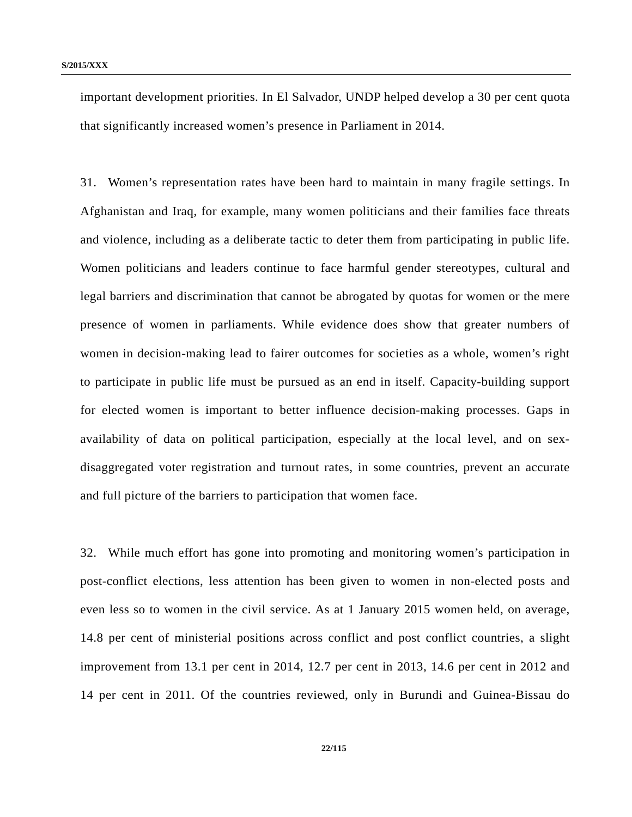important development priorities. In El Salvador, UNDP helped develop a 30 per cent quota that significantly increased women's presence in Parliament in 2014.

31. Women's representation rates have been hard to maintain in many fragile settings. In Afghanistan and Iraq, for example, many women politicians and their families face threats and violence, including as a deliberate tactic to deter them from participating in public life. Women politicians and leaders continue to face harmful gender stereotypes, cultural and legal barriers and discrimination that cannot be abrogated by quotas for women or the mere presence of women in parliaments. While evidence does show that greater numbers of women in decision-making lead to fairer outcomes for societies as a whole, women's right to participate in public life must be pursued as an end in itself. Capacity-building support for elected women is important to better influence decision-making processes. Gaps in availability of data on political participation, especially at the local level, and on sexdisaggregated voter registration and turnout rates, in some countries, prevent an accurate and full picture of the barriers to participation that women face.

32. While much effort has gone into promoting and monitoring women's participation in post-conflict elections, less attention has been given to women in non-elected posts and even less so to women in the civil service. As at 1 January 2015 women held, on average, 14.8 per cent of ministerial positions across conflict and post conflict countries, a slight improvement from 13.1 per cent in 2014, 12.7 per cent in 2013, 14.6 per cent in 2012 and 14 per cent in 2011. Of the countries reviewed, only in Burundi and Guinea-Bissau do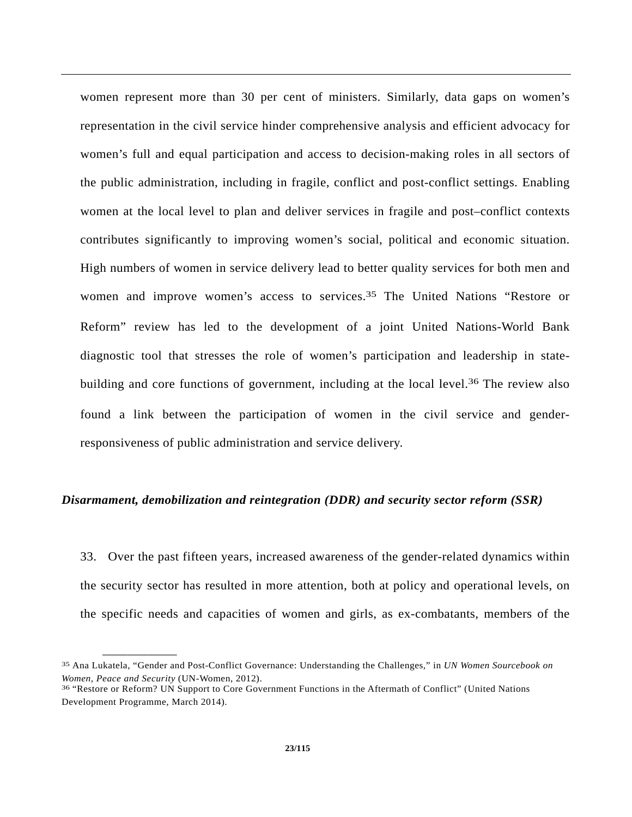women represent more than 30 per cent of ministers. Similarly, data gaps on women's representation in the civil service hinder comprehensive analysis and efficient advocacy for women's full and equal participation and access to decision-making roles in all sectors of the public administration, including in fragile, conflict and post-conflict settings. Enabling women at the local level to plan and deliver services in fragile and post–conflict contexts contributes significantly to improving women's social, political and economic situation. High numbers of women in service delivery lead to better quality services for both men and women and improve women's access to services.35 The United Nations "Restore or Reform" review has led to the development of a joint United Nations-World Bank diagnostic tool that stresses the role of women's participation and leadership in statebuilding and core functions of government, including at the local level.<sup>36</sup> The review also found a link between the participation of women in the civil service and genderresponsiveness of public administration and service delivery.

#### *Disarmament, demobilization and reintegration (DDR) and security sector reform (SSR)*

33. Over the past fifteen years, increased awareness of the gender-related dynamics within the security sector has resulted in more attention, both at policy and operational levels, on the specific needs and capacities of women and girls, as ex-combatants, members of the

<sup>35</sup> Ana Lukatela, "Gender and Post-Conflict Governance: Understanding the Challenges," in *UN Women Sourcebook on Women, Peace and Security* (UN-Women, 2012).<br><sup>36</sup> "Restore or Reform? UN Support to Core Government Functions in the Aftermath of Conflict" (United Nations

Development Programme, March 2014).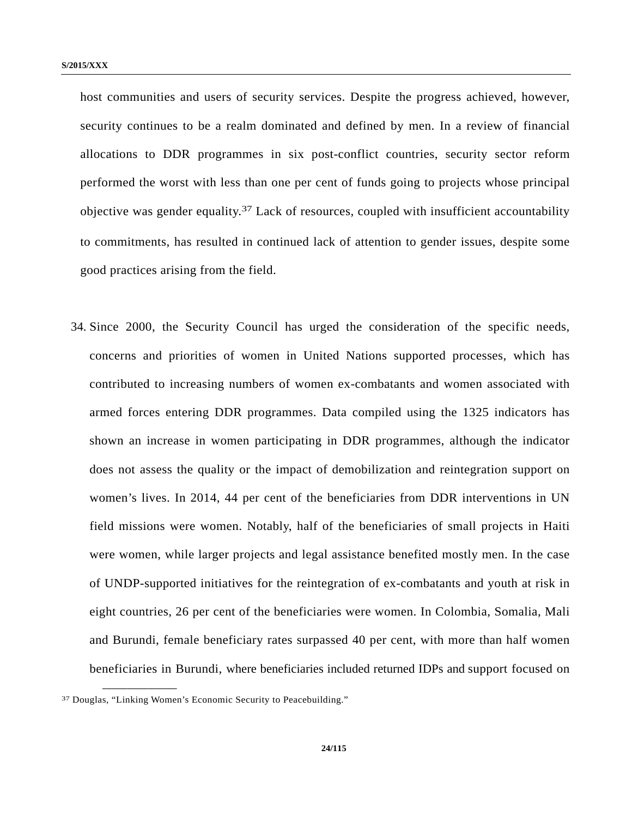host communities and users of security services. Despite the progress achieved, however, security continues to be a realm dominated and defined by men. In a review of financial allocations to DDR programmes in six post-conflict countries, security sector reform performed the worst with less than one per cent of funds going to projects whose principal objective was gender equality.37 Lack of resources, coupled with insufficient accountability to commitments, has resulted in continued lack of attention to gender issues, despite some good practices arising from the field.

34. Since 2000, the Security Council has urged the consideration of the specific needs, concerns and priorities of women in United Nations supported processes, which has contributed to increasing numbers of women ex-combatants and women associated with armed forces entering DDR programmes. Data compiled using the 1325 indicators has shown an increase in women participating in DDR programmes, although the indicator does not assess the quality or the impact of demobilization and reintegration support on women's lives. In 2014, 44 per cent of the beneficiaries from DDR interventions in UN field missions were women. Notably, half of the beneficiaries of small projects in Haiti were women, while larger projects and legal assistance benefited mostly men. In the case of UNDP-supported initiatives for the reintegration of ex-combatants and youth at risk in eight countries, 26 per cent of the beneficiaries were women. In Colombia, Somalia, Mali and Burundi, female beneficiary rates surpassed 40 per cent, with more than half women beneficiaries in Burundi, where beneficiaries included returned IDPs and support focused on

<sup>37</sup> Douglas, "Linking Women's Economic Security to Peacebuilding."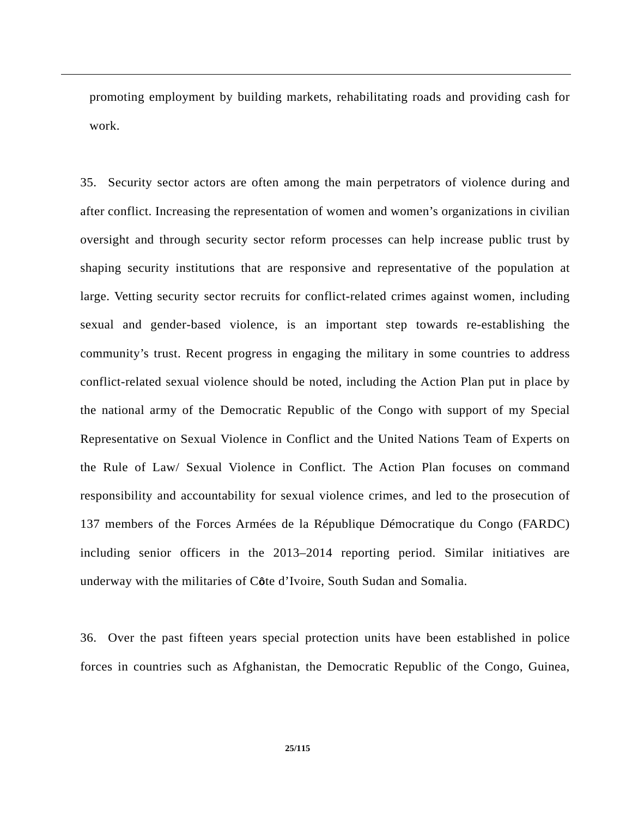promoting employment by building markets, rehabilitating roads and providing cash for work.

35. Security sector actors are often among the main perpetrators of violence during and after conflict. Increasing the representation of women and women's organizations in civilian oversight and through security sector reform processes can help increase public trust by shaping security institutions that are responsive and representative of the population at large. Vetting security sector recruits for conflict-related crimes against women, including sexual and gender-based violence, is an important step towards re-establishing the community's trust. Recent progress in engaging the military in some countries to address conflict-related sexual violence should be noted, including the Action Plan put in place by the national army of the Democratic Republic of the Congo with support of my Special Representative on Sexual Violence in Conflict and the United Nations Team of Experts on the Rule of Law/ Sexual Violence in Conflict. The Action Plan focuses on command responsibility and accountability for sexual violence crimes, and led to the prosecution of 137 members of the Forces Armées de la République Démocratique du Congo (FARDC) including senior officers in the 2013–2014 reporting period. Similar initiatives are underway with the militaries of C**ô**te d'Ivoire, South Sudan and Somalia.

36. Over the past fifteen years special protection units have been established in police forces in countries such as Afghanistan, the Democratic Republic of the Congo, Guinea,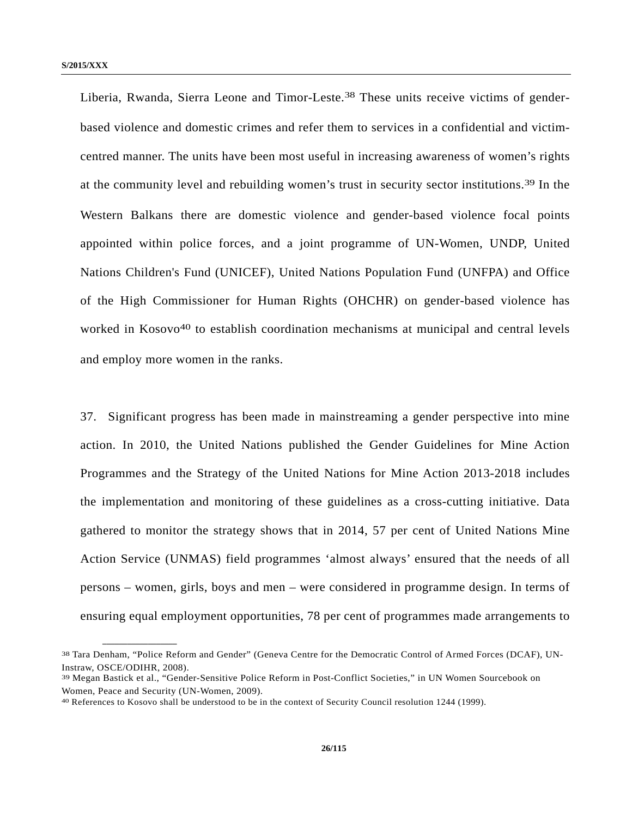Liberia, Rwanda, Sierra Leone and Timor-Leste.<sup>38</sup> These units receive victims of genderbased violence and domestic crimes and refer them to services in a confidential and victimcentred manner. The units have been most useful in increasing awareness of women's rights at the community level and rebuilding women's trust in security sector institutions.39 In the Western Balkans there are domestic violence and gender-based violence focal points appointed within police forces, and a joint programme of UN-Women, UNDP, United Nations Children's Fund (UNICEF), United Nations Population Fund (UNFPA) and Office of the High Commissioner for Human Rights (OHCHR) on gender-based violence has worked in Kosovo<sup>40</sup> to establish coordination mechanisms at municipal and central levels and employ more women in the ranks.

37. Significant progress has been made in mainstreaming a gender perspective into mine action. In 2010, the United Nations published the Gender Guidelines for Mine Action Programmes and the Strategy of the United Nations for Mine Action 2013-2018 includes the implementation and monitoring of these guidelines as a cross-cutting initiative. Data gathered to monitor the strategy shows that in 2014, 57 per cent of United Nations Mine Action Service (UNMAS) field programmes 'almost always' ensured that the needs of all persons – women, girls, boys and men – were considered in programme design. In terms of ensuring equal employment opportunities, 78 per cent of programmes made arrangements to

<sup>38</sup> Tara Denham, "Police Reform and Gender" (Geneva Centre for the Democratic Control of Armed Forces (DCAF), UN-Instraw, OSCE/ODIHR, 2008).

<sup>39</sup> Megan Bastick et al., "Gender-Sensitive Police Reform in Post-Conflict Societies," in UN Women Sourcebook on Women, Peace and Security (UN-Women, 2009).

<sup>40</sup> References to Kosovo shall be understood to be in the context of Security Council resolution 1244 (1999).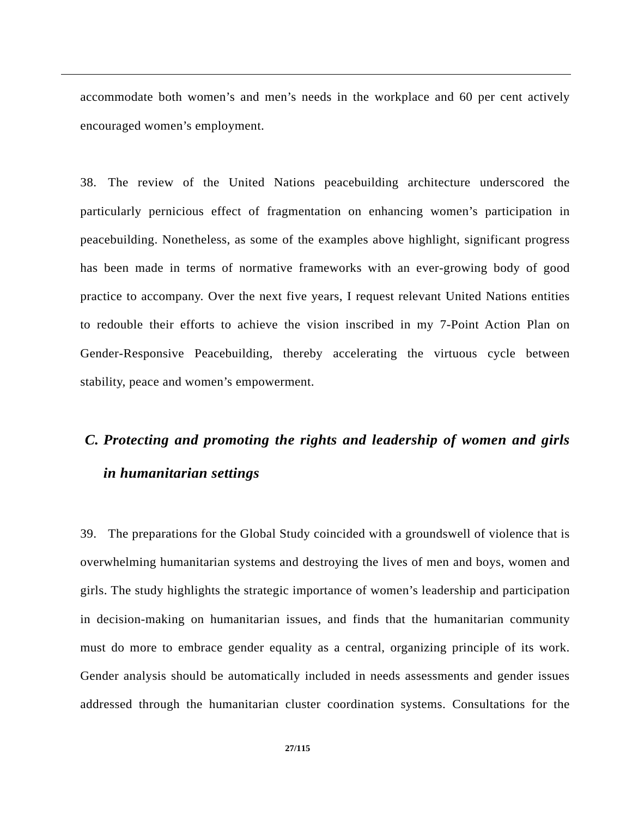accommodate both women's and men's needs in the workplace and 60 per cent actively encouraged women's employment.

38. The review of the United Nations peacebuilding architecture underscored the particularly pernicious effect of fragmentation on enhancing women's participation in peacebuilding. Nonetheless, as some of the examples above highlight, significant progress has been made in terms of normative frameworks with an ever-growing body of good practice to accompany. Over the next five years, I request relevant United Nations entities to redouble their efforts to achieve the vision inscribed in my 7-Point Action Plan on Gender-Responsive Peacebuilding, thereby accelerating the virtuous cycle between stability, peace and women's empowerment.

## *C. Protecting and promoting the rights and leadership of women and girls in humanitarian settings*

39. The preparations for the Global Study coincided with a groundswell of violence that is overwhelming humanitarian systems and destroying the lives of men and boys, women and girls. The study highlights the strategic importance of women's leadership and participation in decision-making on humanitarian issues, and finds that the humanitarian community must do more to embrace gender equality as a central, organizing principle of its work. Gender analysis should be automatically included in needs assessments and gender issues addressed through the humanitarian cluster coordination systems. Consultations for the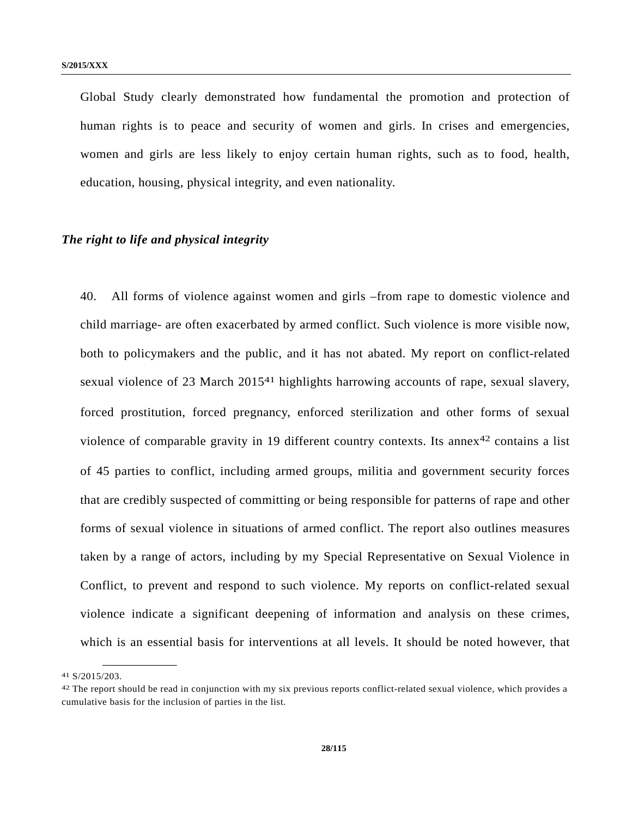Global Study clearly demonstrated how fundamental the promotion and protection of human rights is to peace and security of women and girls. In crises and emergencies, women and girls are less likely to enjoy certain human rights, such as to food, health, education, housing, physical integrity, and even nationality.

#### *The right to life and physical integrity*

40. All forms of violence against women and girls –from rape to domestic violence and child marriage- are often exacerbated by armed conflict. Such violence is more visible now, both to policymakers and the public, and it has not abated. My report on conflict-related sexual violence of 23 March 2015<sup>41</sup> highlights harrowing accounts of rape, sexual slavery, forced prostitution, forced pregnancy, enforced sterilization and other forms of sexual violence of comparable gravity in 19 different country contexts. Its annex<sup>42</sup> contains a list of 45 parties to conflict, including armed groups, militia and government security forces that are credibly suspected of committing or being responsible for patterns of rape and other forms of sexual violence in situations of armed conflict. The report also outlines measures taken by a range of actors, including by my Special Representative on Sexual Violence in Conflict, to prevent and respond to such violence. My reports on conflict-related sexual violence indicate a significant deepening of information and analysis on these crimes, which is an essential basis for interventions at all levels. It should be noted however, that

<sup>41</sup> S/2015/203.

<sup>42</sup> The report should be read in conjunction with my six previous reports conflict-related sexual violence, which provides a cumulative basis for the inclusion of parties in the list.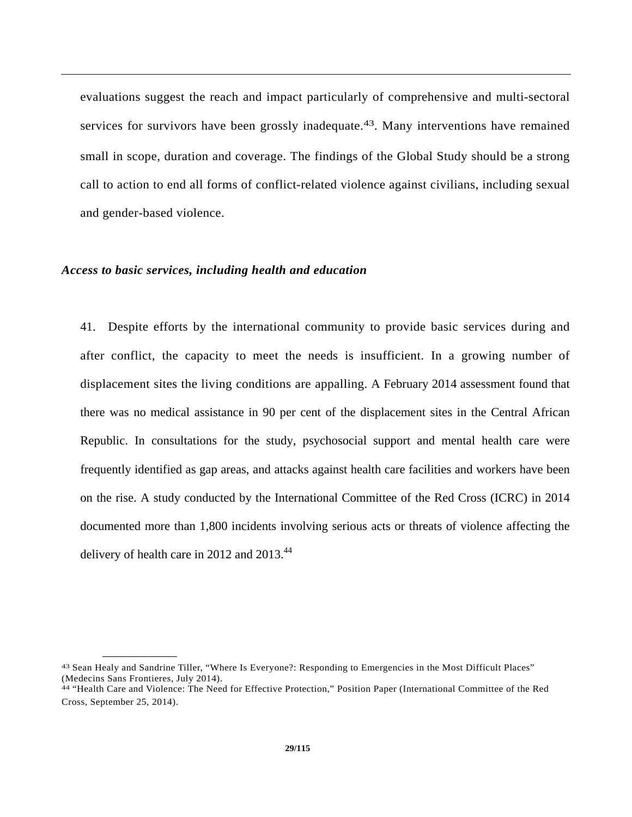evaluations suggest the reach and impact particularly of comprehensive and multi-sectoral services for survivors have been grossly inadequate.<sup>43</sup>. Many interventions have remained small in scope, duration and coverage. The findings of the Global Study should be a strong call to action to end all forms of conflict-related violence against civilians, including sexual and gender-based violence.

#### *Access to basic services, including health and education*

**\_\_\_\_\_\_\_\_\_\_\_\_\_\_\_\_\_\_** 

41. Despite efforts by the international community to provide basic services during and after conflict, the capacity to meet the needs is insufficient. In a growing number of displacement sites the living conditions are appalling. A February 2014 assessment found that there was no medical assistance in 90 per cent of the displacement sites in the Central African Republic. In consultations for the study, psychosocial support and mental health care were frequently identified as gap areas, and attacks against health care facilities and workers have been on the rise. A study conducted by the International Committee of the Red Cross (ICRC) in 2014 documented more than 1,800 incidents involving serious acts or threats of violence affecting the delivery of health care in 2012 and 2013.<sup>44</sup>

<sup>43</sup> Sean Healy and Sandrine Tiller, "Where Is Everyone?: Responding to Emergencies in the Most Difficult Places" (Medecins Sans Frontieres, July 2014).

<sup>44 &</sup>quot;Health Care and Violence: The Need for Effective Protection," Position Paper (International Committee of the Red Cross, September 25, 2014).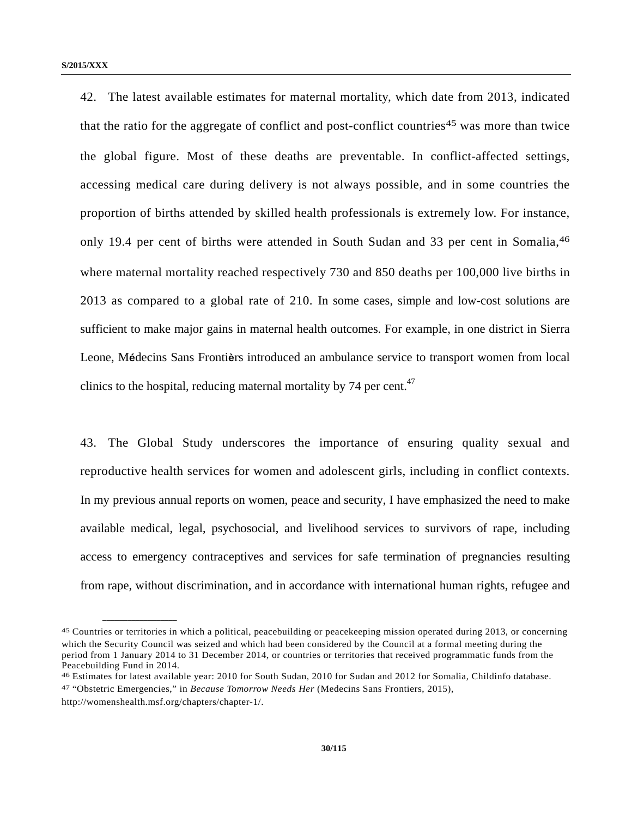42. The latest available estimates for maternal mortality, which date from 2013, indicated that the ratio for the aggregate of conflict and post-conflict countries<sup>45</sup> was more than twice the global figure. Most of these deaths are preventable. In conflict-affected settings, accessing medical care during delivery is not always possible, and in some countries the proportion of births attended by skilled health professionals is extremely low. For instance, only 19.4 per cent of births were attended in South Sudan and 33 per cent in Somalia, <sup>46</sup> where maternal mortality reached respectively 730 and 850 deaths per 100,000 live births in 2013 as compared to a global rate of 210. In some cases, simple and low-cost solutions are sufficient to make major gains in maternal health outcomes. For example, in one district in Sierra Leone, M**é**decins Sans Fronti**è**rs introduced an ambulance service to transport women from local clinics to the hospital, reducing maternal mortality by 74 per cent. $47$ 

43. The Global Study underscores the importance of ensuring quality sexual and reproductive health services for women and adolescent girls, including in conflict contexts. In my previous annual reports on women, peace and security, I have emphasized the need to make available medical, legal, psychosocial, and livelihood services to survivors of rape, including access to emergency contraceptives and services for safe termination of pregnancies resulting from rape, without discrimination, and in accordance with international human rights, refugee and

<sup>45</sup> Countries or territories in which a political, peacebuilding or peacekeeping mission operated during 2013, or concerning which the Security Council was seized and which had been considered by the Council at a formal meeting during the period from 1 January 2014 to 31 December 2014, or countries or territories that received programmatic funds from the Peacebuilding Fund in 2014.

<sup>46</sup> Estimates for latest available year: 2010 for South Sudan, 2010 for Sudan and 2012 for Somalia, Childinfo database. 47 "Obstetric Emergencies," in *Because Tomorrow Needs Her* (Medecins Sans Frontiers, 2015),

http://womenshealth.msf.org/chapters/chapter-1/.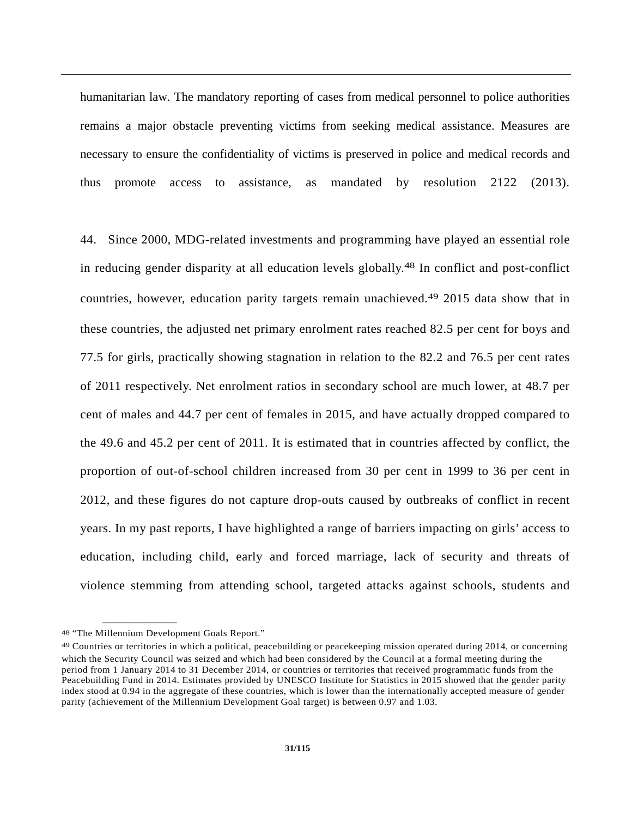humanitarian law. The mandatory reporting of cases from medical personnel to police authorities remains a major obstacle preventing victims from seeking medical assistance. Measures are necessary to ensure the confidentiality of victims is preserved in police and medical records and thus promote access to assistance, as mandated by resolution 2122 (2013).

44. Since 2000, MDG-related investments and programming have played an essential role in reducing gender disparity at all education levels globally.48 In conflict and post-conflict countries, however, education parity targets remain unachieved.49 2015 data show that in these countries, the adjusted net primary enrolment rates reached 82.5 per cent for boys and 77.5 for girls, practically showing stagnation in relation to the 82.2 and 76.5 per cent rates of 2011 respectively. Net enrolment ratios in secondary school are much lower, at 48.7 per cent of males and 44.7 per cent of females in 2015, and have actually dropped compared to the 49.6 and 45.2 per cent of 2011. It is estimated that in countries affected by conflict, the proportion of out-of-school children increased from 30 per cent in 1999 to 36 per cent in 2012, and these figures do not capture drop-outs caused by outbreaks of conflict in recent years. In my past reports, I have highlighted a range of barriers impacting on girls' access to education, including child, early and forced marriage, lack of security and threats of violence stemming from attending school, targeted attacks against schools, students and

<sup>48 &</sup>quot;The Millennium Development Goals Report."

<sup>49</sup> Countries or territories in which a political, peacebuilding or peacekeeping mission operated during 2014, or concerning which the Security Council was seized and which had been considered by the Council at a formal meeting during the period from 1 January 2014 to 31 December 2014, or countries or territories that received programmatic funds from the Peacebuilding Fund in 2014. Estimates provided by UNESCO Institute for Statistics in 2015 showed that the gender parity index stood at 0.94 in the aggregate of these countries, which is lower than the internationally accepted measure of gender parity (achievement of the Millennium Development Goal target) is between 0.97 and 1.03.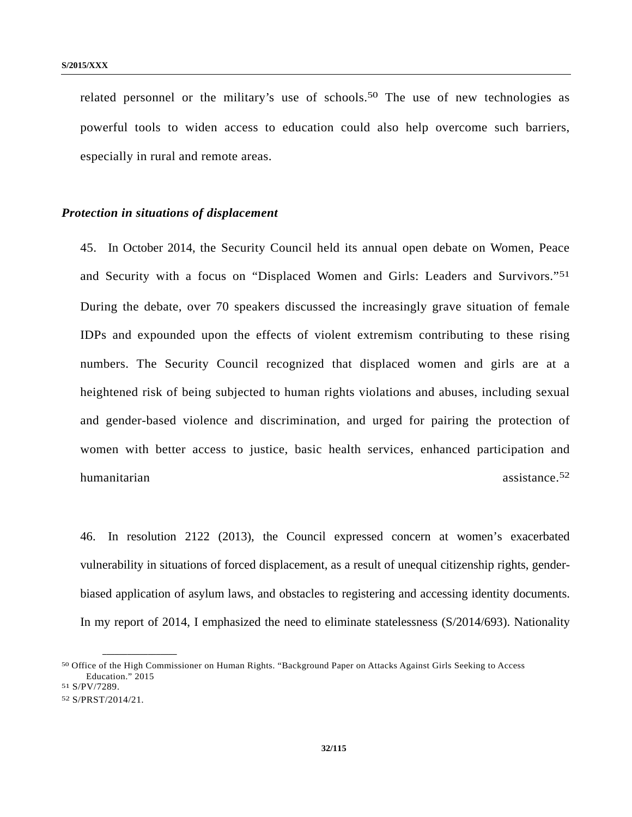related personnel or the military's use of schools.<sup>50</sup> The use of new technologies as powerful tools to widen access to education could also help overcome such barriers, especially in rural and remote areas.

#### *Protection in situations of displacement*

45. In October 2014, the Security Council held its annual open debate on Women, Peace and Security with a focus on "Displaced Women and Girls: Leaders and Survivors."51 During the debate, over 70 speakers discussed the increasingly grave situation of female IDPs and expounded upon the effects of violent extremism contributing to these rising numbers. The Security Council recognized that displaced women and girls are at a heightened risk of being subjected to human rights violations and abuses, including sexual and gender-based violence and discrimination, and urged for pairing the protection of women with better access to justice, basic health services, enhanced participation and humanitarian assistance.<sup>52</sup>

46. In resolution 2122 (2013), the Council expressed concern at women's exacerbated vulnerability in situations of forced displacement, as a result of unequal citizenship rights, genderbiased application of asylum laws, and obstacles to registering and accessing identity documents. In my report of 2014, I emphasized the need to eliminate statelessness (S/2014/693). Nationality

<sup>50</sup> Office of the High Commissioner on Human Rights. "Background Paper on Attacks Against Girls Seeking to Access Education." 2015<br>51 S/PV/7289.

<sup>52</sup> S/PRST/2014/21.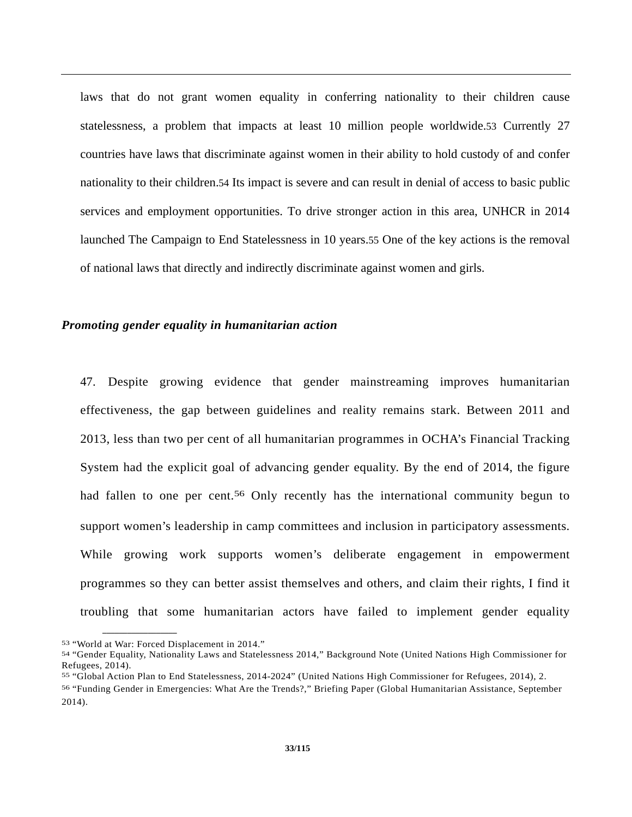laws that do not grant women equality in conferring nationality to their children cause statelessness, a problem that impacts at least 10 million people worldwide.53 Currently 27 countries have laws that discriminate against women in their ability to hold custody of and confer nationality to their children.54 Its impact is severe and can result in denial of access to basic public services and employment opportunities. To drive stronger action in this area, UNHCR in 2014 launched The Campaign to End Statelessness in 10 years.55 One of the key actions is the removal of national laws that directly and indirectly discriminate against women and girls.

#### *Promoting gender equality in humanitarian action*

47. Despite growing evidence that gender mainstreaming improves humanitarian effectiveness, the gap between guidelines and reality remains stark. Between 2011 and 2013, less than two per cent of all humanitarian programmes in OCHA's Financial Tracking System had the explicit goal of advancing gender equality. By the end of 2014, the figure had fallen to one per cent.<sup>56</sup> Only recently has the international community begun to support women's leadership in camp committees and inclusion in participatory assessments. While growing work supports women's deliberate engagement in empowerment programmes so they can better assist themselves and others, and claim their rights, I find it troubling that some humanitarian actors have failed to implement gender equality

<sup>53 &</sup>quot;World at War: Forced Displacement in 2014."

<sup>54 &</sup>quot;Gender Equality, Nationality Laws and Statelessness 2014," Background Note (United Nations High Commissioner for Refugees, 2014).

<sup>55 &</sup>quot;Global Action Plan to End Statelessness, 2014-2024" (United Nations High Commissioner for Refugees, 2014), 2.

<sup>56 &</sup>quot;Funding Gender in Emergencies: What Are the Trends?," Briefing Paper (Global Humanitarian Assistance, September 2014).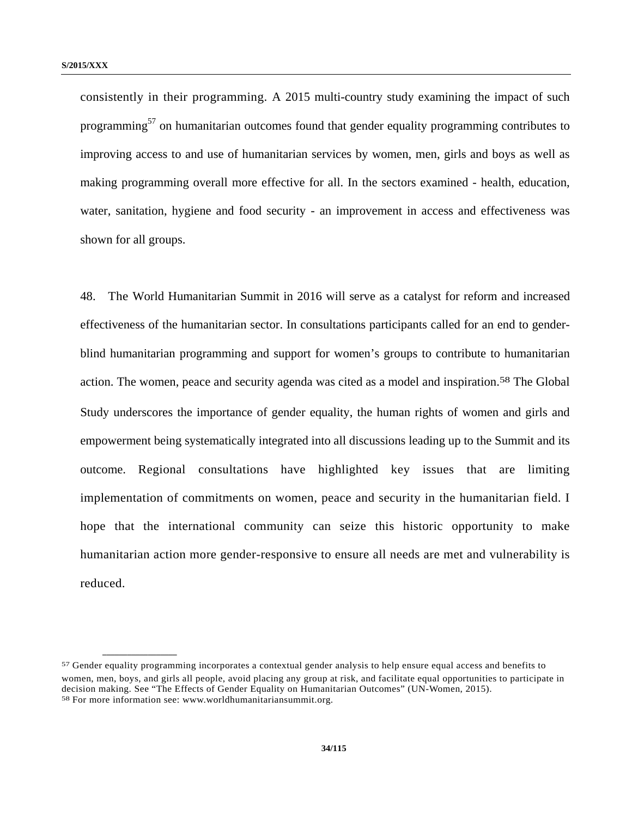**\_\_\_\_\_\_\_\_\_\_\_\_\_\_\_\_\_\_** 

consistently in their programming. A 2015 multi-country study examining the impact of such programming<sup>57</sup> on humanitarian outcomes found that gender equality programming contributes to improving access to and use of humanitarian services by women, men, girls and boys as well as making programming overall more effective for all. In the sectors examined - health, education, water, sanitation, hygiene and food security - an improvement in access and effectiveness was shown for all groups.

48. The World Humanitarian Summit in 2016 will serve as a catalyst for reform and increased effectiveness of the humanitarian sector. In consultations participants called for an end to genderblind humanitarian programming and support for women's groups to contribute to humanitarian action. The women, peace and security agenda was cited as a model and inspiration.<sup>58</sup> The Global Study underscores the importance of gender equality, the human rights of women and girls and empowerment being systematically integrated into all discussions leading up to the Summit and its outcome. Regional consultations have highlighted key issues that are limiting implementation of commitments on women, peace and security in the humanitarian field. I hope that the international community can seize this historic opportunity to make humanitarian action more gender-responsive to ensure all needs are met and vulnerability is reduced.

<sup>57</sup> Gender equality programming incorporates a contextual gender analysis to help ensure equal access and benefits to women, men, boys, and girls all people, avoid placing any group at risk, and facilitate equal opportunities to participate in decision making. See "The Effects of Gender Equality on Humanitarian Outcomes" (UN-Women, 2015).<br><sup>58</sup> For more information see: www.worldhumanitariansummit.org.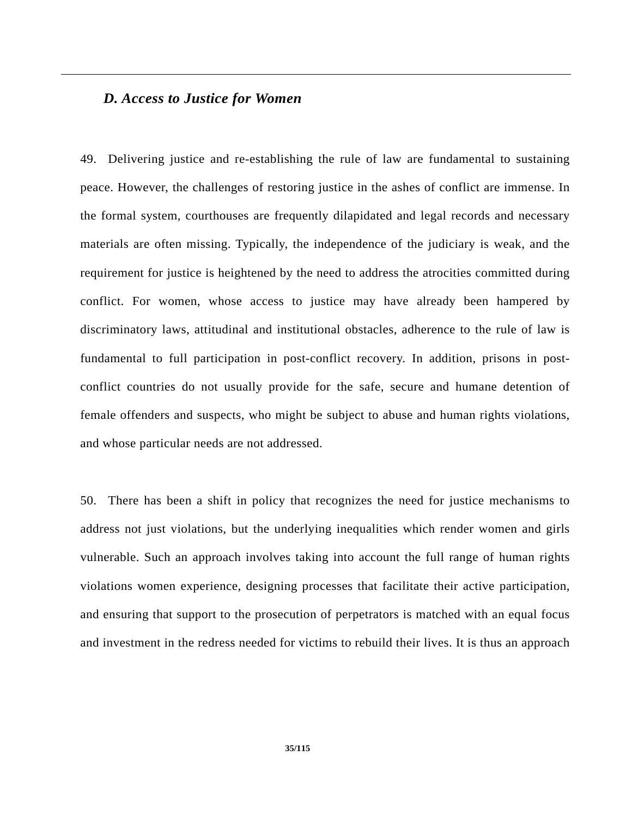#### *D. Access to Justice for Women*

49. Delivering justice and re-establishing the rule of law are fundamental to sustaining peace. However, the challenges of restoring justice in the ashes of conflict are immense. In the formal system, courthouses are frequently dilapidated and legal records and necessary materials are often missing. Typically, the independence of the judiciary is weak, and the requirement for justice is heightened by the need to address the atrocities committed during conflict. For women, whose access to justice may have already been hampered by discriminatory laws, attitudinal and institutional obstacles, adherence to the rule of law is fundamental to full participation in post-conflict recovery. In addition, prisons in postconflict countries do not usually provide for the safe, secure and humane detention of female offenders and suspects, who might be subject to abuse and human rights violations, and whose particular needs are not addressed.

50. There has been a shift in policy that recognizes the need for justice mechanisms to address not just violations, but the underlying inequalities which render women and girls vulnerable. Such an approach involves taking into account the full range of human rights violations women experience, designing processes that facilitate their active participation, and ensuring that support to the prosecution of perpetrators is matched with an equal focus and investment in the redress needed for victims to rebuild their lives. It is thus an approach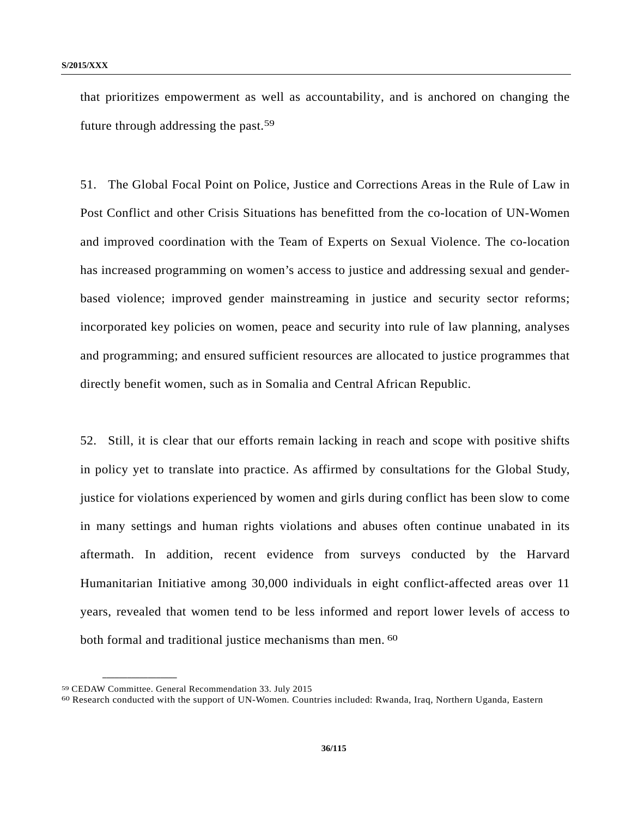that prioritizes empowerment as well as accountability, and is anchored on changing the future through addressing the past.59

51. The Global Focal Point on Police, Justice and Corrections Areas in the Rule of Law in Post Conflict and other Crisis Situations has benefitted from the co-location of UN-Women and improved coordination with the Team of Experts on Sexual Violence. The co-location has increased programming on women's access to justice and addressing sexual and genderbased violence; improved gender mainstreaming in justice and security sector reforms; incorporated key policies on women, peace and security into rule of law planning, analyses and programming; and ensured sufficient resources are allocated to justice programmes that directly benefit women, such as in Somalia and Central African Republic.

52. Still, it is clear that our efforts remain lacking in reach and scope with positive shifts in policy yet to translate into practice. As affirmed by consultations for the Global Study, justice for violations experienced by women and girls during conflict has been slow to come in many settings and human rights violations and abuses often continue unabated in its aftermath. In addition, recent evidence from surveys conducted by the Harvard Humanitarian Initiative among 30,000 individuals in eight conflict-affected areas over 11 years, revealed that women tend to be less informed and report lower levels of access to both formal and traditional justice mechanisms than men. <sup>60</sup>

<sup>&</sup>lt;sup>59</sup> CEDAW Committee. General Recommendation 33. July 2015<br><sup>60</sup> Research conducted with the support of UN-Women. Countries included: Rwanda, Iraq, Northern Uganda, Eastern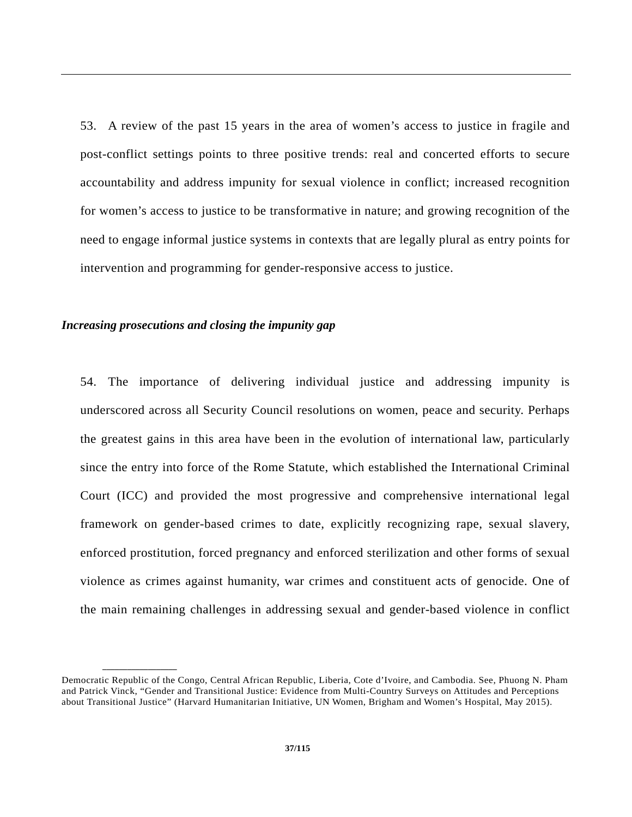53. A review of the past 15 years in the area of women's access to justice in fragile and post-conflict settings points to three positive trends: real and concerted efforts to secure accountability and address impunity for sexual violence in conflict; increased recognition for women's access to justice to be transformative in nature; and growing recognition of the need to engage informal justice systems in contexts that are legally plural as entry points for intervention and programming for gender-responsive access to justice.

#### *Increasing prosecutions and closing the impunity gap*

**\_\_\_\_\_\_\_\_\_\_\_\_\_\_\_\_\_\_** 

54. The importance of delivering individual justice and addressing impunity is underscored across all Security Council resolutions on women, peace and security. Perhaps the greatest gains in this area have been in the evolution of international law, particularly since the entry into force of the Rome Statute, which established the International Criminal Court (ICC) and provided the most progressive and comprehensive international legal framework on gender-based crimes to date, explicitly recognizing rape, sexual slavery, enforced prostitution, forced pregnancy and enforced sterilization and other forms of sexual violence as crimes against humanity, war crimes and constituent acts of genocide. One of the main remaining challenges in addressing sexual and gender-based violence in conflict

Democratic Republic of the Congo, Central African Republic, Liberia, Cote d'Ivoire, and Cambodia. See, Phuong N. Pham and Patrick Vinck, "Gender and Transitional Justice: Evidence from Multi-Country Surveys on Attitudes and Perceptions about Transitional Justice" (Harvard Humanitarian Initiative, UN Women, Brigham and Women's Hospital, May 2015).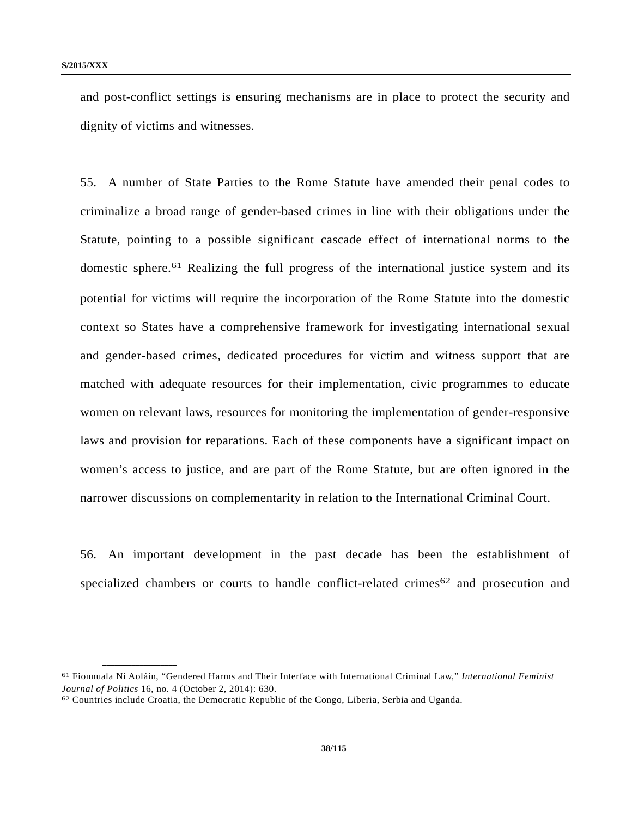and post-conflict settings is ensuring mechanisms are in place to protect the security and dignity of victims and witnesses.

55. A number of State Parties to the Rome Statute have amended their penal codes to criminalize a broad range of gender-based crimes in line with their obligations under the Statute, pointing to a possible significant cascade effect of international norms to the domestic sphere.61 Realizing the full progress of the international justice system and its potential for victims will require the incorporation of the Rome Statute into the domestic context so States have a comprehensive framework for investigating international sexual and gender-based crimes, dedicated procedures for victim and witness support that are matched with adequate resources for their implementation, civic programmes to educate women on relevant laws, resources for monitoring the implementation of gender-responsive laws and provision for reparations. Each of these components have a significant impact on women's access to justice, and are part of the Rome Statute, but are often ignored in the narrower discussions on complementarity in relation to the International Criminal Court.

56. An important development in the past decade has been the establishment of specialized chambers or courts to handle conflict-related crimes<sup>62</sup> and prosecution and

<sup>61</sup> Fionnuala Ní Aoláin, "Gendered Harms and Their Interface with International Criminal Law," *International Feminist Journal of Politics* 16, no. 4 (October 2, 2014): 630.<br><sup>62</sup> Countries include Croatia, the Democratic Republic of the Congo, Liberia, Serbia and Uganda.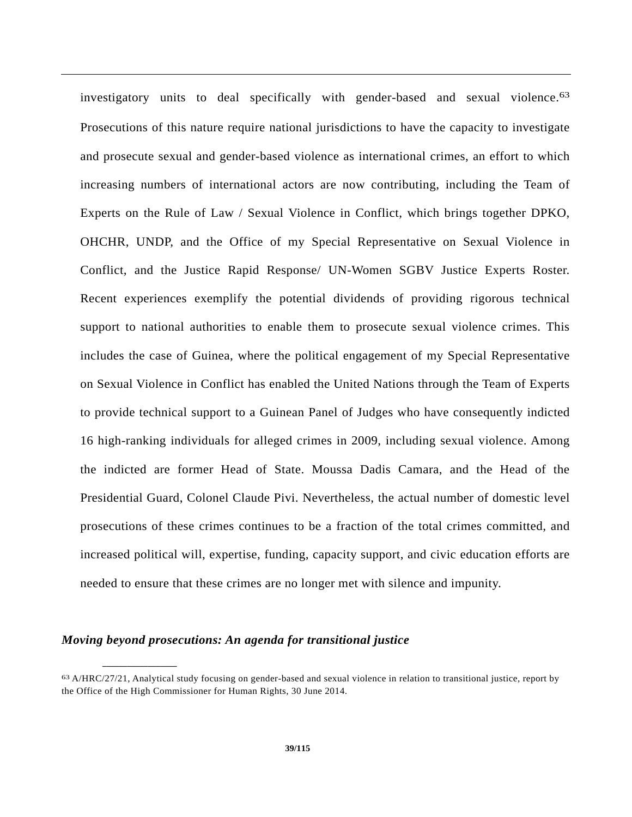investigatory units to deal specifically with gender-based and sexual violence.<sup>63</sup> Prosecutions of this nature require national jurisdictions to have the capacity to investigate and prosecute sexual and gender-based violence as international crimes, an effort to which increasing numbers of international actors are now contributing, including the Team of Experts on the Rule of Law / Sexual Violence in Conflict, which brings together DPKO, OHCHR, UNDP, and the Office of my Special Representative on Sexual Violence in Conflict, and the Justice Rapid Response/ UN-Women SGBV Justice Experts Roster. Recent experiences exemplify the potential dividends of providing rigorous technical support to national authorities to enable them to prosecute sexual violence crimes. This includes the case of Guinea, where the political engagement of my Special Representative on Sexual Violence in Conflict has enabled the United Nations through the Team of Experts to provide technical support to a Guinean Panel of Judges who have consequently indicted 16 high-ranking individuals for alleged crimes in 2009, including sexual violence. Among the indicted are former Head of State. Moussa Dadis Camara, and the Head of the Presidential Guard, Colonel Claude Pivi. Nevertheless, the actual number of domestic level prosecutions of these crimes continues to be a fraction of the total crimes committed, and increased political will, expertise, funding, capacity support, and civic education efforts are needed to ensure that these crimes are no longer met with silence and impunity.

## *Moving beyond prosecutions: An agenda for transitional justice*

<sup>63</sup> A/HRC/27/21, Analytical study focusing on gender-based and sexual violence in relation to transitional justice, report by the Office of the High Commissioner for Human Rights, 30 June 2014.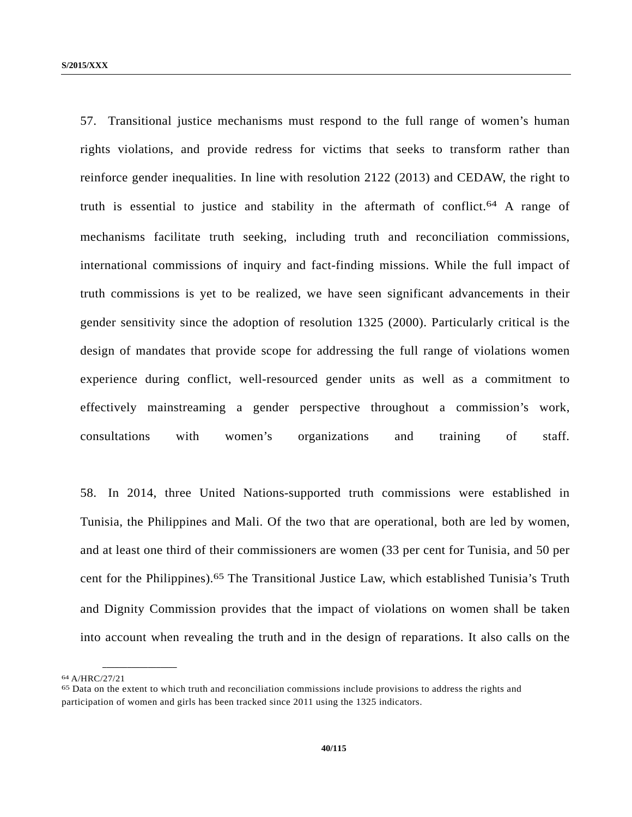57. Transitional justice mechanisms must respond to the full range of women's human rights violations, and provide redress for victims that seeks to transform rather than reinforce gender inequalities. In line with resolution 2122 (2013) and CEDAW, the right to truth is essential to justice and stability in the aftermath of conflict.64 A range of mechanisms facilitate truth seeking, including truth and reconciliation commissions, international commissions of inquiry and fact-finding missions. While the full impact of truth commissions is yet to be realized, we have seen significant advancements in their gender sensitivity since the adoption of resolution 1325 (2000). Particularly critical is the design of mandates that provide scope for addressing the full range of violations women experience during conflict, well-resourced gender units as well as a commitment to effectively mainstreaming a gender perspective throughout a commission's work, consultations with women's organizations and training of staff.

58. In 2014, three United Nations-supported truth commissions were established in Tunisia, the Philippines and Mali. Of the two that are operational, both are led by women, and at least one third of their commissioners are women (33 per cent for Tunisia, and 50 per cent for the Philippines).65 The Transitional Justice Law, which established Tunisia's Truth and Dignity Commission provides that the impact of violations on women shall be taken into account when revealing the truth and in the design of reparations. It also calls on the

<sup>64</sup> A/HRC/27/21

<sup>65</sup> Data on the extent to which truth and reconciliation commissions include provisions to address the rights and participation of women and girls has been tracked since 2011 using the 1325 indicators.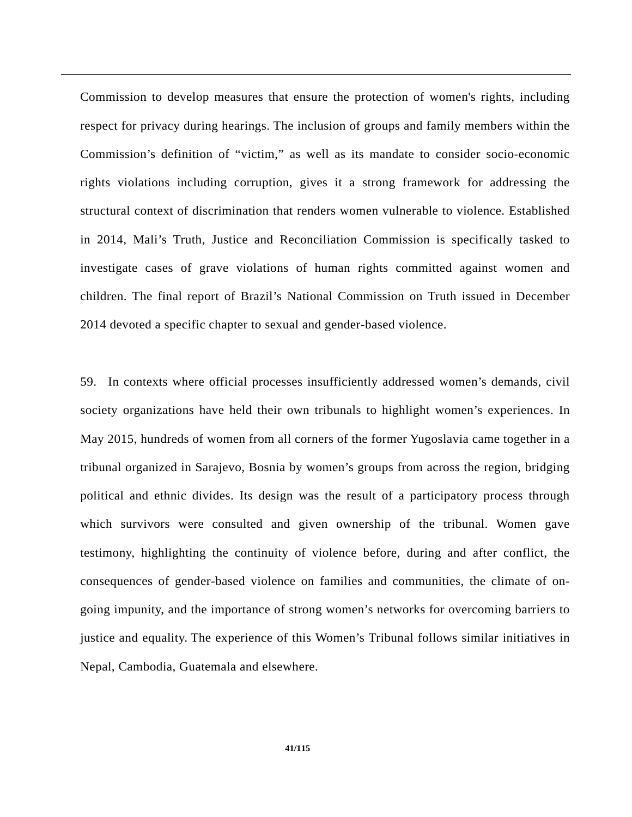Commission to develop measures that ensure the protection of women's rights, including respect for privacy during hearings. The inclusion of groups and family members within the Commission's definition of "victim," as well as its mandate to consider socio-economic rights violations including corruption, gives it a strong framework for addressing the structural context of discrimination that renders women vulnerable to violence. Established in 2014, Mali's Truth, Justice and Reconciliation Commission is specifically tasked to investigate cases of grave violations of human rights committed against women and children. The final report of Brazil's National Commission on Truth issued in December 2014 devoted a specific chapter to sexual and gender-based violence.

59. In contexts where official processes insufficiently addressed women's demands, civil society organizations have held their own tribunals to highlight women's experiences. In May 2015, hundreds of women from all corners of the former Yugoslavia came together in a tribunal organized in Sarajevo, Bosnia by women's groups from across the region, bridging political and ethnic divides. Its design was the result of a participatory process through which survivors were consulted and given ownership of the tribunal. Women gave testimony, highlighting the continuity of violence before, during and after conflict, the consequences of gender-based violence on families and communities, the climate of ongoing impunity, and the importance of strong women's networks for overcoming barriers to justice and equality. The experience of this Women's Tribunal follows similar initiatives in Nepal, Cambodia, Guatemala and elsewhere.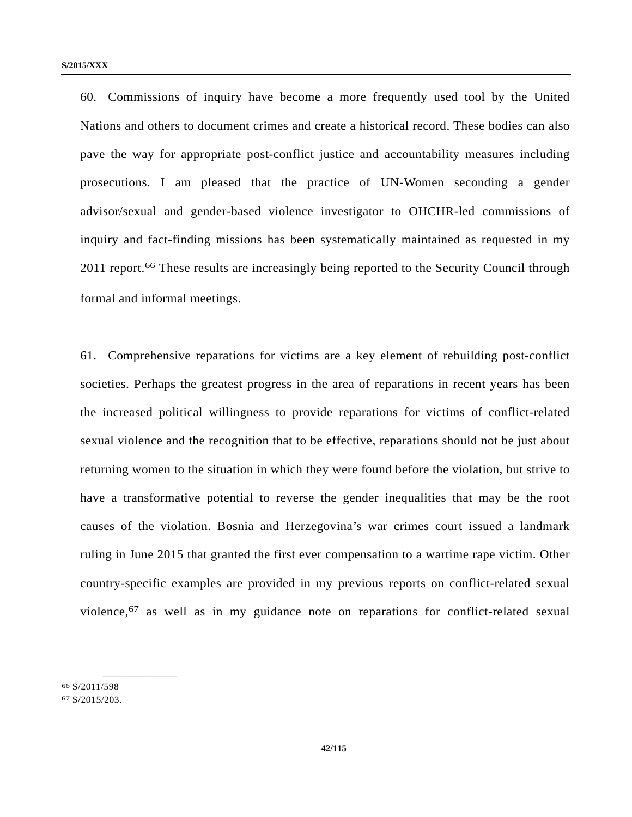60. Commissions of inquiry have become a more frequently used tool by the United Nations and others to document crimes and create a historical record. These bodies can also pave the way for appropriate post-conflict justice and accountability measures including prosecutions. I am pleased that the practice of UN-Women seconding a gender advisor/sexual and gender-based violence investigator to OHCHR-led commissions of inquiry and fact-finding missions has been systematically maintained as requested in my 2011 report.<sup>66</sup> These results are increasingly being reported to the Security Council through formal and informal meetings.

61. Comprehensive reparations for victims are a key element of rebuilding post-conflict societies. Perhaps the greatest progress in the area of reparations in recent years has been the increased political willingness to provide reparations for victims of conflict-related sexual violence and the recognition that to be effective, reparations should not be just about returning women to the situation in which they were found before the violation, but strive to have a transformative potential to reverse the gender inequalities that may be the root causes of the violation. Bosnia and Herzegovina's war crimes court issued a landmark ruling in June 2015 that granted the first ever compensation to a wartime rape victim. Other country-specific examples are provided in my previous reports on conflict-related sexual violence,67 as well as in my guidance note on reparations for conflict-related sexual

66 S/2011/598 67 S/2015/203.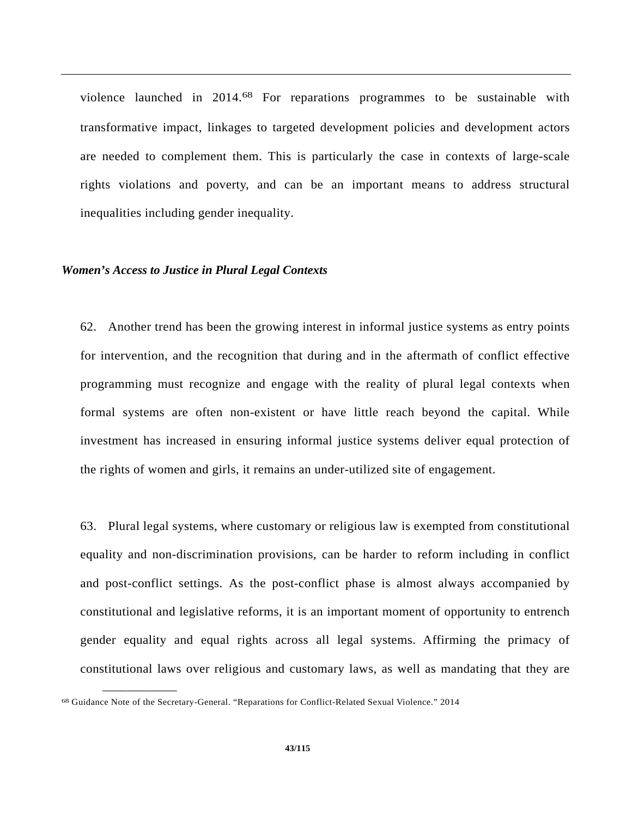violence launched in 2014.68 For reparations programmes to be sustainable with transformative impact, linkages to targeted development policies and development actors are needed to complement them. This is particularly the case in contexts of large-scale rights violations and poverty, and can be an important means to address structural inequalities including gender inequality.

#### *Women's Access to Justice in Plural Legal Contexts*

62. Another trend has been the growing interest in informal justice systems as entry points for intervention, and the recognition that during and in the aftermath of conflict effective programming must recognize and engage with the reality of plural legal contexts when formal systems are often non-existent or have little reach beyond the capital. While investment has increased in ensuring informal justice systems deliver equal protection of the rights of women and girls, it remains an under-utilized site of engagement.

63. Plural legal systems, where customary or religious law is exempted from constitutional equality and non-discrimination provisions, can be harder to reform including in conflict and post-conflict settings. As the post-conflict phase is almost always accompanied by constitutional and legislative reforms, it is an important moment of opportunity to entrench gender equality and equal rights across all legal systems. Affirming the primacy of constitutional laws over religious and customary laws, as well as mandating that they are

<sup>68</sup> Guidance Note of the Secretary-General. "Reparations for Conflict-Related Sexual Violence." 2014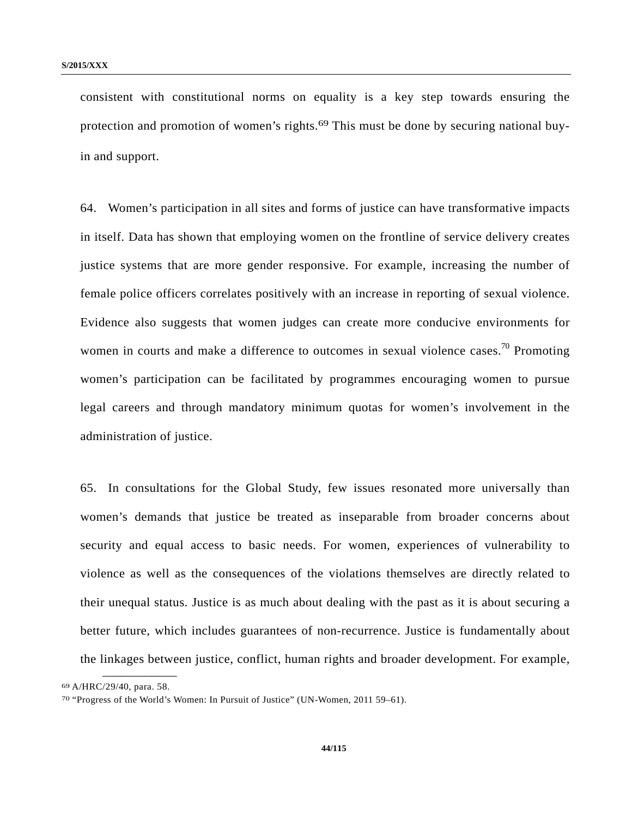consistent with constitutional norms on equality is a key step towards ensuring the protection and promotion of women's rights.<sup>69</sup> This must be done by securing national buyin and support.

64. Women's participation in all sites and forms of justice can have transformative impacts in itself. Data has shown that employing women on the frontline of service delivery creates justice systems that are more gender responsive. For example, increasing the number of female police officers correlates positively with an increase in reporting of sexual violence. Evidence also suggests that women judges can create more conducive environments for women in courts and make a difference to outcomes in sexual violence cases.<sup>70</sup> Promoting women's participation can be facilitated by programmes encouraging women to pursue legal careers and through mandatory minimum quotas for women's involvement in the administration of justice.

65. In consultations for the Global Study, few issues resonated more universally than women's demands that justice be treated as inseparable from broader concerns about security and equal access to basic needs. For women, experiences of vulnerability to violence as well as the consequences of the violations themselves are directly related to their unequal status. Justice is as much about dealing with the past as it is about securing a better future, which includes guarantees of non-recurrence. Justice is fundamentally about the linkages between justice, conflict, human rights and broader development. For example,

<sup>69</sup> A/HRC/29/40, para. 58.

<sup>70 &</sup>quot;Progress of the World's Women: In Pursuit of Justice" (UN-Women, 2011 59–61).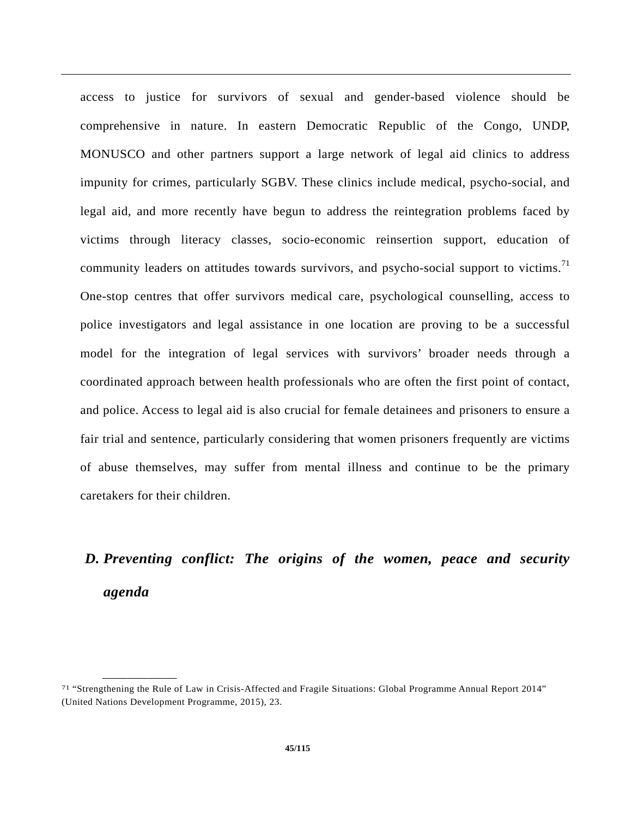access to justice for survivors of sexual and gender-based violence should be comprehensive in nature. In eastern Democratic Republic of the Congo, UNDP, MONUSCO and other partners support a large network of legal aid clinics to address impunity for crimes, particularly SGBV. These clinics include medical, psycho-social, and legal aid, and more recently have begun to address the reintegration problems faced by victims through literacy classes, socio-economic reinsertion support, education of community leaders on attitudes towards survivors, and psycho-social support to victims.<sup>71</sup> One-stop centres that offer survivors medical care, psychological counselling, access to police investigators and legal assistance in one location are proving to be a successful model for the integration of legal services with survivors' broader needs through a coordinated approach between health professionals who are often the first point of contact, and police. Access to legal aid is also crucial for female detainees and prisoners to ensure a fair trial and sentence, particularly considering that women prisoners frequently are victims of abuse themselves, may suffer from mental illness and continue to be the primary caretakers for their children.

# *D. Preventing conflict: The origins of the women, peace and security agenda*

<sup>71 &</sup>quot;Strengthening the Rule of Law in Crisis-Affected and Fragile Situations: Global Programme Annual Report 2014" (United Nations Development Programme, 2015), 23.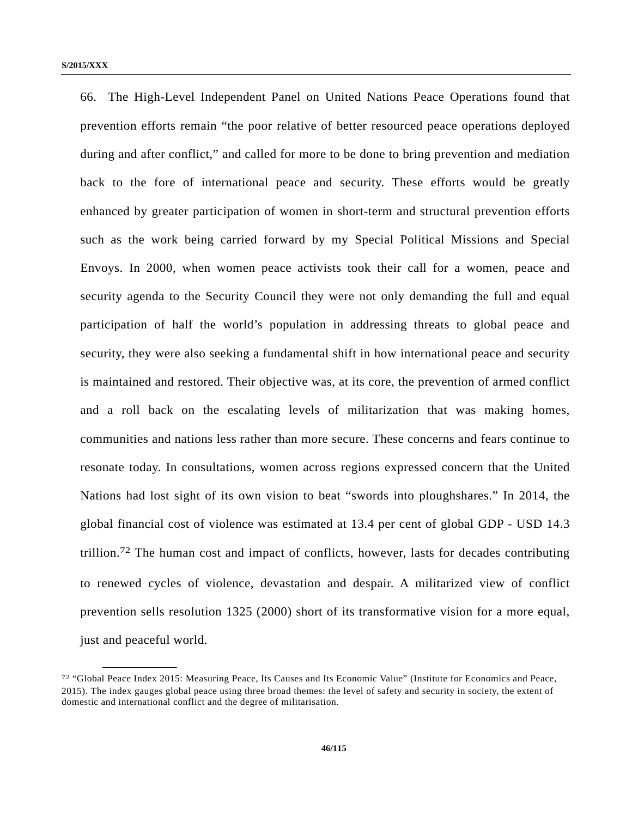66. The High-Level Independent Panel on United Nations Peace Operations found that prevention efforts remain "the poor relative of better resourced peace operations deployed during and after conflict," and called for more to be done to bring prevention and mediation back to the fore of international peace and security. These efforts would be greatly enhanced by greater participation of women in short-term and structural prevention efforts such as the work being carried forward by my Special Political Missions and Special Envoys. In 2000, when women peace activists took their call for a women, peace and security agenda to the Security Council they were not only demanding the full and equal participation of half the world's population in addressing threats to global peace and security, they were also seeking a fundamental shift in how international peace and security is maintained and restored. Their objective was, at its core, the prevention of armed conflict and a roll back on the escalating levels of militarization that was making homes, communities and nations less rather than more secure. These concerns and fears continue to resonate today. In consultations, women across regions expressed concern that the United Nations had lost sight of its own vision to beat "swords into ploughshares." In 2014, the global financial cost of violence was estimated at 13.4 per cent of global GDP - USD 14.3 trillion.72 The human cost and impact of conflicts, however, lasts for decades contributing to renewed cycles of violence, devastation and despair. A militarized view of conflict prevention sells resolution 1325 (2000) short of its transformative vision for a more equal, just and peaceful world.

<sup>72 &</sup>quot;Global Peace Index 2015: Measuring Peace, Its Causes and Its Economic Value" (Institute for Economics and Peace, 2015). The index gauges global peace using three broad themes: the level of safety and security in society, the extent of domestic and international conflict and the degree of militarisation.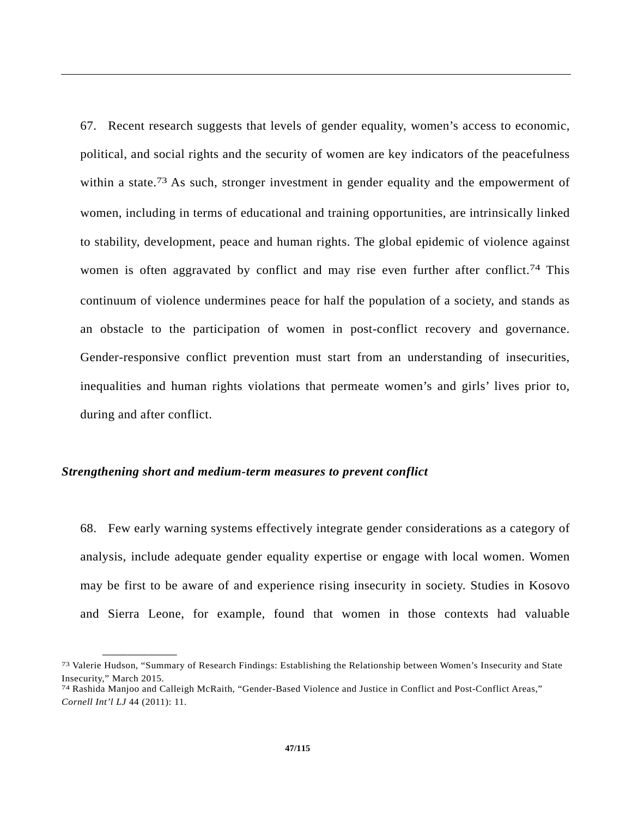67. Recent research suggests that levels of gender equality, women's access to economic, political, and social rights and the security of women are key indicators of the peacefulness within a state.<sup>73</sup> As such, stronger investment in gender equality and the empowerment of women, including in terms of educational and training opportunities, are intrinsically linked to stability, development, peace and human rights. The global epidemic of violence against women is often aggravated by conflict and may rise even further after conflict.<sup>74</sup> This continuum of violence undermines peace for half the population of a society, and stands as an obstacle to the participation of women in post-conflict recovery and governance. Gender-responsive conflict prevention must start from an understanding of insecurities, inequalities and human rights violations that permeate women's and girls' lives prior to, during and after conflict.

#### *Strengthening short and medium-term measures to prevent conflict*

**\_\_\_\_\_\_\_\_\_\_\_\_\_\_\_\_\_\_** 

68. Few early warning systems effectively integrate gender considerations as a category of analysis, include adequate gender equality expertise or engage with local women. Women may be first to be aware of and experience rising insecurity in society. Studies in Kosovo and Sierra Leone, for example, found that women in those contexts had valuable

<sup>73</sup> Valerie Hudson, "Summary of Research Findings: Establishing the Relationship between Women's Insecurity and State Insecurity," March 2015.

<sup>74</sup> Rashida Manjoo and Calleigh McRaith, "Gender-Based Violence and Justice in Conflict and Post-Conflict Areas," *Cornell Int'l LJ* 44 (2011): 11.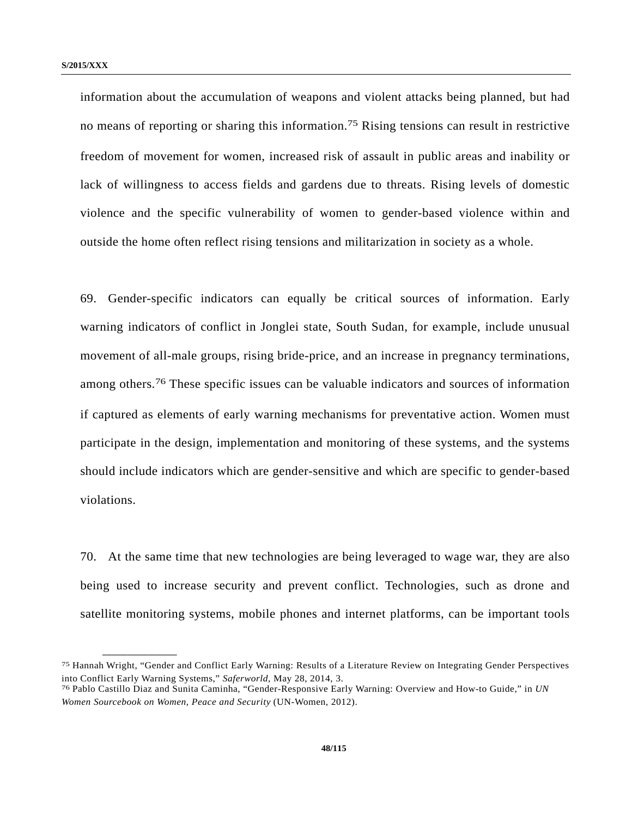**\_\_\_\_\_\_\_\_\_\_\_\_\_\_\_\_\_\_** 

information about the accumulation of weapons and violent attacks being planned, but had no means of reporting or sharing this information.<sup>75</sup> Rising tensions can result in restrictive freedom of movement for women, increased risk of assault in public areas and inability or lack of willingness to access fields and gardens due to threats. Rising levels of domestic violence and the specific vulnerability of women to gender-based violence within and outside the home often reflect rising tensions and militarization in society as a whole.

69. Gender-specific indicators can equally be critical sources of information. Early warning indicators of conflict in Jonglei state, South Sudan, for example, include unusual movement of all-male groups, rising bride-price, and an increase in pregnancy terminations, among others.76 These specific issues can be valuable indicators and sources of information if captured as elements of early warning mechanisms for preventative action. Women must participate in the design, implementation and monitoring of these systems, and the systems should include indicators which are gender-sensitive and which are specific to gender-based violations.

70. At the same time that new technologies are being leveraged to wage war, they are also being used to increase security and prevent conflict. Technologies, such as drone and satellite monitoring systems, mobile phones and internet platforms, can be important tools

<sup>75</sup> Hannah Wright, "Gender and Conflict Early Warning: Results of a Literature Review on Integrating Gender Perspectives into Conflict Early Warning Systems," *Saferworld*, May 28, 2014, 3. 76 Pablo Castillo Diaz and Sunita Caminha, "Gender-Responsive Early Warning: Overview and How-to Guide," in *UN* 

*Women Sourcebook on Women, Peace and Security* (UN-Women, 2012).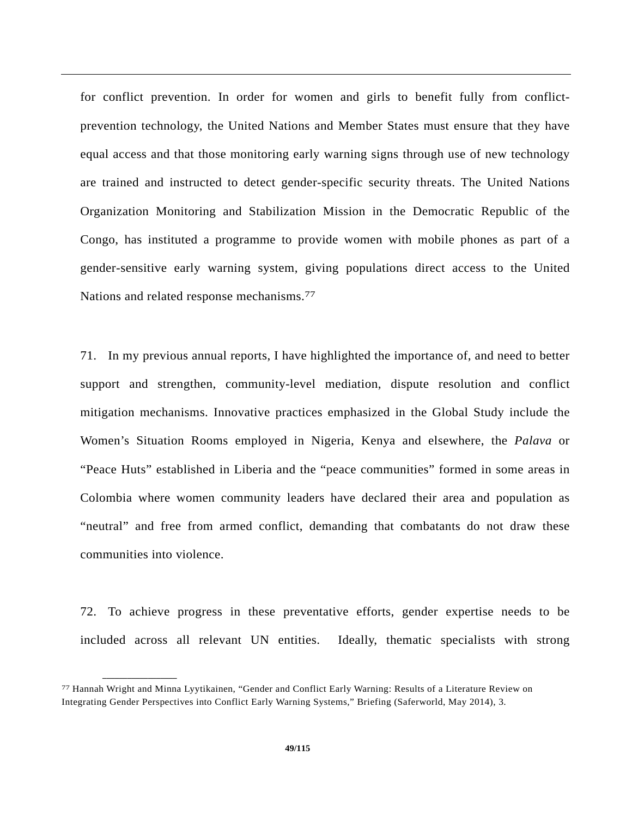for conflict prevention. In order for women and girls to benefit fully from conflictprevention technology, the United Nations and Member States must ensure that they have equal access and that those monitoring early warning signs through use of new technology are trained and instructed to detect gender-specific security threats. The United Nations Organization Monitoring and Stabilization Mission in the Democratic Republic of the Congo, has instituted a programme to provide women with mobile phones as part of a gender-sensitive early warning system, giving populations direct access to the United Nations and related response mechanisms.77

71. In my previous annual reports, I have highlighted the importance of, and need to better support and strengthen, community-level mediation, dispute resolution and conflict mitigation mechanisms. Innovative practices emphasized in the Global Study include the Women's Situation Rooms employed in Nigeria, Kenya and elsewhere, the *Palava* or "Peace Huts" established in Liberia and the "peace communities" formed in some areas in Colombia where women community leaders have declared their area and population as "neutral" and free from armed conflict, demanding that combatants do not draw these communities into violence.

72. To achieve progress in these preventative efforts, gender expertise needs to be included across all relevant UN entities. Ideally, thematic specialists with strong

<sup>77</sup> Hannah Wright and Minna Lyytikainen, "Gender and Conflict Early Warning: Results of a Literature Review on Integrating Gender Perspectives into Conflict Early Warning Systems," Briefing (Saferworld, May 2014), 3.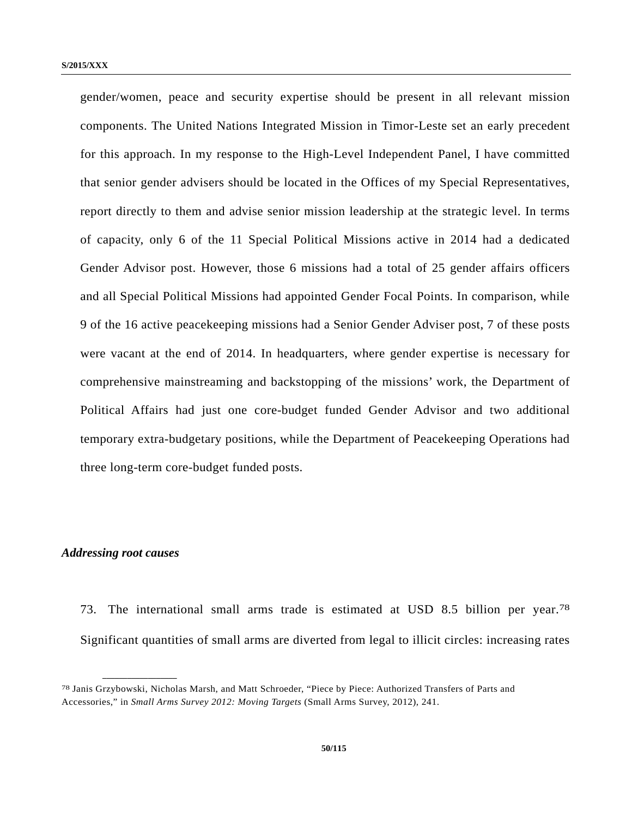gender/women, peace and security expertise should be present in all relevant mission components. The United Nations Integrated Mission in Timor-Leste set an early precedent for this approach. In my response to the High-Level Independent Panel, I have committed that senior gender advisers should be located in the Offices of my Special Representatives, report directly to them and advise senior mission leadership at the strategic level. In terms of capacity, only 6 of the 11 Special Political Missions active in 2014 had a dedicated Gender Advisor post. However, those 6 missions had a total of 25 gender affairs officers and all Special Political Missions had appointed Gender Focal Points. In comparison, while 9 of the 16 active peacekeeping missions had a Senior Gender Adviser post, 7 of these posts were vacant at the end of 2014. In headquarters, where gender expertise is necessary for comprehensive mainstreaming and backstopping of the missions' work, the Department of Political Affairs had just one core-budget funded Gender Advisor and two additional temporary extra-budgetary positions, while the Department of Peacekeeping Operations had three long-term core-budget funded posts.

#### *Addressing root causes*

**\_\_\_\_\_\_\_\_\_\_\_\_\_\_\_\_\_\_** 

73. The international small arms trade is estimated at USD 8.5 billion per year.78 Significant quantities of small arms are diverted from legal to illicit circles: increasing rates

<sup>78</sup> Janis Grzybowski, Nicholas Marsh, and Matt Schroeder, "Piece by Piece: Authorized Transfers of Parts and Accessories," in *Small Arms Survey 2012: Moving Targets* (Small Arms Survey, 2012), 241.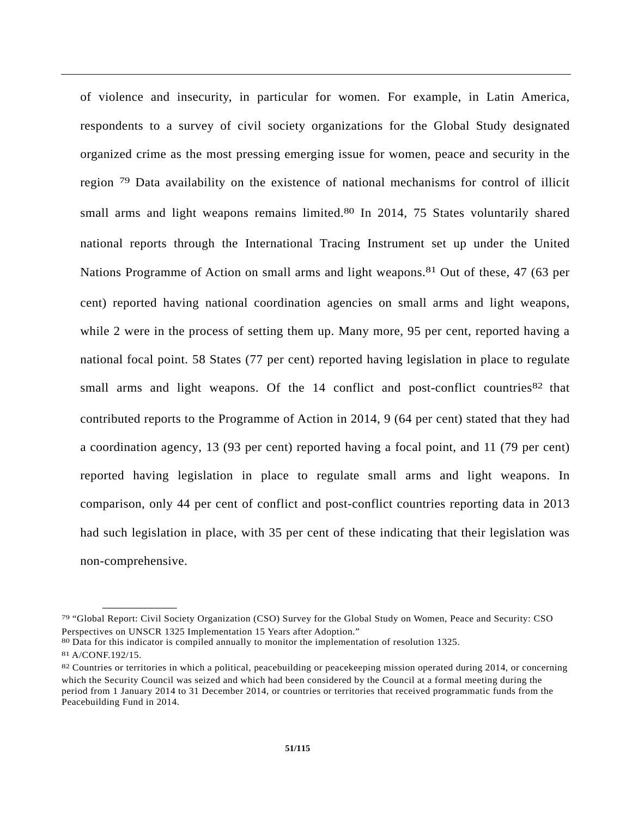of violence and insecurity, in particular for women. For example, in Latin America, respondents to a survey of civil society organizations for the Global Study designated organized crime as the most pressing emerging issue for women, peace and security in the region 79 Data availability on the existence of national mechanisms for control of illicit small arms and light weapons remains limited.<sup>80</sup> In 2014, 75 States voluntarily shared national reports through the International Tracing Instrument set up under the United Nations Programme of Action on small arms and light weapons.81 Out of these, 47 (63 per cent) reported having national coordination agencies on small arms and light weapons, while 2 were in the process of setting them up. Many more, 95 per cent, reported having a national focal point. 58 States (77 per cent) reported having legislation in place to regulate small arms and light weapons. Of the  $14$  conflict and post-conflict countries  $82$  that contributed reports to the Programme of Action in 2014, 9 (64 per cent) stated that they had a coordination agency, 13 (93 per cent) reported having a focal point, and 11 (79 per cent) reported having legislation in place to regulate small arms and light weapons. In comparison, only 44 per cent of conflict and post-conflict countries reporting data in 2013 had such legislation in place, with 35 per cent of these indicating that their legislation was non-comprehensive.

- 80 Data for this indicator is compiled annually to monitor the implementation of resolution 1325.
- 81 A/CONF.192/15.

<sup>79 &</sup>quot;Global Report: Civil Society Organization (CSO) Survey for the Global Study on Women, Peace and Security: CSO Perspectives on UNSCR 1325 Implementation 15 Years after Adoption."

<sup>82</sup> Countries or territories in which a political, peacebuilding or peacekeeping mission operated during 2014, or concerning which the Security Council was seized and which had been considered by the Council at a formal meeting during the period from 1 January 2014 to 31 December 2014, or countries or territories that received programmatic funds from the Peacebuilding Fund in 2014.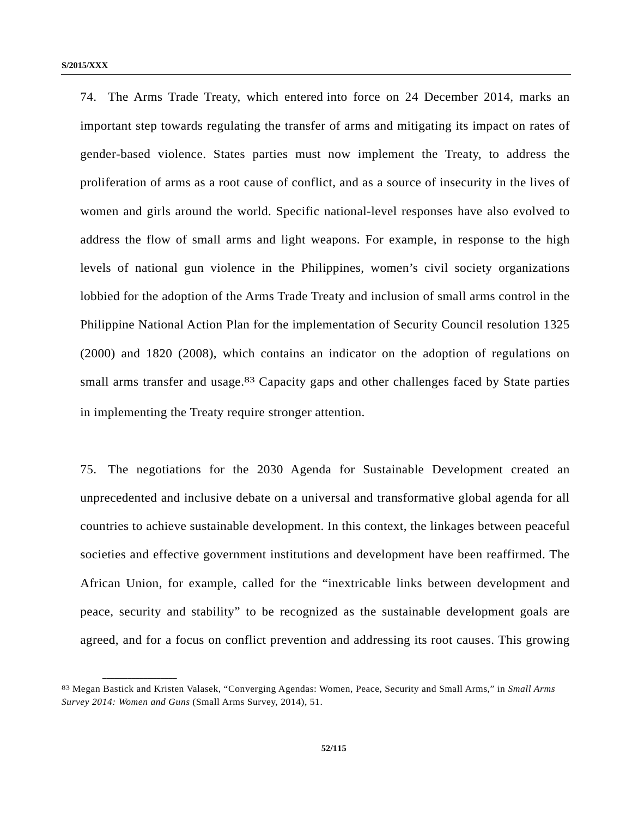74. The Arms Trade Treaty, which entered into force on 24 December 2014, marks an important step towards regulating the transfer of arms and mitigating its impact on rates of gender-based violence. States parties must now implement the Treaty, to address the proliferation of arms as a root cause of conflict, and as a source of insecurity in the lives of women and girls around the world. Specific national-level responses have also evolved to address the flow of small arms and light weapons. For example, in response to the high levels of national gun violence in the Philippines, women's civil society organizations lobbied for the adoption of the Arms Trade Treaty and inclusion of small arms control in the Philippine National Action Plan for the implementation of Security Council resolution 1325 (2000) and 1820 (2008), which contains an indicator on the adoption of regulations on small arms transfer and usage.<sup>83</sup> Capacity gaps and other challenges faced by State parties in implementing the Treaty require stronger attention.

75. The negotiations for the 2030 Agenda for Sustainable Development created an unprecedented and inclusive debate on a universal and transformative global agenda for all countries to achieve sustainable development. In this context, the linkages between peaceful societies and effective government institutions and development have been reaffirmed. The African Union, for example, called for the "inextricable links between development and peace, security and stability" to be recognized as the sustainable development goals are agreed, and for a focus on conflict prevention and addressing its root causes. This growing

<sup>83</sup> Megan Bastick and Kristen Valasek, "Converging Agendas: Women, Peace, Security and Small Arms," in *Small Arms Survey 2014: Women and Guns* (Small Arms Survey, 2014), 51.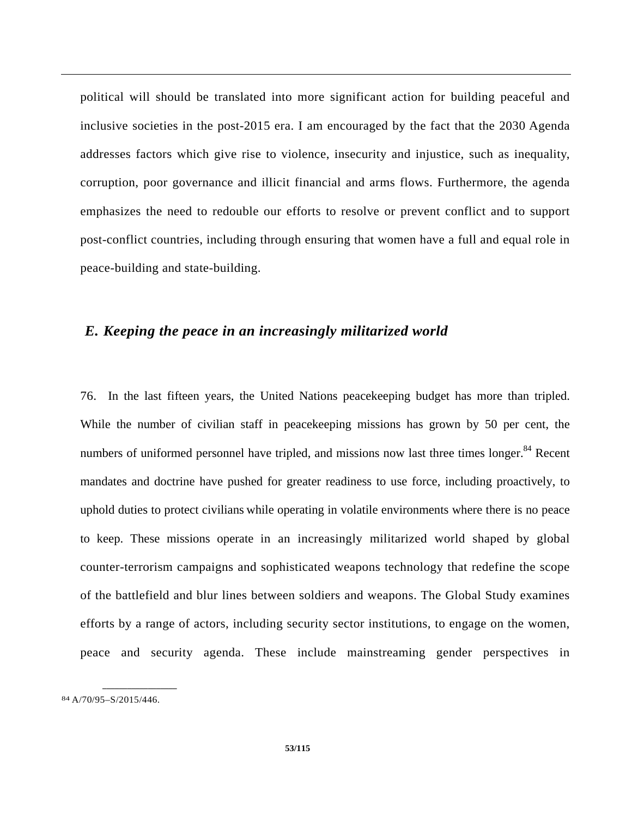political will should be translated into more significant action for building peaceful and inclusive societies in the post-2015 era. I am encouraged by the fact that the 2030 Agenda addresses factors which give rise to violence, insecurity and injustice, such as inequality, corruption, poor governance and illicit financial and arms flows. Furthermore, the agenda emphasizes the need to redouble our efforts to resolve or prevent conflict and to support post-conflict countries, including through ensuring that women have a full and equal role in peace-building and state-building.

# *E. Keeping the peace in an increasingly militarized world*

76. In the last fifteen years, the United Nations peacekeeping budget has more than tripled. While the number of civilian staff in peacekeeping missions has grown by 50 per cent, the numbers of uniformed personnel have tripled, and missions now last three times longer.<sup>84</sup> Recent mandates and doctrine have pushed for greater readiness to use force, including proactively, to uphold duties to protect civilians while operating in volatile environments where there is no peace to keep. These missions operate in an increasingly militarized world shaped by global counter-terrorism campaigns and sophisticated weapons technology that redefine the scope of the battlefield and blur lines between soldiers and weapons. The Global Study examines efforts by a range of actors, including security sector institutions, to engage on the women, peace and security agenda. These include mainstreaming gender perspectives in

<sup>84</sup> A/70/95–S/2015/446.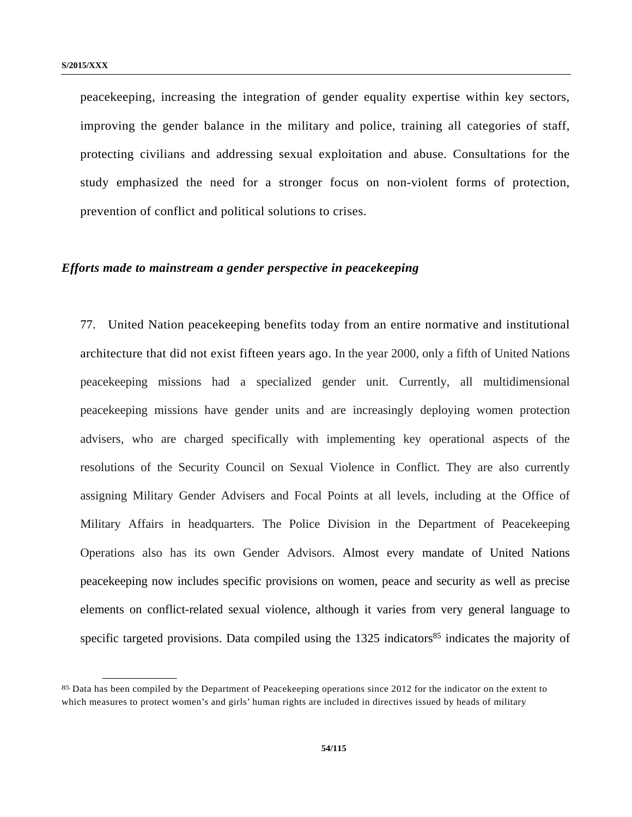peacekeeping, increasing the integration of gender equality expertise within key sectors, improving the gender balance in the military and police, training all categories of staff, protecting civilians and addressing sexual exploitation and abuse. Consultations for the study emphasized the need for a stronger focus on non-violent forms of protection, prevention of conflict and political solutions to crises.

### *Efforts made to mainstream a gender perspective in peacekeeping*

77. United Nation peacekeeping benefits today from an entire normative and institutional architecture that did not exist fifteen years ago. In the year 2000, only a fifth of United Nations peacekeeping missions had a specialized gender unit. Currently, all multidimensional peacekeeping missions have gender units and are increasingly deploying women protection advisers, who are charged specifically with implementing key operational aspects of the resolutions of the Security Council on Sexual Violence in Conflict. They are also currently assigning Military Gender Advisers and Focal Points at all levels, including at the Office of Military Affairs in headquarters. The Police Division in the Department of Peacekeeping Operations also has its own Gender Advisors. Almost every mandate of United Nations peacekeeping now includes specific provisions on women, peace and security as well as precise elements on conflict-related sexual violence, although it varies from very general language to specific targeted provisions. Data compiled using the  $1325$  indicators<sup>85</sup> indicates the majority of

<sup>85</sup> Data has been compiled by the Department of Peacekeeping operations since 2012 for the indicator on the extent to which measures to protect women's and girls' human rights are included in directives issued by heads of military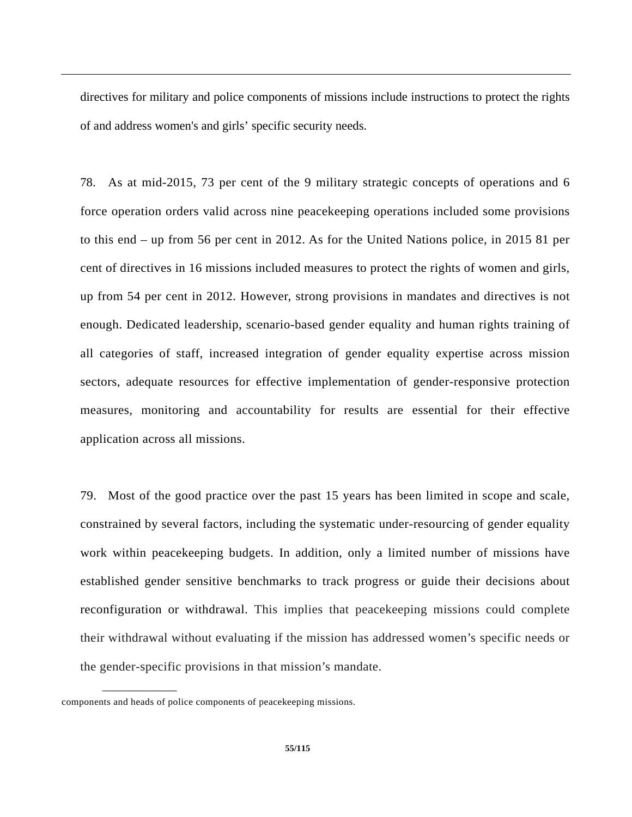directives for military and police components of missions include instructions to protect the rights of and address women's and girls' specific security needs.

78. As at mid-2015, 73 per cent of the 9 military strategic concepts of operations and 6 force operation orders valid across nine peacekeeping operations included some provisions to this end – up from 56 per cent in 2012. As for the United Nations police, in 2015 81 per cent of directives in 16 missions included measures to protect the rights of women and girls, up from 54 per cent in 2012. However, strong provisions in mandates and directives is not enough. Dedicated leadership, scenario-based gender equality and human rights training of all categories of staff, increased integration of gender equality expertise across mission sectors, adequate resources for effective implementation of gender-responsive protection measures, monitoring and accountability for results are essential for their effective application across all missions.

79. Most of the good practice over the past 15 years has been limited in scope and scale, constrained by several factors, including the systematic under-resourcing of gender equality work within peacekeeping budgets. In addition, only a limited number of missions have established gender sensitive benchmarks to track progress or guide their decisions about reconfiguration or withdrawal. This implies that peacekeeping missions could complete their withdrawal without evaluating if the mission has addressed women's specific needs or the gender-specific provisions in that mission's mandate.

components and heads of police components of peacekeeping missions.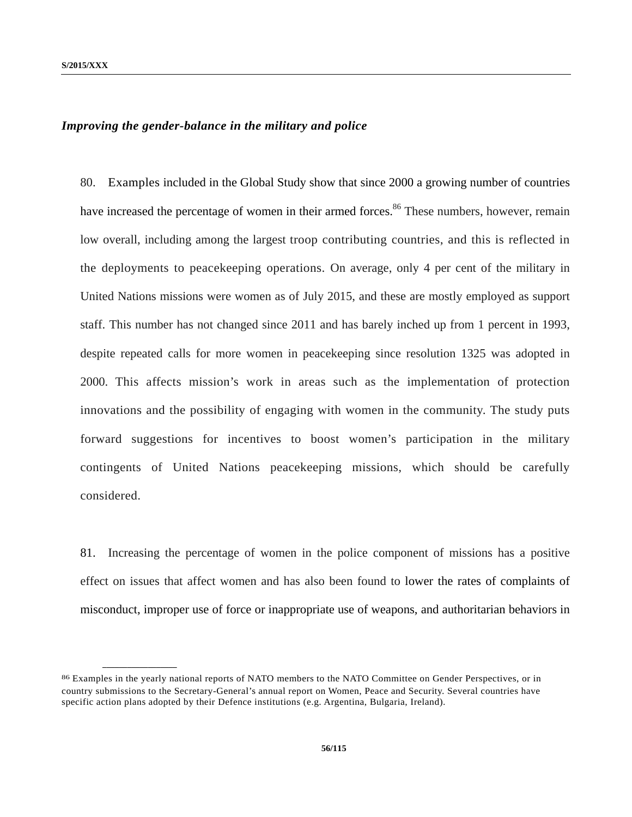# *Improving the gender-balance in the military and police*

80. Examples included in the Global Study show that since 2000 a growing number of countries have increased the percentage of women in their armed forces.<sup>86</sup> These numbers, however, remain low overall, including among the largest troop contributing countries, and this is reflected in the deployments to peacekeeping operations. On average, only 4 per cent of the military in United Nations missions were women as of July 2015, and these are mostly employed as support staff. This number has not changed since 2011 and has barely inched up from 1 percent in 1993, despite repeated calls for more women in peacekeeping since resolution 1325 was adopted in 2000. This affects mission's work in areas such as the implementation of protection innovations and the possibility of engaging with women in the community. The study puts forward suggestions for incentives to boost women's participation in the military contingents of United Nations peacekeeping missions, which should be carefully considered.

81. Increasing the percentage of women in the police component of missions has a positive effect on issues that affect women and has also been found to lower the rates of complaints of misconduct, improper use of force or inappropriate use of weapons, and authoritarian behaviors in

<sup>86</sup> Examples in the yearly national reports of NATO members to the NATO Committee on Gender Perspectives, or in country submissions to the Secretary-General's annual report on Women, Peace and Security. Several countries have specific action plans adopted by their Defence institutions (e.g. Argentina, Bulgaria, Ireland).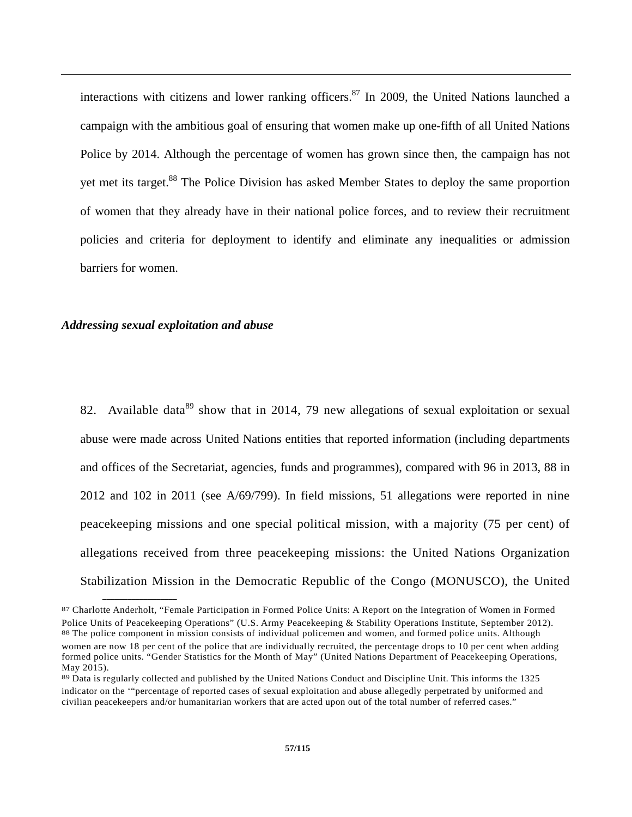interactions with citizens and lower ranking officers.<sup>87</sup> In 2009, the United Nations launched a campaign with the ambitious goal of ensuring that women make up one-fifth of all United Nations Police by 2014. Although the percentage of women has grown since then, the campaign has not yet met its target.<sup>88</sup> The Police Division has asked Member States to deploy the same proportion of women that they already have in their national police forces, and to review their recruitment policies and criteria for deployment to identify and eliminate any inequalities or admission barriers for women.

#### *Addressing sexual exploitation and abuse*

**\_\_\_\_\_\_\_\_\_\_\_\_\_\_\_\_\_\_** 

82. Available data<sup>89</sup> show that in 2014, 79 new allegations of sexual exploitation or sexual abuse were made across United Nations entities that reported information (including departments and offices of the Secretariat, agencies, funds and programmes), compared with 96 in 2013, 88 in 2012 and 102 in 2011 (see A/69/799). In field missions, 51 allegations were reported in nine peacekeeping missions and one special political mission, with a majority (75 per cent) of allegations received from three peacekeeping missions: the United Nations Organization Stabilization Mission in the Democratic Republic of the Congo (MONUSCO), the United

<sup>87</sup> Charlotte Anderholt, "Female Participation in Formed Police Units: A Report on the Integration of Women in Formed Police Units of Peacekeeping Operations" (U.S. Army Peacekeeping & Stability Operations Institute, September 2012).<br><sup>88</sup> The police component in mission consists of individual policemen and women, and formed police units. women are now 18 per cent of the police that are individually recruited, the percentage drops to 10 per cent when adding formed police units. "Gender Statistics for the Month of May" (United Nations Department of Peacekeeping Operations, May 2015).

<sup>89</sup> Data is regularly collected and published by the United Nations Conduct and Discipline Unit. This informs the 1325 indicator on the '"percentage of reported cases of sexual exploitation and abuse allegedly perpetrated by uniformed and civilian peacekeepers and/or humanitarian workers that are acted upon out of the total number of referred cases."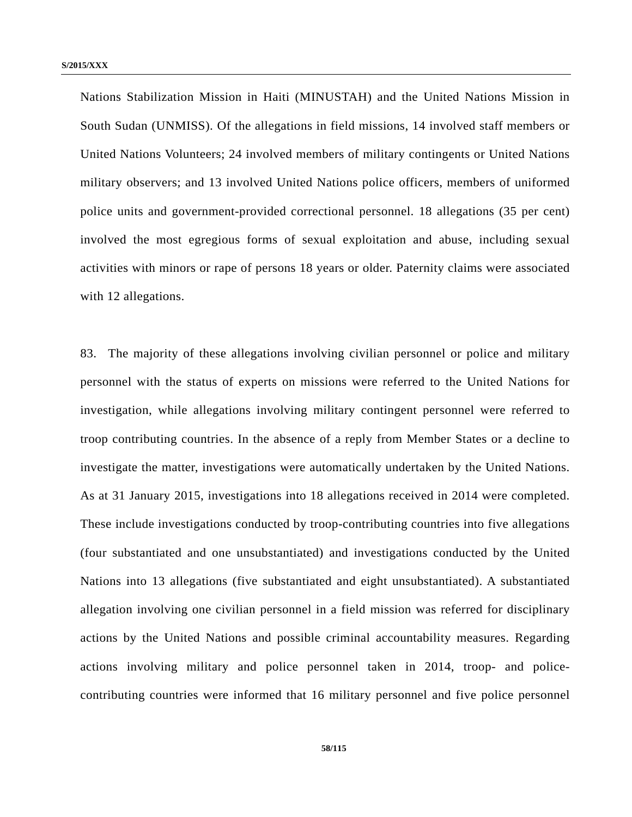Nations Stabilization Mission in Haiti (MINUSTAH) and the United Nations Mission in South Sudan (UNMISS). Of the allegations in field missions, 14 involved staff members or United Nations Volunteers; 24 involved members of military contingents or United Nations military observers; and 13 involved United Nations police officers, members of uniformed police units and government-provided correctional personnel. 18 allegations (35 per cent) involved the most egregious forms of sexual exploitation and abuse, including sexual activities with minors or rape of persons 18 years or older. Paternity claims were associated with 12 allegations.

83. The majority of these allegations involving civilian personnel or police and military personnel with the status of experts on missions were referred to the United Nations for investigation, while allegations involving military contingent personnel were referred to troop contributing countries. In the absence of a reply from Member States or a decline to investigate the matter, investigations were automatically undertaken by the United Nations. As at 31 January 2015, investigations into 18 allegations received in 2014 were completed. These include investigations conducted by troop-contributing countries into five allegations (four substantiated and one unsubstantiated) and investigations conducted by the United Nations into 13 allegations (five substantiated and eight unsubstantiated). A substantiated allegation involving one civilian personnel in a field mission was referred for disciplinary actions by the United Nations and possible criminal accountability measures. Regarding actions involving military and police personnel taken in 2014, troop- and policecontributing countries were informed that 16 military personnel and five police personnel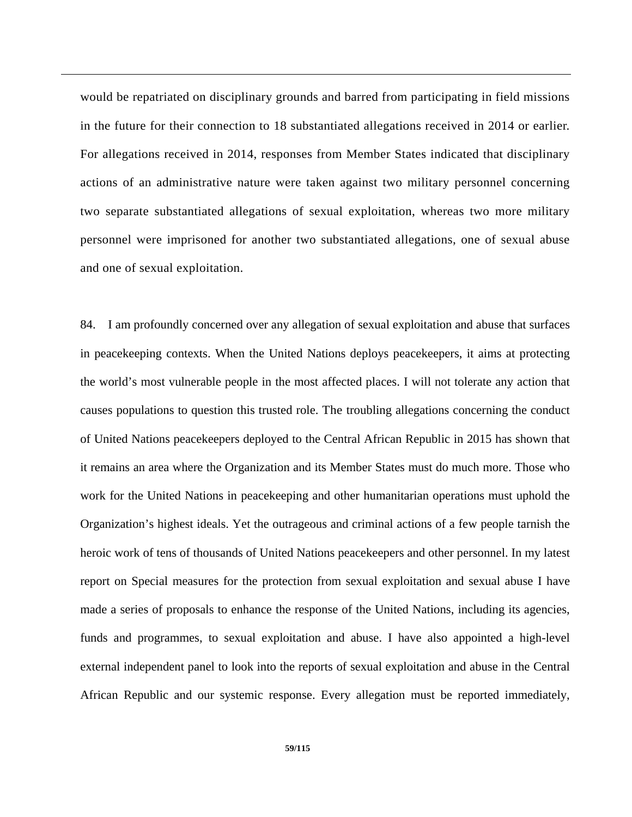would be repatriated on disciplinary grounds and barred from participating in field missions in the future for their connection to 18 substantiated allegations received in 2014 or earlier. For allegations received in 2014, responses from Member States indicated that disciplinary actions of an administrative nature were taken against two military personnel concerning two separate substantiated allegations of sexual exploitation, whereas two more military personnel were imprisoned for another two substantiated allegations, one of sexual abuse and one of sexual exploitation.

84. I am profoundly concerned over any allegation of sexual exploitation and abuse that surfaces in peacekeeping contexts. When the United Nations deploys peacekeepers, it aims at protecting the world's most vulnerable people in the most affected places. I will not tolerate any action that causes populations to question this trusted role. The troubling allegations concerning the conduct of United Nations peacekeepers deployed to the Central African Republic in 2015 has shown that it remains an area where the Organization and its Member States must do much more. Those who work for the United Nations in peacekeeping and other humanitarian operations must uphold the Organization's highest ideals. Yet the outrageous and criminal actions of a few people tarnish the heroic work of tens of thousands of United Nations peacekeepers and other personnel. In my latest report on Special measures for the protection from sexual exploitation and sexual abuse I have made a series of proposals to enhance the response of the United Nations, including its agencies, funds and programmes, to sexual exploitation and abuse. I have also appointed a high-level external independent panel to look into the reports of sexual exploitation and abuse in the Central African Republic and our systemic response. Every allegation must be reported immediately,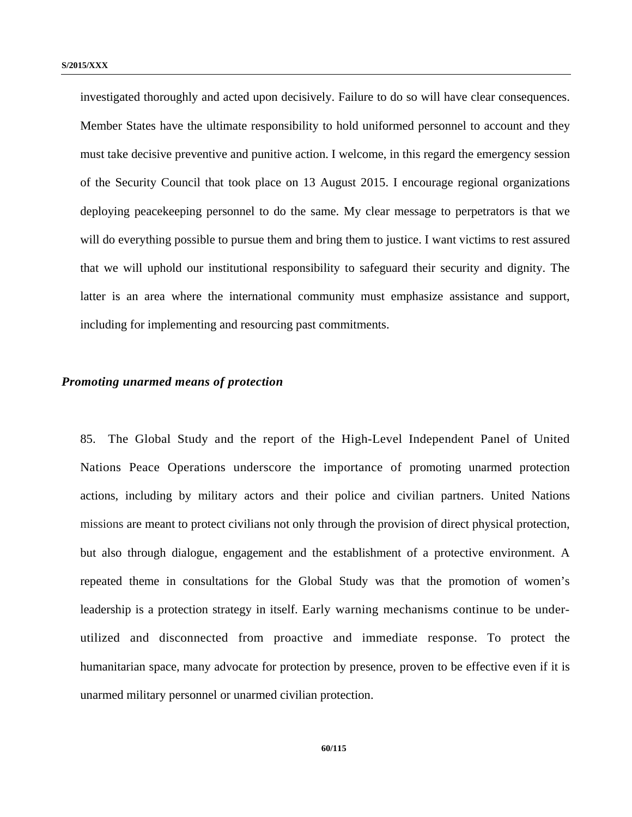investigated thoroughly and acted upon decisively. Failure to do so will have clear consequences. Member States have the ultimate responsibility to hold uniformed personnel to account and they must take decisive preventive and punitive action. I welcome, in this regard the emergency session of the Security Council that took place on 13 August 2015. I encourage regional organizations deploying peacekeeping personnel to do the same. My clear message to perpetrators is that we will do everything possible to pursue them and bring them to justice. I want victims to rest assured that we will uphold our institutional responsibility to safeguard their security and dignity. The latter is an area where the international community must emphasize assistance and support, including for implementing and resourcing past commitments.

#### *Promoting unarmed means of protection*

85. The Global Study and the report of the High-Level Independent Panel of United Nations Peace Operations underscore the importance of promoting unarmed protection actions, including by military actors and their police and civilian partners. United Nations missions are meant to protect civilians not only through the provision of direct physical protection, but also through dialogue, engagement and the establishment of a protective environment. A repeated theme in consultations for the Global Study was that the promotion of women's leadership is a protection strategy in itself. Early warning mechanisms continue to be underutilized and disconnected from proactive and immediate response. To protect the humanitarian space, many advocate for protection by presence, proven to be effective even if it is unarmed military personnel or unarmed civilian protection.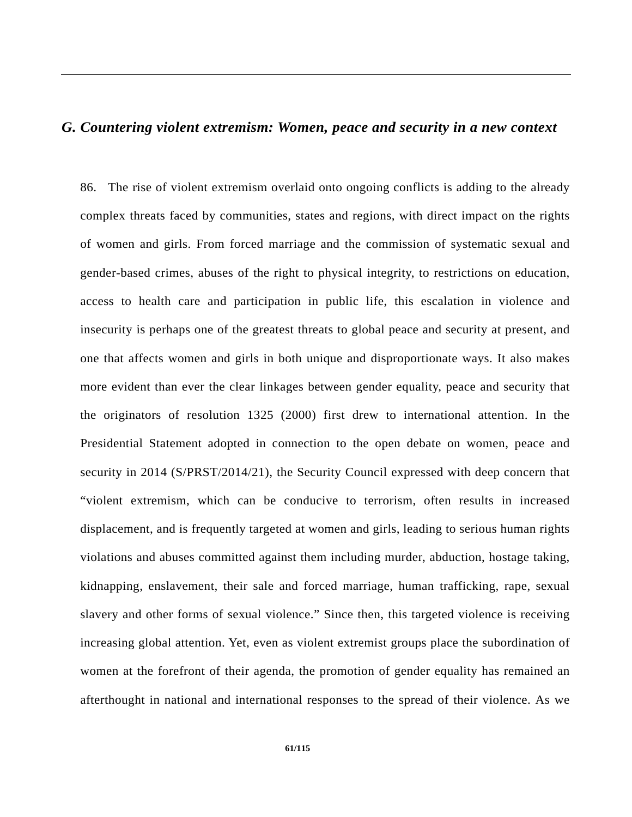# *G. Countering violent extremism: Women, peace and security in a new context*

86. The rise of violent extremism overlaid onto ongoing conflicts is adding to the already complex threats faced by communities, states and regions, with direct impact on the rights of women and girls. From forced marriage and the commission of systematic sexual and gender-based crimes, abuses of the right to physical integrity, to restrictions on education, access to health care and participation in public life, this escalation in violence and insecurity is perhaps one of the greatest threats to global peace and security at present, and one that affects women and girls in both unique and disproportionate ways. It also makes more evident than ever the clear linkages between gender equality, peace and security that the originators of resolution 1325 (2000) first drew to international attention. In the Presidential Statement adopted in connection to the open debate on women, peace and security in 2014 (S/PRST/2014/21), the Security Council expressed with deep concern that "violent extremism, which can be conducive to terrorism, often results in increased displacement, and is frequently targeted at women and girls, leading to serious human rights violations and abuses committed against them including murder, abduction, hostage taking, kidnapping, enslavement, their sale and forced marriage, human trafficking, rape, sexual slavery and other forms of sexual violence." Since then, this targeted violence is receiving increasing global attention. Yet, even as violent extremist groups place the subordination of women at the forefront of their agenda, the promotion of gender equality has remained an afterthought in national and international responses to the spread of their violence. As we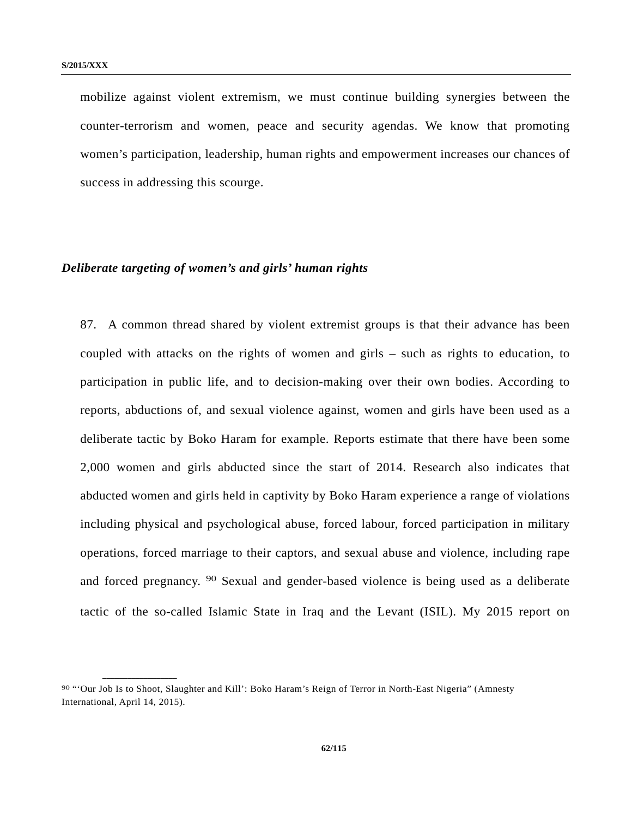mobilize against violent extremism, we must continue building synergies between the counter-terrorism and women, peace and security agendas. We know that promoting women's participation, leadership, human rights and empowerment increases our chances of success in addressing this scourge.

# *Deliberate targeting of women's and girls' human rights*

87. A common thread shared by violent extremist groups is that their advance has been coupled with attacks on the rights of women and girls – such as rights to education, to participation in public life, and to decision-making over their own bodies. According to reports, abductions of, and sexual violence against, women and girls have been used as a deliberate tactic by Boko Haram for example. Reports estimate that there have been some 2,000 women and girls abducted since the start of 2014. Research also indicates that abducted women and girls held in captivity by Boko Haram experience a range of violations including physical and psychological abuse, forced labour, forced participation in military operations, forced marriage to their captors, and sexual abuse and violence, including rape and forced pregnancy. 90 Sexual and gender-based violence is being used as a deliberate tactic of the so-called Islamic State in Iraq and the Levant (ISIL). My 2015 report on

<sup>90 &</sup>quot;'Our Job Is to Shoot, Slaughter and Kill': Boko Haram's Reign of Terror in North-East Nigeria" (Amnesty International, April 14, 2015).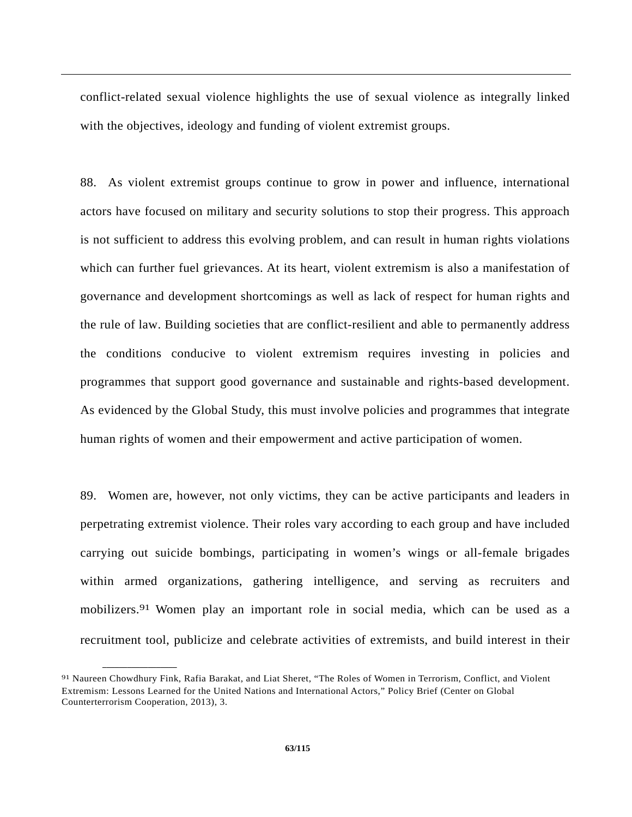conflict-related sexual violence highlights the use of sexual violence as integrally linked with the objectives, ideology and funding of violent extremist groups.

88. As violent extremist groups continue to grow in power and influence, international actors have focused on military and security solutions to stop their progress. This approach is not sufficient to address this evolving problem, and can result in human rights violations which can further fuel grievances. At its heart, violent extremism is also a manifestation of governance and development shortcomings as well as lack of respect for human rights and the rule of law. Building societies that are conflict-resilient and able to permanently address the conditions conducive to violent extremism requires investing in policies and programmes that support good governance and sustainable and rights-based development. As evidenced by the Global Study, this must involve policies and programmes that integrate human rights of women and their empowerment and active participation of women.

89. Women are, however, not only victims, they can be active participants and leaders in perpetrating extremist violence. Their roles vary according to each group and have included carrying out suicide bombings, participating in women's wings or all-female brigades within armed organizations, gathering intelligence, and serving as recruiters and mobilizers.<sup>91</sup> Women play an important role in social media, which can be used as a recruitment tool, publicize and celebrate activities of extremists, and build interest in their

<sup>91</sup> Naureen Chowdhury Fink, Rafia Barakat, and Liat Sheret, "The Roles of Women in Terrorism, Conflict, and Violent Extremism: Lessons Learned for the United Nations and International Actors," Policy Brief (Center on Global Counterterrorism Cooperation, 2013), 3.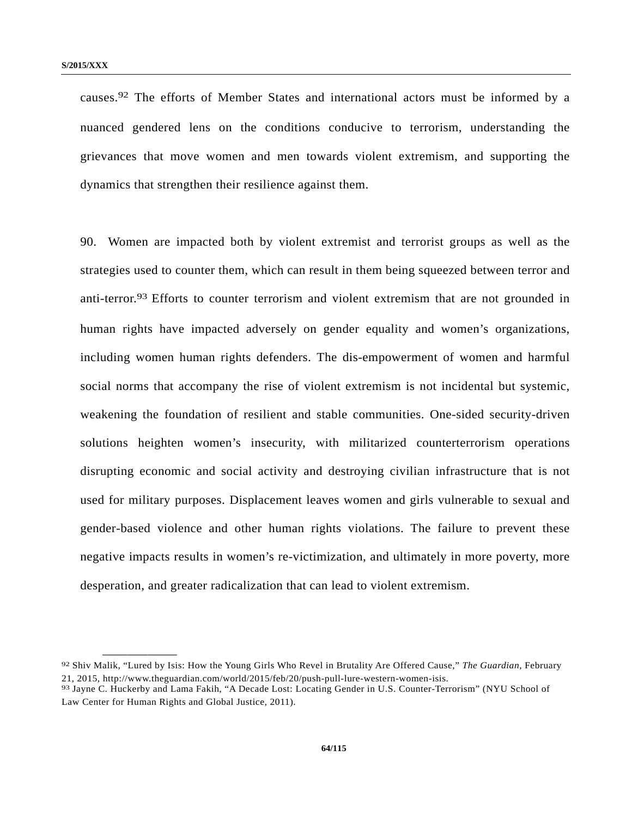**\_\_\_\_\_\_\_\_\_\_\_\_\_\_\_\_\_\_** 

causes.92 The efforts of Member States and international actors must be informed by a nuanced gendered lens on the conditions conducive to terrorism, understanding the grievances that move women and men towards violent extremism, and supporting the dynamics that strengthen their resilience against them.

90. Women are impacted both by violent extremist and terrorist groups as well as the strategies used to counter them, which can result in them being squeezed between terror and anti-terror.93 Efforts to counter terrorism and violent extremism that are not grounded in human rights have impacted adversely on gender equality and women's organizations, including women human rights defenders. The dis-empowerment of women and harmful social norms that accompany the rise of violent extremism is not incidental but systemic, weakening the foundation of resilient and stable communities. One-sided security-driven solutions heighten women's insecurity, with militarized counterterrorism operations disrupting economic and social activity and destroying civilian infrastructure that is not used for military purposes. Displacement leaves women and girls vulnerable to sexual and gender-based violence and other human rights violations. The failure to prevent these negative impacts results in women's re-victimization, and ultimately in more poverty, more desperation, and greater radicalization that can lead to violent extremism.

<sup>92</sup> Shiv Malik, "Lured by Isis: How the Young Girls Who Revel in Brutality Are Offered Cause," *The Guardian*, February 21, 2015, http://www.theguardian.com/world/2015/feb/20/push-pull-lure-western-women-isis.<br><sup>93</sup> Jayne C. Huckerby and Lama Fakih, "A Decade Lost: Locating Gender in U.S. Counter-Terrorism" (NYU School of

Law Center for Human Rights and Global Justice, 2011).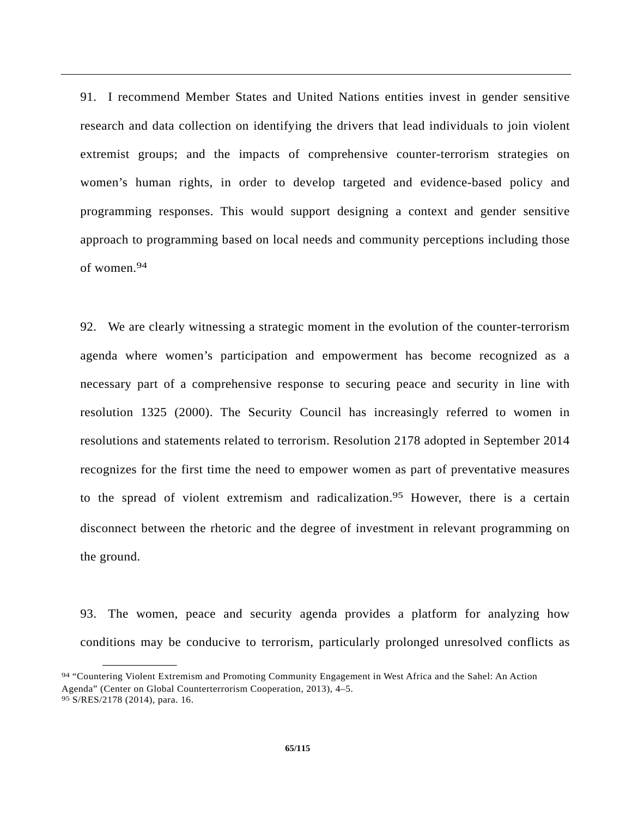91. I recommend Member States and United Nations entities invest in gender sensitive research and data collection on identifying the drivers that lead individuals to join violent extremist groups; and the impacts of comprehensive counter-terrorism strategies on women's human rights, in order to develop targeted and evidence-based policy and programming responses. This would support designing a context and gender sensitive approach to programming based on local needs and community perceptions including those of women.94

92. We are clearly witnessing a strategic moment in the evolution of the counter-terrorism agenda where women's participation and empowerment has become recognized as a necessary part of a comprehensive response to securing peace and security in line with resolution 1325 (2000). The Security Council has increasingly referred to women in resolutions and statements related to terrorism. Resolution 2178 adopted in September 2014 recognizes for the first time the need to empower women as part of preventative measures to the spread of violent extremism and radicalization.<sup>95</sup> However, there is a certain disconnect between the rhetoric and the degree of investment in relevant programming on the ground.

93. The women, peace and security agenda provides a platform for analyzing how conditions may be conducive to terrorism, particularly prolonged unresolved conflicts as

<sup>94 &</sup>quot;Countering Violent Extremism and Promoting Community Engagement in West Africa and the Sahel: An Action Agenda" (Center on Global Counterterrorism Cooperation, 2013), 4–5. 95 S/RES/2178 (2014), para. 16.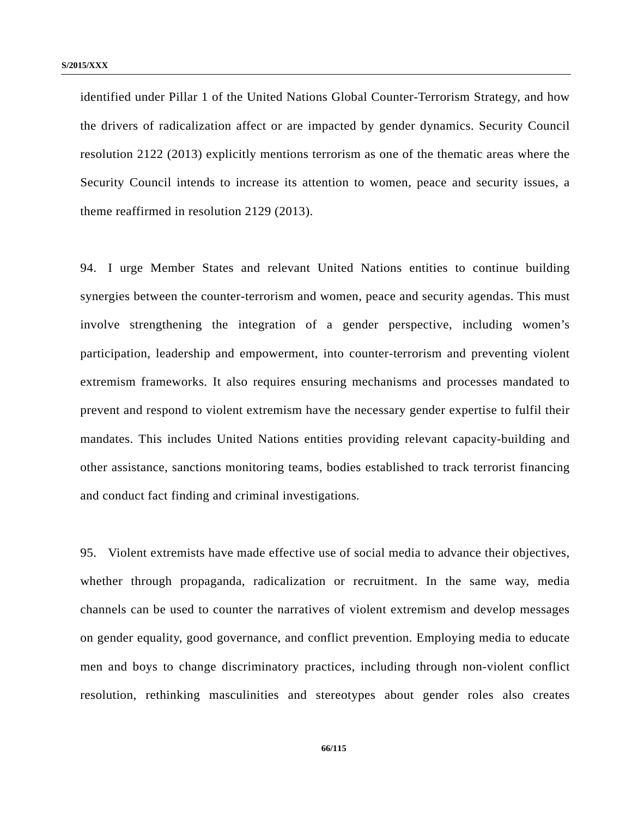identified under Pillar 1 of the United Nations Global Counter-Terrorism Strategy, and how the drivers of radicalization affect or are impacted by gender dynamics. Security Council resolution 2122 (2013) explicitly mentions terrorism as one of the thematic areas where the Security Council intends to increase its attention to women, peace and security issues, a theme reaffirmed in resolution 2129 (2013).

94. I urge Member States and relevant United Nations entities to continue building synergies between the counter-terrorism and women, peace and security agendas. This must involve strengthening the integration of a gender perspective, including women's participation, leadership and empowerment, into counter-terrorism and preventing violent extremism frameworks. It also requires ensuring mechanisms and processes mandated to prevent and respond to violent extremism have the necessary gender expertise to fulfil their mandates. This includes United Nations entities providing relevant capacity-building and other assistance, sanctions monitoring teams, bodies established to track terrorist financing and conduct fact finding and criminal investigations*.*

95. Violent extremists have made effective use of social media to advance their objectives, whether through propaganda, radicalization or recruitment. In the same way, media channels can be used to counter the narratives of violent extremism and develop messages on gender equality, good governance, and conflict prevention. Employing media to educate men and boys to change discriminatory practices, including through non-violent conflict resolution, rethinking masculinities and stereotypes about gender roles also creates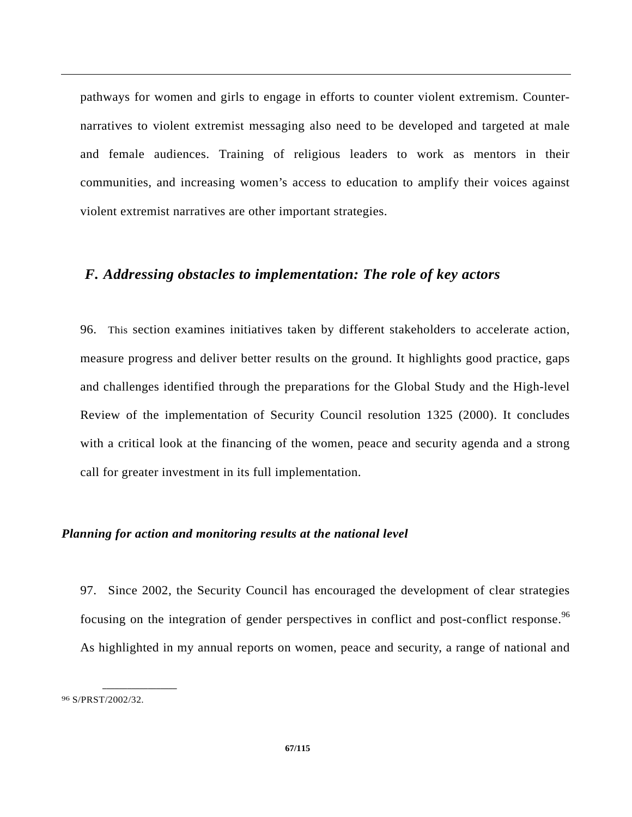pathways for women and girls to engage in efforts to counter violent extremism. Counternarratives to violent extremist messaging also need to be developed and targeted at male and female audiences. Training of religious leaders to work as mentors in their communities, and increasing women's access to education to amplify their voices against violent extremist narratives are other important strategies.

# *F. Addressing obstacles to implementation: The role of key actors*

96. This section examines initiatives taken by different stakeholders to accelerate action, measure progress and deliver better results on the ground. It highlights good practice, gaps and challenges identified through the preparations for the Global Study and the High-level Review of the implementation of Security Council resolution 1325 (2000). It concludes with a critical look at the financing of the women, peace and security agenda and a strong call for greater investment in its full implementation.

### *Planning for action and monitoring results at the national level*

97. Since 2002, the Security Council has encouraged the development of clear strategies focusing on the integration of gender perspectives in conflict and post-conflict response.<sup>96</sup> As highlighted in my annual reports on women, peace and security, a range of national and

<sup>96</sup> S/PRST/2002/32.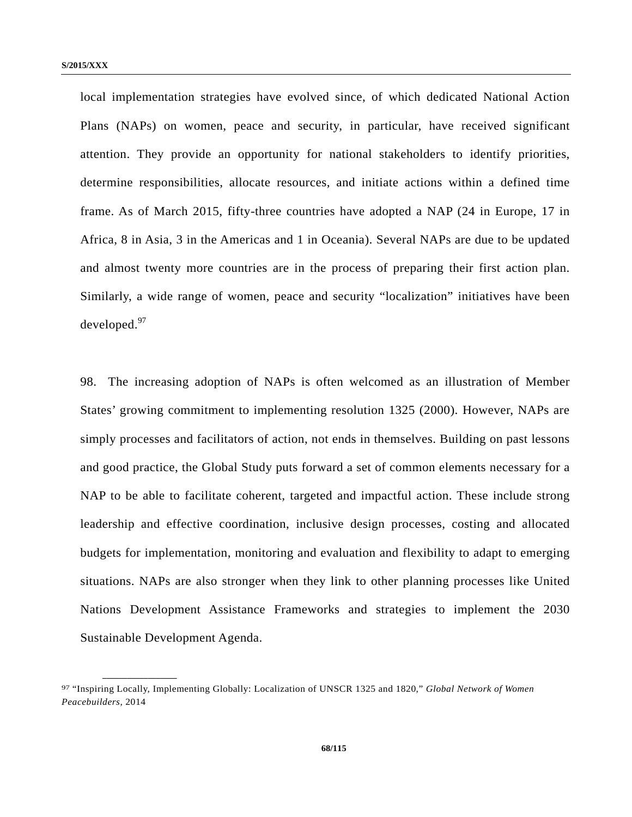local implementation strategies have evolved since, of which dedicated National Action Plans (NAPs) on women, peace and security, in particular, have received significant attention. They provide an opportunity for national stakeholders to identify priorities, determine responsibilities, allocate resources, and initiate actions within a defined time frame. As of March 2015, fifty-three countries have adopted a NAP (24 in Europe, 17 in Africa, 8 in Asia, 3 in the Americas and 1 in Oceania). Several NAPs are due to be updated and almost twenty more countries are in the process of preparing their first action plan. Similarly, a wide range of women, peace and security "localization" initiatives have been developed.<sup>97</sup>

98. The increasing adoption of NAPs is often welcomed as an illustration of Member States' growing commitment to implementing resolution 1325 (2000). However, NAPs are simply processes and facilitators of action, not ends in themselves. Building on past lessons and good practice, the Global Study puts forward a set of common elements necessary for a NAP to be able to facilitate coherent, targeted and impactful action. These include strong leadership and effective coordination, inclusive design processes, costing and allocated budgets for implementation, monitoring and evaluation and flexibility to adapt to emerging situations. NAPs are also stronger when they link to other planning processes like United Nations Development Assistance Frameworks and strategies to implement the 2030 Sustainable Development Agenda.

<sup>97 &</sup>quot;Inspiring Locally, Implementing Globally: Localization of UNSCR 1325 and 1820," *Global Network of Women Peacebuilders*, 2014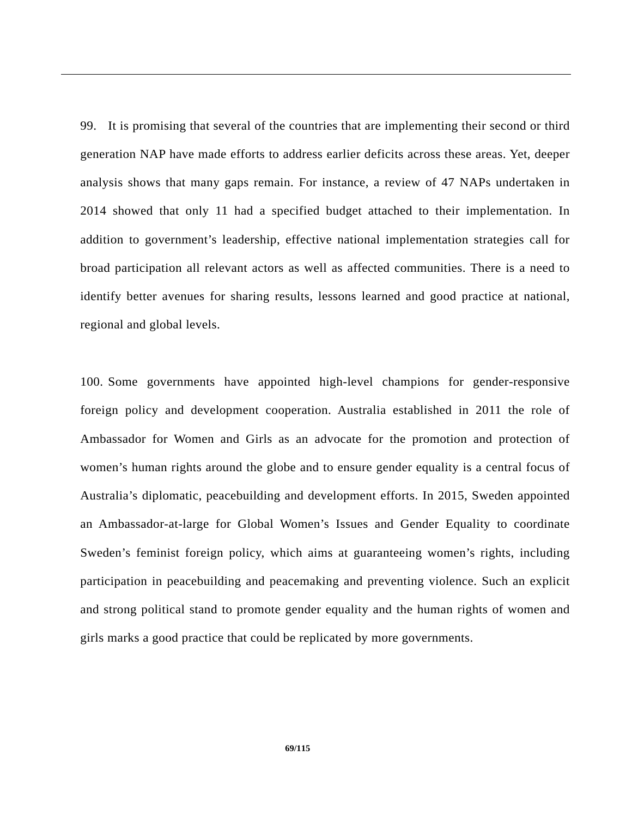99. It is promising that several of the countries that are implementing their second or third generation NAP have made efforts to address earlier deficits across these areas. Yet, deeper analysis shows that many gaps remain. For instance, a review of 47 NAPs undertaken in 2014 showed that only 11 had a specified budget attached to their implementation. In addition to government's leadership, effective national implementation strategies call for broad participation all relevant actors as well as affected communities. There is a need to identify better avenues for sharing results, lessons learned and good practice at national, regional and global levels.

100. Some governments have appointed high-level champions for gender-responsive foreign policy and development cooperation. Australia established in 2011 the role of Ambassador for Women and Girls as an advocate for the promotion and protection of women's human rights around the globe and to ensure gender equality is a central focus of Australia's diplomatic, peacebuilding and development efforts. In 2015, Sweden appointed an Ambassador-at-large for Global Women's Issues and Gender Equality to coordinate Sweden's feminist foreign policy, which aims at guaranteeing women's rights, including participation in peacebuilding and peacemaking and preventing violence. Such an explicit and strong political stand to promote gender equality and the human rights of women and girls marks a good practice that could be replicated by more governments.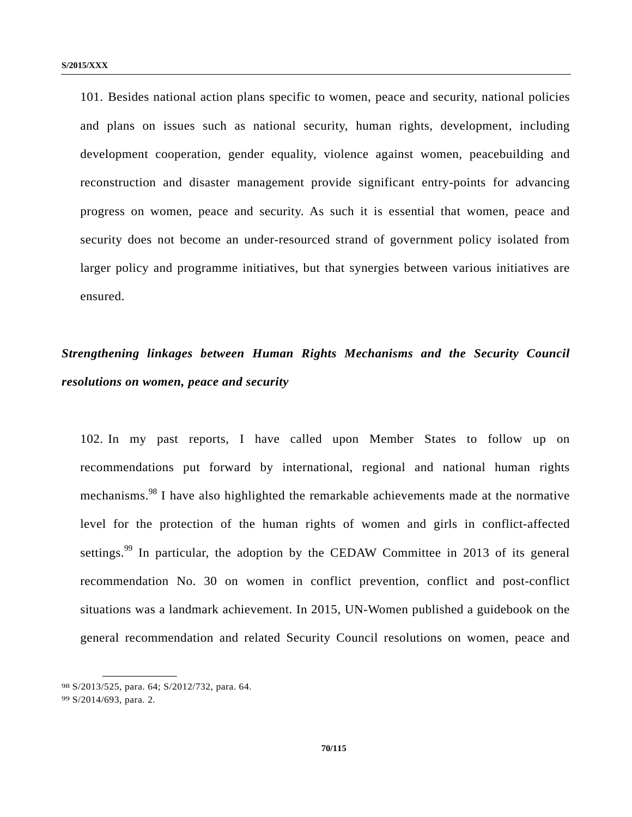101. Besides national action plans specific to women, peace and security, national policies and plans on issues such as national security, human rights, development, including development cooperation, gender equality, violence against women, peacebuilding and reconstruction and disaster management provide significant entry-points for advancing progress on women, peace and security. As such it is essential that women, peace and security does not become an under-resourced strand of government policy isolated from larger policy and programme initiatives, but that synergies between various initiatives are ensured.

# *Strengthening linkages between Human Rights Mechanisms and the Security Council resolutions on women, peace and security*

102. In my past reports, I have called upon Member States to follow up on recommendations put forward by international, regional and national human rights mechanisms.98 I have also highlighted the remarkable achievements made at the normative level for the protection of the human rights of women and girls in conflict-affected settings.<sup>99</sup> In particular, the adoption by the CEDAW Committee in 2013 of its general recommendation No. 30 on women in conflict prevention, conflict and post-conflict situations was a landmark achievement. In 2015, UN-Women published a guidebook on the general recommendation and related Security Council resolutions on women, peace and

<sup>98</sup> S/2013/525, para. 64; S/2012/732, para. 64.

<sup>99</sup> S/2014/693, para. 2.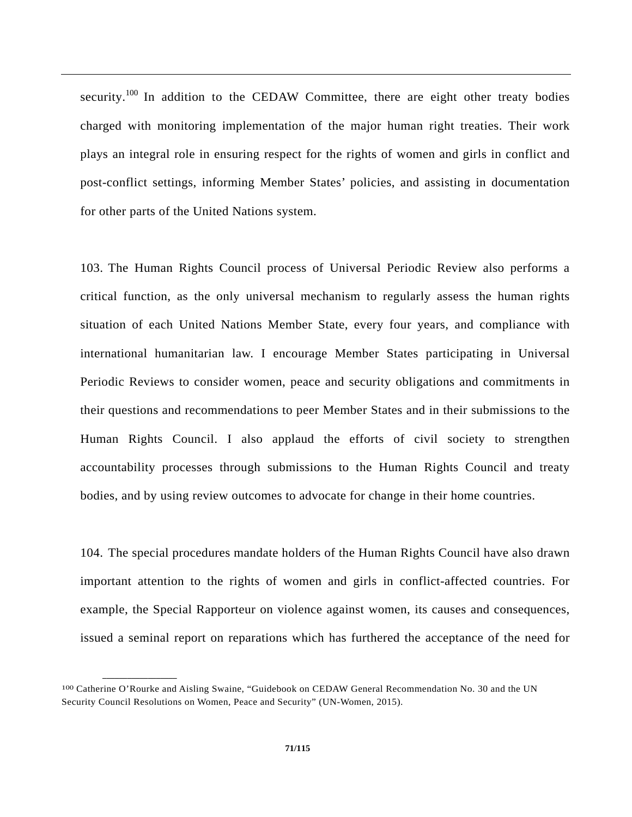security.<sup>100</sup> In addition to the CEDAW Committee, there are eight other treaty bodies charged with monitoring implementation of the major human right treaties. Their work plays an integral role in ensuring respect for the rights of women and girls in conflict and post-conflict settings, informing Member States' policies, and assisting in documentation for other parts of the United Nations system.

103. The Human Rights Council process of Universal Periodic Review also performs a critical function, as the only universal mechanism to regularly assess the human rights situation of each United Nations Member State, every four years, and compliance with international humanitarian law. I encourage Member States participating in Universal Periodic Reviews to consider women, peace and security obligations and commitments in their questions and recommendations to peer Member States and in their submissions to the Human Rights Council. I also applaud the efforts of civil society to strengthen accountability processes through submissions to the Human Rights Council and treaty bodies, and by using review outcomes to advocate for change in their home countries.

104. The special procedures mandate holders of the Human Rights Council have also drawn important attention to the rights of women and girls in conflict-affected countries. For example, the Special Rapporteur on violence against women, its causes and consequences, issued a seminal report on reparations which has furthered the acceptance of the need for

<sup>100</sup> Catherine O'Rourke and Aisling Swaine, "Guidebook on CEDAW General Recommendation No. 30 and the UN Security Council Resolutions on Women, Peace and Security" (UN-Women, 2015).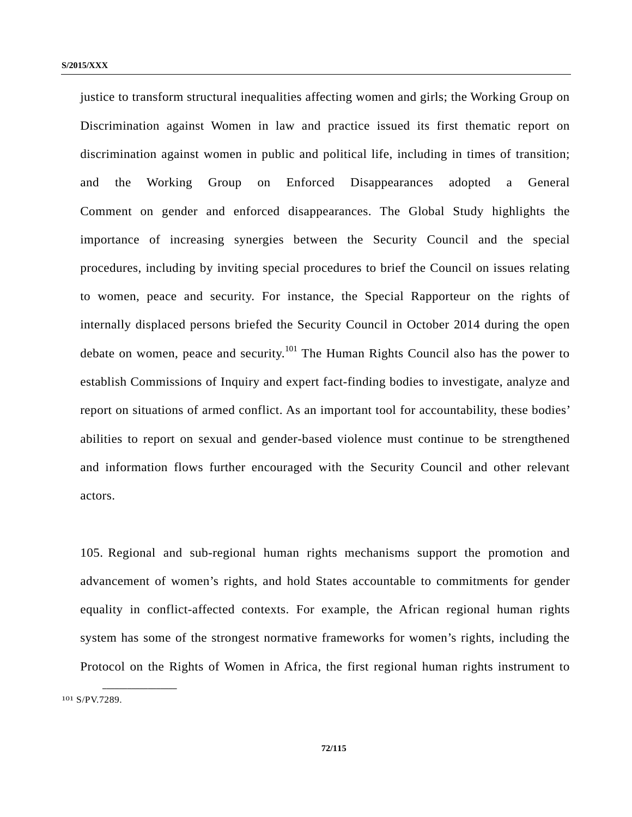justice to transform structural inequalities affecting women and girls; the Working Group on Discrimination against Women in law and practice issued its first thematic report on discrimination against women in public and political life, including in times of transition; and the Working Group on Enforced Disappearances adopted a General Comment on gender and enforced disappearances. The Global Study highlights the importance of increasing synergies between the Security Council and the special procedures, including by inviting special procedures to brief the Council on issues relating to women, peace and security. For instance, the Special Rapporteur on the rights of internally displaced persons briefed the Security Council in October 2014 during the open debate on women, peace and security.<sup>101</sup> The Human Rights Council also has the power to establish Commissions of Inquiry and expert fact-finding bodies to investigate, analyze and report on situations of armed conflict. As an important tool for accountability, these bodies' abilities to report on sexual and gender-based violence must continue to be strengthened and information flows further encouraged with the Security Council and other relevant actors.

105. Regional and sub-regional human rights mechanisms support the promotion and advancement of women's rights, and hold States accountable to commitments for gender equality in conflict-affected contexts. For example, the African regional human rights system has some of the strongest normative frameworks for women's rights, including the Protocol on the Rights of Women in Africa, the first regional human rights instrument to

<sup>101</sup> S/PV.7289.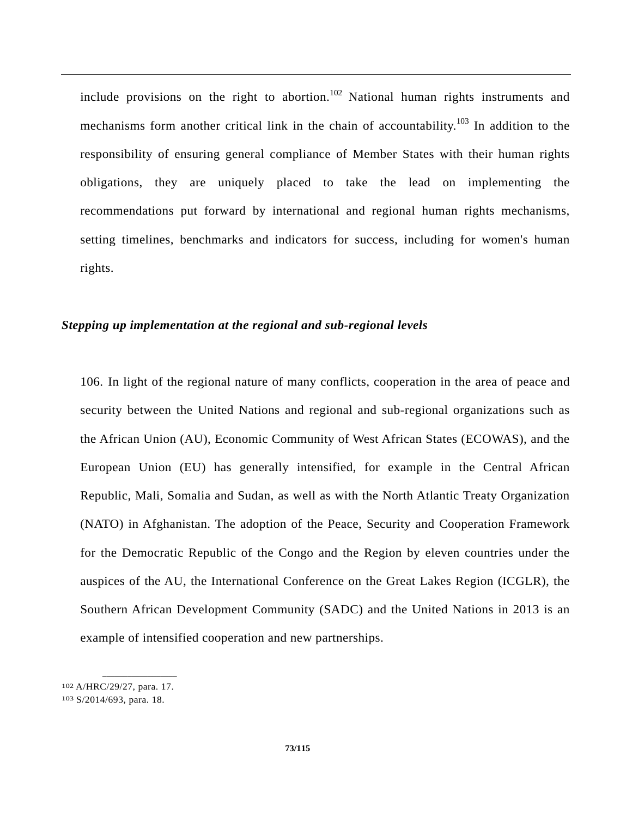include provisions on the right to abortion.<sup>102</sup> National human rights instruments and mechanisms form another critical link in the chain of accountability.<sup>103</sup> In addition to the responsibility of ensuring general compliance of Member States with their human rights obligations, they are uniquely placed to take the lead on implementing the recommendations put forward by international and regional human rights mechanisms, setting timelines, benchmarks and indicators for success, including for women's human rights.

### *Stepping up implementation at the regional and sub-regional levels*

106. In light of the regional nature of many conflicts, cooperation in the area of peace and security between the United Nations and regional and sub-regional organizations such as the African Union (AU), Economic Community of West African States (ECOWAS), and the European Union (EU) has generally intensified, for example in the Central African Republic, Mali, Somalia and Sudan, as well as with the North Atlantic Treaty Organization (NATO) in Afghanistan. The adoption of the Peace, Security and Cooperation Framework for the Democratic Republic of the Congo and the Region by eleven countries under the auspices of the AU, the International Conference on the Great Lakes Region (ICGLR), the Southern African Development Community (SADC) and the United Nations in 2013 is an example of intensified cooperation and new partnerships.

<sup>102</sup> A/HRC/29/27, para. 17.

<sup>103</sup> S/2014/693, para. 18.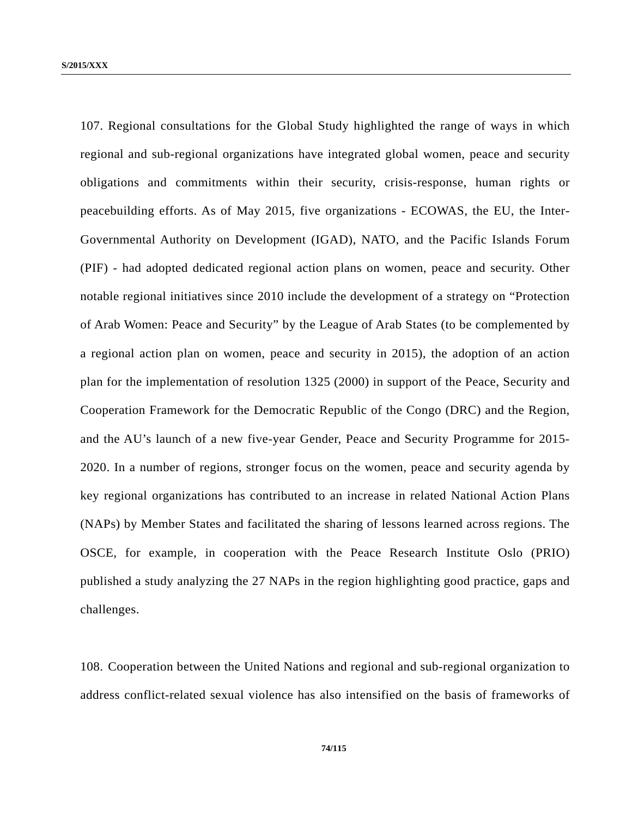107. Regional consultations for the Global Study highlighted the range of ways in which regional and sub-regional organizations have integrated global women, peace and security obligations and commitments within their security, crisis-response, human rights or peacebuilding efforts. As of May 2015, five organizations - ECOWAS, the EU, the Inter-Governmental Authority on Development (IGAD), NATO, and the Pacific Islands Forum (PIF) - had adopted dedicated regional action plans on women, peace and security. Other notable regional initiatives since 2010 include the development of a strategy on "Protection of Arab Women: Peace and Security" by the League of Arab States (to be complemented by a regional action plan on women, peace and security in 2015), the adoption of an action plan for the implementation of resolution 1325 (2000) in support of the Peace, Security and Cooperation Framework for the Democratic Republic of the Congo (DRC) and the Region, and the AU's launch of a new five-year Gender, Peace and Security Programme for 2015- 2020. In a number of regions, stronger focus on the women, peace and security agenda by key regional organizations has contributed to an increase in related National Action Plans (NAPs) by Member States and facilitated the sharing of lessons learned across regions. The OSCE, for example, in cooperation with the Peace Research Institute Oslo (PRIO) published a study analyzing the 27 NAPs in the region highlighting good practice, gaps and challenges.

108. Cooperation between the United Nations and regional and sub-regional organization to address conflict-related sexual violence has also intensified on the basis of frameworks of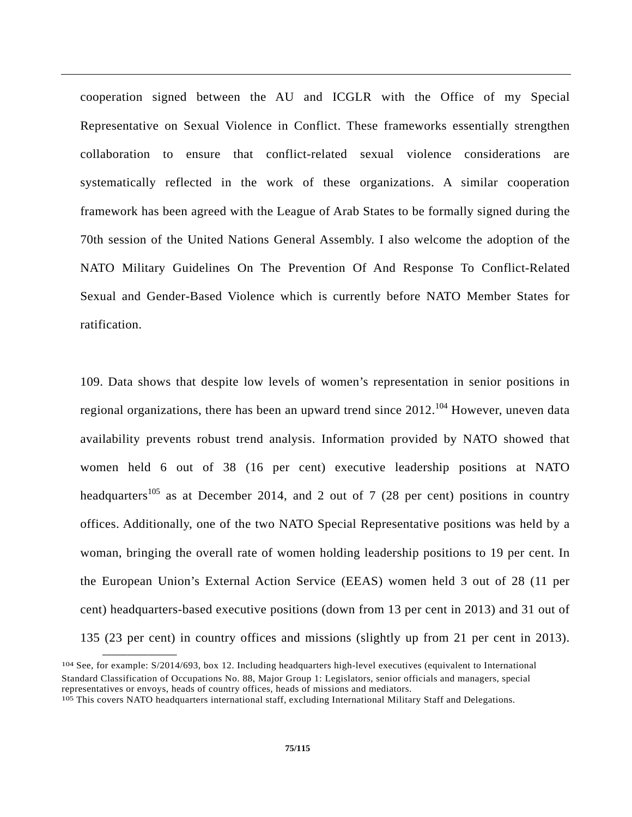cooperation signed between the AU and ICGLR with the Office of my Special Representative on Sexual Violence in Conflict. These frameworks essentially strengthen collaboration to ensure that conflict-related sexual violence considerations are systematically reflected in the work of these organizations. A similar cooperation framework has been agreed with the League of Arab States to be formally signed during the 70th session of the United Nations General Assembly. I also welcome the adoption of the NATO Military Guidelines On The Prevention Of And Response To Conflict-Related Sexual and Gender-Based Violence which is currently before NATO Member States for ratification.

109. Data shows that despite low levels of women's representation in senior positions in regional organizations, there has been an upward trend since  $2012$ <sup>104</sup> However, uneven data availability prevents robust trend analysis. Information provided by NATO showed that women held 6 out of 38 (16 per cent) executive leadership positions at NATO headquarters<sup>105</sup> as at December 2014, and 2 out of 7 (28 per cent) positions in country offices. Additionally, one of the two NATO Special Representative positions was held by a woman, bringing the overall rate of women holding leadership positions to 19 per cent. In the European Union's External Action Service (EEAS) women held 3 out of 28 (11 per cent) headquarters-based executive positions (down from 13 per cent in 2013) and 31 out of 135 (23 per cent) in country offices and missions (slightly up from 21 per cent in 2013).

<sup>104</sup> See, for example: S/2014/693, box 12. Including headquarters high-level executives (equivalent to International Standard Classification of Occupations No. 88, Major Group 1: Legislators, senior officials and managers, special representatives or envoys, heads of country offices, heads of missions and mediators.<br><sup>105</sup> This covers NATO headquarters international staff, excluding International Military Staff and Delegations.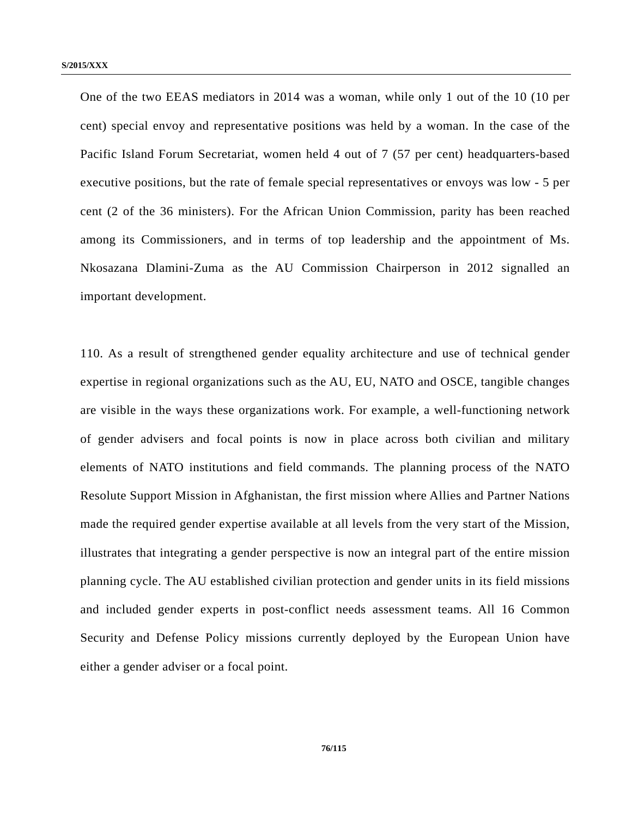One of the two EEAS mediators in 2014 was a woman, while only 1 out of the 10 (10 per cent) special envoy and representative positions was held by a woman. In the case of the Pacific Island Forum Secretariat, women held 4 out of 7 (57 per cent) headquarters-based executive positions, but the rate of female special representatives or envoys was low - 5 per cent (2 of the 36 ministers). For the African Union Commission, parity has been reached among its Commissioners, and in terms of top leadership and the appointment of Ms. Nkosazana Dlamini-Zuma as the AU Commission Chairperson in 2012 signalled an important development.

110. As a result of strengthened gender equality architecture and use of technical gender expertise in regional organizations such as the AU, EU, NATO and OSCE, tangible changes are visible in the ways these organizations work. For example, a well-functioning network of gender advisers and focal points is now in place across both civilian and military elements of NATO institutions and field commands. The planning process of the NATO Resolute Support Mission in Afghanistan, the first mission where Allies and Partner Nations made the required gender expertise available at all levels from the very start of the Mission, illustrates that integrating a gender perspective is now an integral part of the entire mission planning cycle. The AU established civilian protection and gender units in its field missions and included gender experts in post-conflict needs assessment teams. All 16 Common Security and Defense Policy missions currently deployed by the European Union have either a gender adviser or a focal point.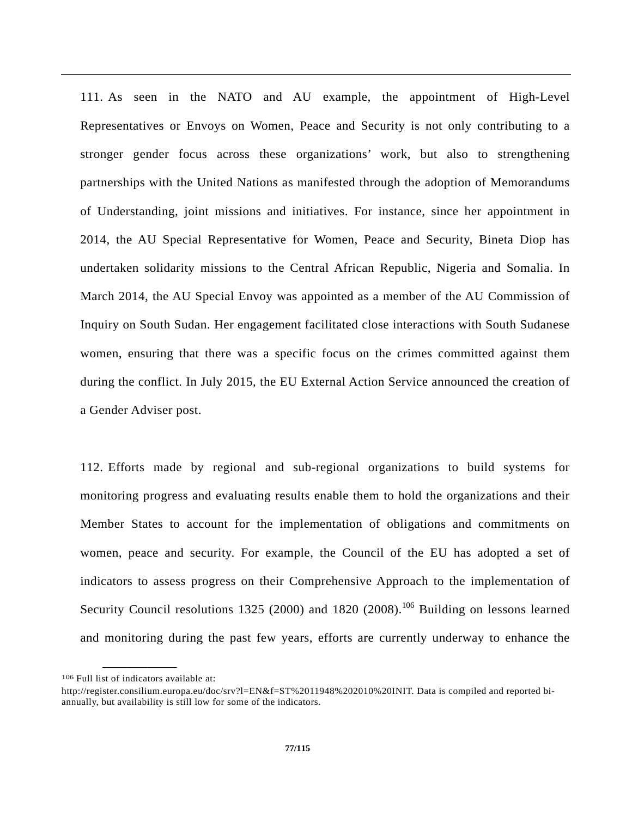111. As seen in the NATO and AU example, the appointment of High-Level Representatives or Envoys on Women, Peace and Security is not only contributing to a stronger gender focus across these organizations' work, but also to strengthening partnerships with the United Nations as manifested through the adoption of Memorandums of Understanding, joint missions and initiatives. For instance, since her appointment in 2014, the AU Special Representative for Women, Peace and Security, Bineta Diop has undertaken solidarity missions to the Central African Republic, Nigeria and Somalia. In March 2014, the AU Special Envoy was appointed as a member of the AU Commission of Inquiry on South Sudan. Her engagement facilitated close interactions with South Sudanese women, ensuring that there was a specific focus on the crimes committed against them during the conflict. In July 2015, the EU External Action Service announced the creation of a Gender Adviser post.

112. Efforts made by regional and sub-regional organizations to build systems for monitoring progress and evaluating results enable them to hold the organizations and their Member States to account for the implementation of obligations and commitments on women, peace and security. For example, the Council of the EU has adopted a set of indicators to assess progress on their Comprehensive Approach to the implementation of Security Council resolutions 1325 (2000) and 1820 (2008).<sup>106</sup> Building on lessons learned and monitoring during the past few years, efforts are currently underway to enhance the

**\_\_\_\_\_\_\_\_\_\_\_\_\_\_\_\_\_\_**  106 Full list of indicators available at:

http://register.consilium.europa.eu/doc/srv?l=EN&f=ST%2011948%202010%20INIT. Data is compiled and reported biannually, but availability is still low for some of the indicators.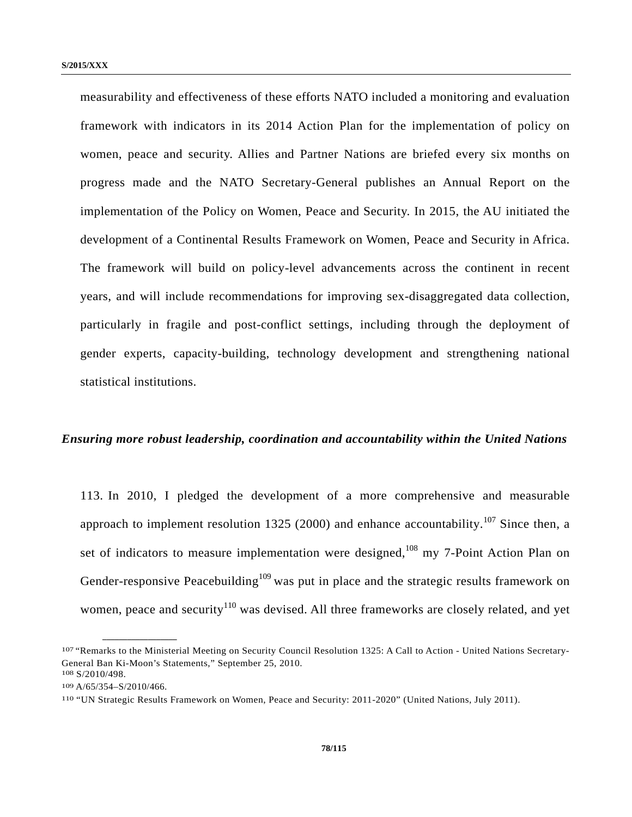measurability and effectiveness of these efforts NATO included a monitoring and evaluation framework with indicators in its 2014 Action Plan for the implementation of policy on women, peace and security. Allies and Partner Nations are briefed every six months on progress made and the NATO Secretary-General publishes an Annual Report on the implementation of the Policy on Women, Peace and Security. In 2015, the AU initiated the development of a Continental Results Framework on Women, Peace and Security in Africa. The framework will build on policy-level advancements across the continent in recent years, and will include recommendations for improving sex-disaggregated data collection, particularly in fragile and post-conflict settings, including through the deployment of gender experts, capacity-building, technology development and strengthening national statistical institutions.

#### *Ensuring more robust leadership, coordination and accountability within the United Nations*

113. In 2010, I pledged the development of a more comprehensive and measurable approach to implement resolution 1325 (2000) and enhance accountability.<sup>107</sup> Since then, a set of indicators to measure implementation were designed,<sup>108</sup> my 7-Point Action Plan on Gender-responsive Peacebuilding<sup>109</sup> was put in place and the strategic results framework on women, peace and security<sup>110</sup> was devised. All three frameworks are closely related, and yet

<sup>107 &</sup>quot;Remarks to the Ministerial Meeting on Security Council Resolution 1325: A Call to Action - United Nations Secretary-General Ban Ki-Moon's Statements," September 25, 2010. 108 S/2010/498.

<sup>109</sup> A/65/354–S/2010/466.

<sup>110 &</sup>quot;UN Strategic Results Framework on Women, Peace and Security: 2011-2020" (United Nations, July 2011).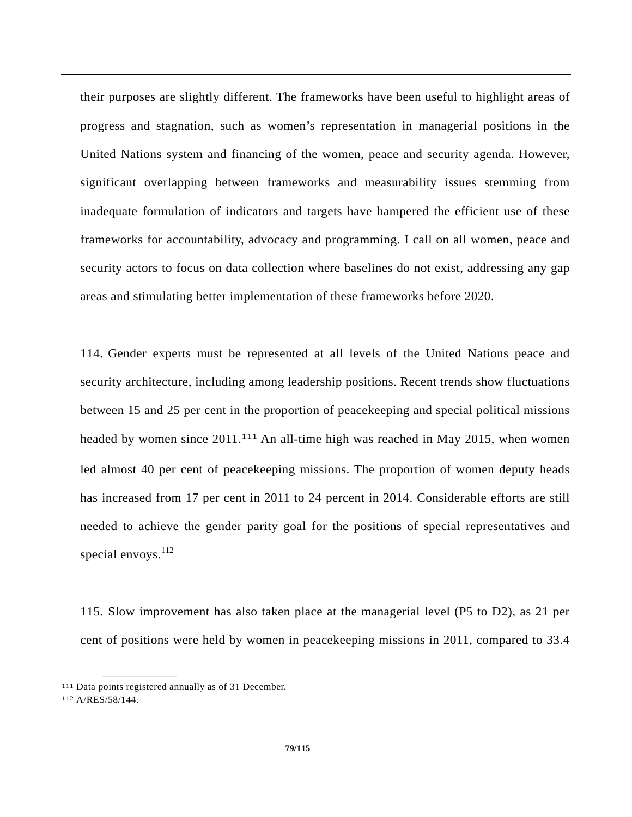their purposes are slightly different. The frameworks have been useful to highlight areas of progress and stagnation, such as women's representation in managerial positions in the United Nations system and financing of the women, peace and security agenda. However, significant overlapping between frameworks and measurability issues stemming from inadequate formulation of indicators and targets have hampered the efficient use of these frameworks for accountability, advocacy and programming. I call on all women, peace and security actors to focus on data collection where baselines do not exist, addressing any gap areas and stimulating better implementation of these frameworks before 2020.

114. Gender experts must be represented at all levels of the United Nations peace and security architecture, including among leadership positions. Recent trends show fluctuations between 15 and 25 per cent in the proportion of peacekeeping and special political missions headed by women since 2011.<sup>111</sup> An all-time high was reached in May 2015, when women led almost 40 per cent of peacekeeping missions. The proportion of women deputy heads has increased from 17 per cent in 2011 to 24 percent in 2014. Considerable efforts are still needed to achieve the gender parity goal for the positions of special representatives and special envoys. $^{112}$ 

115. Slow improvement has also taken place at the managerial level (P5 to D2), as 21 per cent of positions were held by women in peacekeeping missions in 2011, compared to 33.4

<sup>111</sup> Data points registered annually as of 31 December.

<sup>112</sup> A/RES/58/144.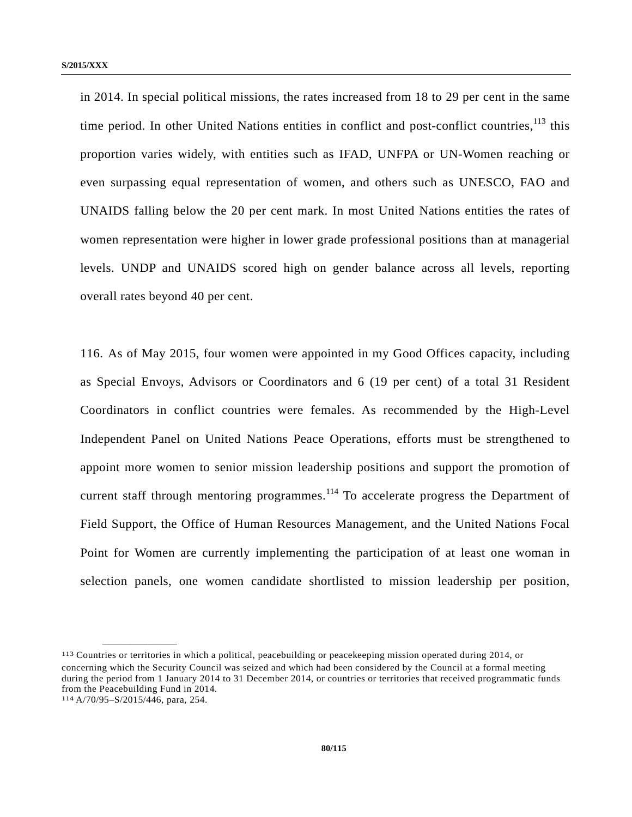in 2014. In special political missions, the rates increased from 18 to 29 per cent in the same time period. In other United Nations entities in conflict and post-conflict countries,  $^{113}$  this proportion varies widely, with entities such as IFAD, UNFPA or UN-Women reaching or even surpassing equal representation of women, and others such as UNESCO, FAO and UNAIDS falling below the 20 per cent mark. In most United Nations entities the rates of women representation were higher in lower grade professional positions than at managerial levels. UNDP and UNAIDS scored high on gender balance across all levels, reporting overall rates beyond 40 per cent.

116. As of May 2015, four women were appointed in my Good Offices capacity, including as Special Envoys, Advisors or Coordinators and 6 (19 per cent) of a total 31 Resident Coordinators in conflict countries were females. As recommended by the High-Level Independent Panel on United Nations Peace Operations, efforts must be strengthened to appoint more women to senior mission leadership positions and support the promotion of current staff through mentoring programmes.<sup>114</sup> To accelerate progress the Department of Field Support, the Office of Human Resources Management, and the United Nations Focal Point for Women are currently implementing the participation of at least one woman in selection panels, one women candidate shortlisted to mission leadership per position,

<sup>113</sup> Countries or territories in which a political, peacebuilding or peacekeeping mission operated during 2014, or concerning which the Security Council was seized and which had been considered by the Council at a formal meeting during the period from 1 January 2014 to 31 December 2014, or countries or territories that received programmatic funds from the Peacebuilding Fund in 2014.

<sup>114</sup> A/70/95–S/2015/446, para, 254.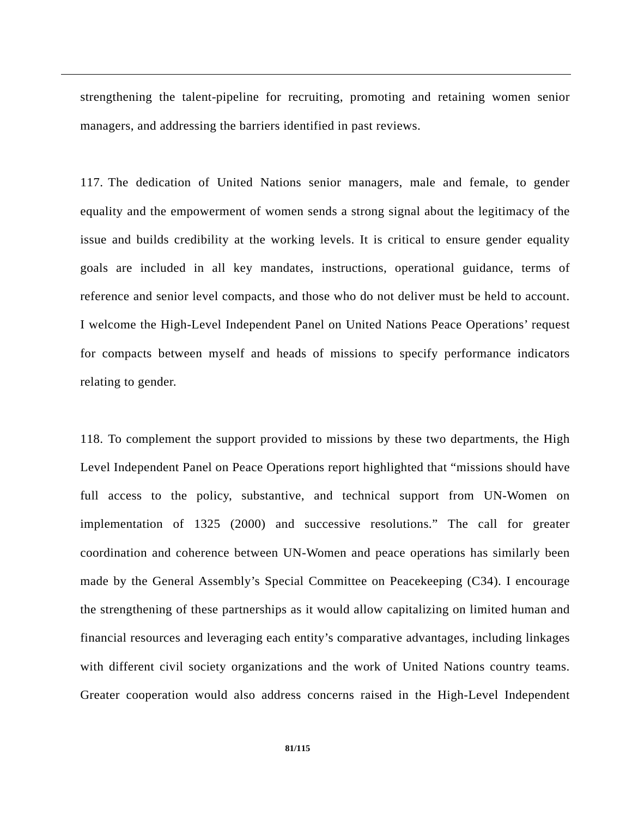strengthening the talent-pipeline for recruiting, promoting and retaining women senior managers, and addressing the barriers identified in past reviews.

117. The dedication of United Nations senior managers, male and female, to gender equality and the empowerment of women sends a strong signal about the legitimacy of the issue and builds credibility at the working levels. It is critical to ensure gender equality goals are included in all key mandates, instructions, operational guidance, terms of reference and senior level compacts, and those who do not deliver must be held to account. I welcome the High-Level Independent Panel on United Nations Peace Operations' request for compacts between myself and heads of missions to specify performance indicators relating to gender.

118. To complement the support provided to missions by these two departments, the High Level Independent Panel on Peace Operations report highlighted that "missions should have full access to the policy, substantive, and technical support from UN-Women on implementation of 1325 (2000) and successive resolutions." The call for greater coordination and coherence between UN-Women and peace operations has similarly been made by the General Assembly's Special Committee on Peacekeeping (C34). I encourage the strengthening of these partnerships as it would allow capitalizing on limited human and financial resources and leveraging each entity's comparative advantages, including linkages with different civil society organizations and the work of United Nations country teams. Greater cooperation would also address concerns raised in the High-Level Independent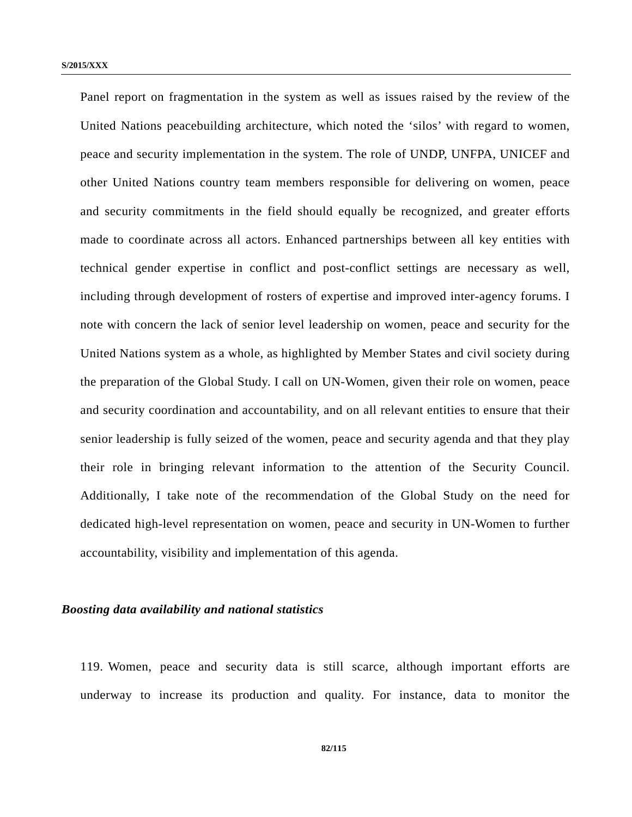Panel report on fragmentation in the system as well as issues raised by the review of the United Nations peacebuilding architecture, which noted the 'silos' with regard to women, peace and security implementation in the system. The role of UNDP, UNFPA, UNICEF and other United Nations country team members responsible for delivering on women, peace and security commitments in the field should equally be recognized, and greater efforts made to coordinate across all actors. Enhanced partnerships between all key entities with technical gender expertise in conflict and post-conflict settings are necessary as well, including through development of rosters of expertise and improved inter-agency forums. I note with concern the lack of senior level leadership on women, peace and security for the United Nations system as a whole, as highlighted by Member States and civil society during the preparation of the Global Study. I call on UN-Women, given their role on women, peace and security coordination and accountability, and on all relevant entities to ensure that their senior leadership is fully seized of the women, peace and security agenda and that they play their role in bringing relevant information to the attention of the Security Council. Additionally, I take note of the recommendation of the Global Study on the need for dedicated high-level representation on women, peace and security in UN-Women to further accountability, visibility and implementation of this agenda.

## *Boosting data availability and national statistics*

119. Women, peace and security data is still scarce, although important efforts are underway to increase its production and quality. For instance, data to monitor the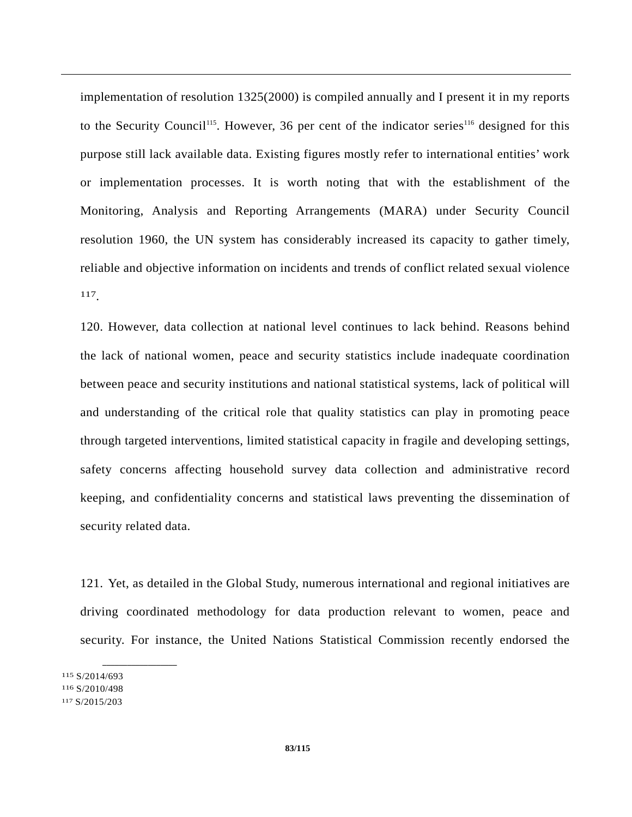implementation of resolution 1325(2000) is compiled annually and I present it in my reports to the Security Council<sup>115</sup>. However, 36 per cent of the indicator series<sup>116</sup> designed for this purpose still lack available data. Existing figures mostly refer to international entities' work or implementation processes. It is worth noting that with the establishment of the Monitoring, Analysis and Reporting Arrangements (MARA) under Security Council resolution 1960, the UN system has considerably increased its capacity to gather timely, reliable and objective information on incidents and trends of conflict related sexual violence 117.

120. However, data collection at national level continues to lack behind. Reasons behind the lack of national women, peace and security statistics include inadequate coordination between peace and security institutions and national statistical systems, lack of political will and understanding of the critical role that quality statistics can play in promoting peace through targeted interventions, limited statistical capacity in fragile and developing settings, safety concerns affecting household survey data collection and administrative record keeping, and confidentiality concerns and statistical laws preventing the dissemination of security related data.

121. Yet, as detailed in the Global Study, numerous international and regional initiatives are driving coordinated methodology for data production relevant to women, peace and security. For instance, the United Nations Statistical Commission recently endorsed the

115 S/2014/693 116 S/2010/498 117 S/2015/203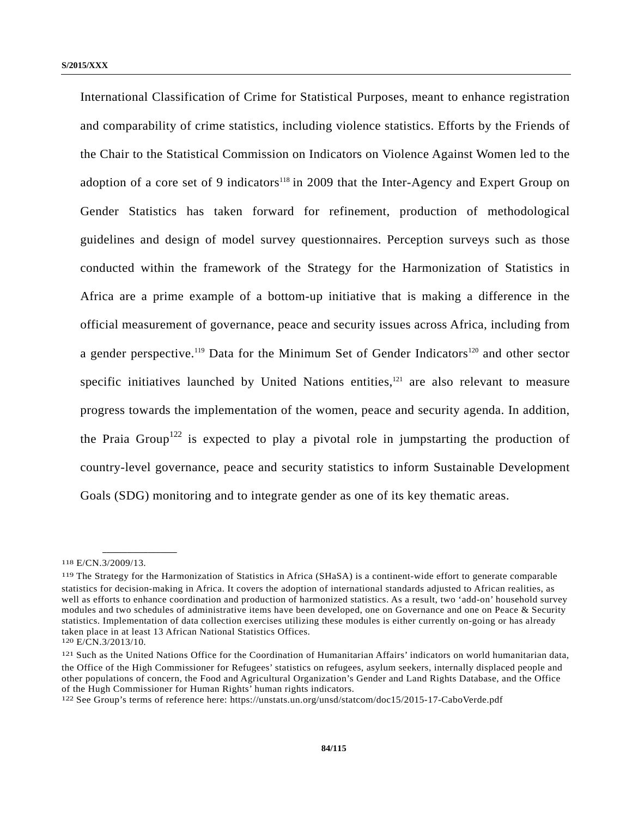International Classification of Crime for Statistical Purposes, meant to enhance registration and comparability of crime statistics, including violence statistics. Efforts by the Friends of the Chair to the Statistical Commission on Indicators on Violence Against Women led to the adoption of a core set of 9 indicators<sup>118</sup> in 2009 that the Inter-Agency and Expert Group on Gender Statistics has taken forward for refinement, production of methodological guidelines and design of model survey questionnaires. Perception surveys such as those conducted within the framework of the Strategy for the Harmonization of Statistics in Africa are a prime example of a bottom-up initiative that is making a difference in the official measurement of governance, peace and security issues across Africa, including from a gender perspective.<sup>119</sup> Data for the Minimum Set of Gender Indicators<sup>120</sup> and other sector specific initiatives launched by United Nations entities, $121$  are also relevant to measure progress towards the implementation of the women, peace and security agenda. In addition, the Praia Group<sup>122</sup> is expected to play a pivotal role in jumpstarting the production of country-level governance, peace and security statistics to inform Sustainable Development Goals (SDG) monitoring and to integrate gender as one of its key thematic areas.

<sup>118</sup> E/CN.3/2009/13.

<sup>119</sup> The Strategy for the Harmonization of Statistics in Africa (SHaSA) is a continent-wide effort to generate comparable statistics for decision-making in Africa. It covers the adoption of international standards adjusted to African realities, as well as efforts to enhance coordination and production of harmonized statistics. As a result, two 'add-on' household survey modules and two schedules of administrative items have been developed, one on Governance and one on Peace & Security statistics. Implementation of data collection exercises utilizing these modules is either currently on-going or has already taken place in at least 13 African National Statistics Offices.

<sup>120</sup> E/CN.3/2013/10.

<sup>121</sup> Such as the United Nations Office for the Coordination of Humanitarian Affairs' indicators on world humanitarian data, the Office of the High Commissioner for Refugees' statistics on refugees, asylum seekers, internally displaced people and other populations of concern, the Food and Agricultural Organization's Gender and Land Rights Database, and the Office of the Hugh Commissioner for Human Rights' human rights indicators.

<sup>122</sup> See Group's terms of reference here: https://unstats.un.org/unsd/statcom/doc15/2015-17-CaboVerde.pdf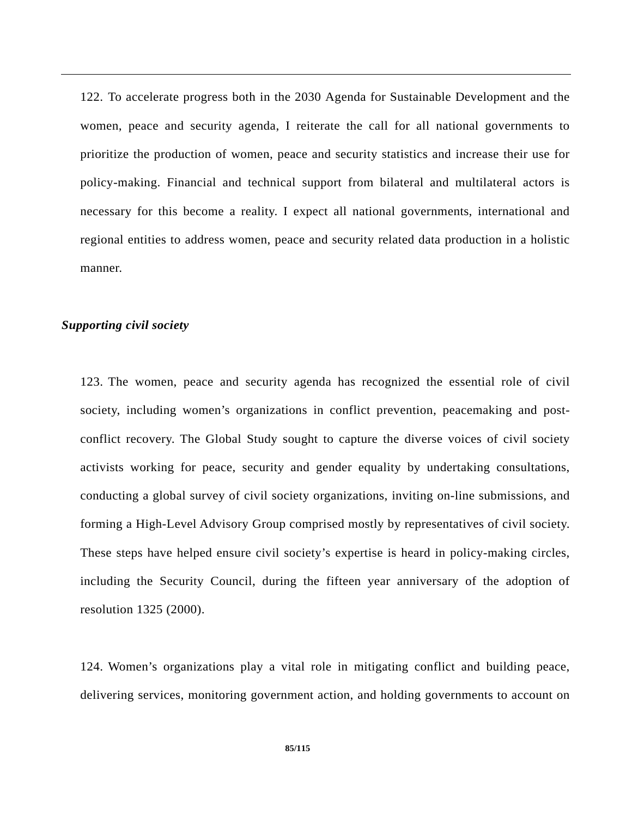122. To accelerate progress both in the 2030 Agenda for Sustainable Development and the women, peace and security agenda, I reiterate the call for all national governments to prioritize the production of women, peace and security statistics and increase their use for policy-making. Financial and technical support from bilateral and multilateral actors is necessary for this become a reality. I expect all national governments, international and regional entities to address women, peace and security related data production in a holistic manner.

## *Supporting civil society*

123. The women, peace and security agenda has recognized the essential role of civil society, including women's organizations in conflict prevention, peacemaking and postconflict recovery. The Global Study sought to capture the diverse voices of civil society activists working for peace, security and gender equality by undertaking consultations, conducting a global survey of civil society organizations, inviting on-line submissions, and forming a High-Level Advisory Group comprised mostly by representatives of civil society. These steps have helped ensure civil society's expertise is heard in policy-making circles, including the Security Council, during the fifteen year anniversary of the adoption of resolution 1325 (2000).

124. Women's organizations play a vital role in mitigating conflict and building peace, delivering services, monitoring government action, and holding governments to account on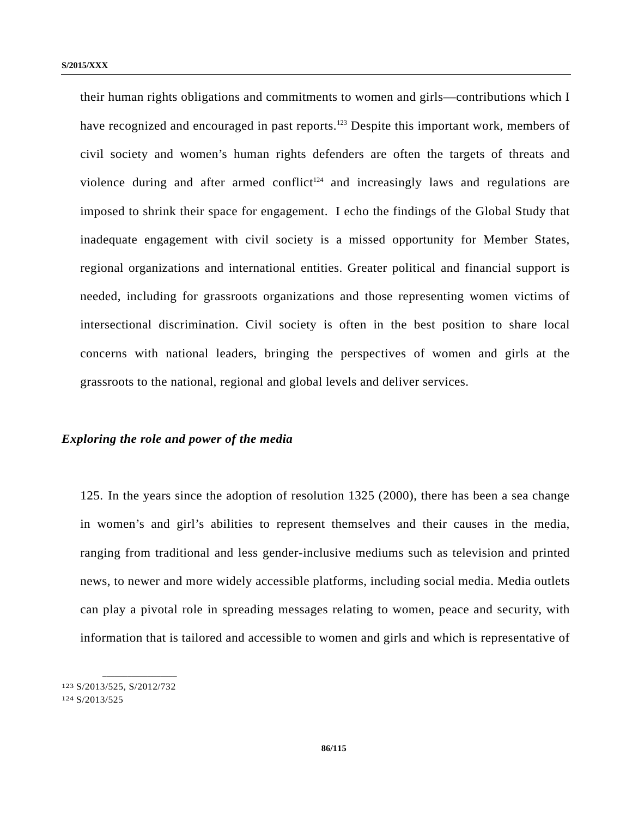their human rights obligations and commitments to women and girls—contributions which I have recognized and encouraged in past reports.<sup>123</sup> Despite this important work, members of civil society and women's human rights defenders are often the targets of threats and violence during and after armed conflict<sup> $124$ </sup> and increasingly laws and regulations are imposed to shrink their space for engagement. I echo the findings of the Global Study that inadequate engagement with civil society is a missed opportunity for Member States, regional organizations and international entities. Greater political and financial support is needed, including for grassroots organizations and those representing women victims of intersectional discrimination. Civil society is often in the best position to share local concerns with national leaders, bringing the perspectives of women and girls at the grassroots to the national, regional and global levels and deliver services.

## *Exploring the role and power of the media*

125. In the years since the adoption of resolution 1325 (2000), there has been a sea change in women's and girl's abilities to represent themselves and their causes in the media, ranging from traditional and less gender-inclusive mediums such as television and printed news, to newer and more widely accessible platforms, including social media. Media outlets can play a pivotal role in spreading messages relating to women, peace and security, with information that is tailored and accessible to women and girls and which is representative of

<sup>123</sup> S/2013/525, S/2012/732 124 S/2013/525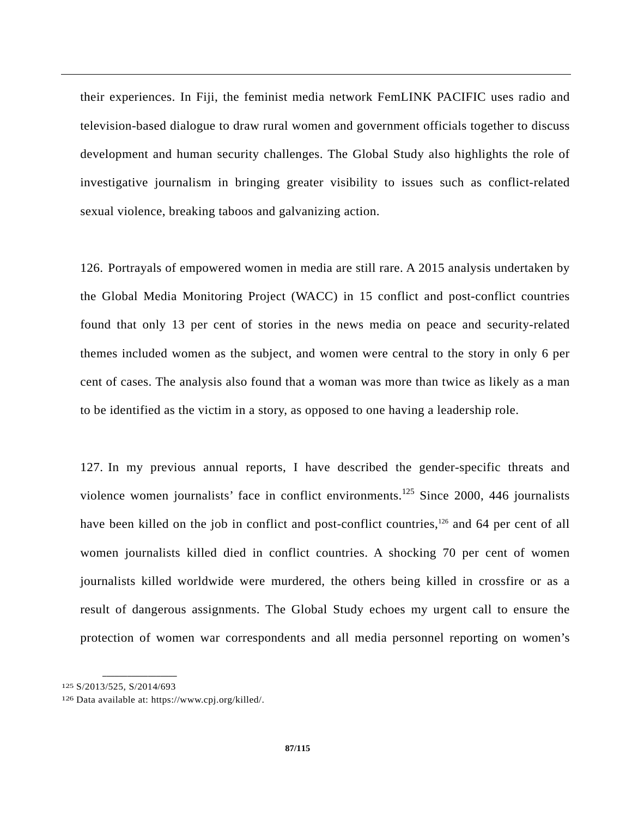their experiences. In Fiji, the feminist media network FemLINK PACIFIC uses radio and television-based dialogue to draw rural women and government officials together to discuss development and human security challenges. The Global Study also highlights the role of investigative journalism in bringing greater visibility to issues such as conflict-related sexual violence, breaking taboos and galvanizing action.

126. Portrayals of empowered women in media are still rare. A 2015 analysis undertaken by the Global Media Monitoring Project (WACC) in 15 conflict and post-conflict countries found that only 13 per cent of stories in the news media on peace and security-related themes included women as the subject, and women were central to the story in only 6 per cent of cases. The analysis also found that a woman was more than twice as likely as a man to be identified as the victim in a story, as opposed to one having a leadership role.

127. In my previous annual reports, I have described the gender-specific threats and violence women journalists' face in conflict environments.<sup>125</sup> Since 2000, 446 journalists have been killed on the job in conflict and post-conflict countries,<sup>126</sup> and 64 per cent of all women journalists killed died in conflict countries. A shocking 70 per cent of women journalists killed worldwide were murdered, the others being killed in crossfire or as a result of dangerous assignments. The Global Study echoes my urgent call to ensure the protection of women war correspondents and all media personnel reporting on women's

<sup>125</sup> S/2013/525, S/2014/693

<sup>126</sup> Data available at: https://www.cpj.org/killed/.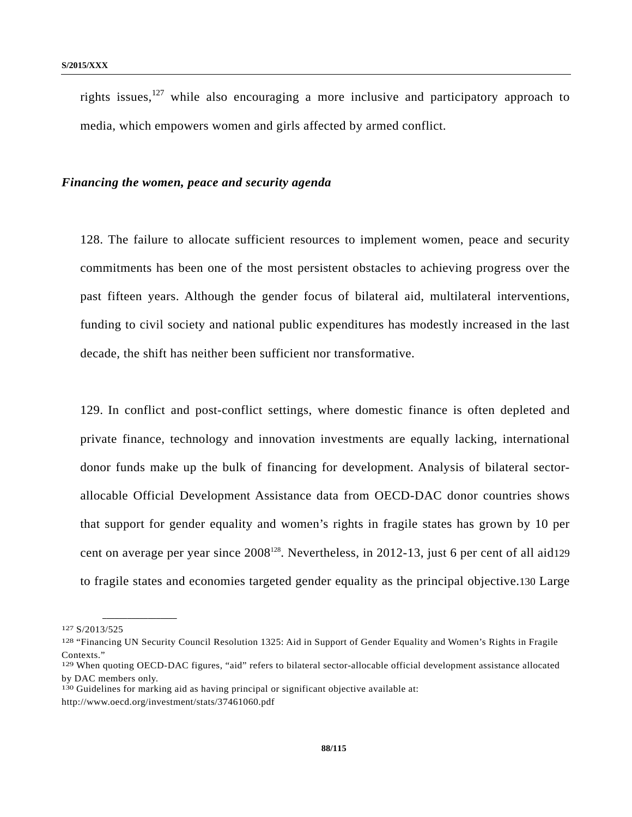rights issues,  $127$  while also encouraging a more inclusive and participatory approach to media, which empowers women and girls affected by armed conflict.

## *Financing the women, peace and security agenda*

128. The failure to allocate sufficient resources to implement women, peace and security commitments has been one of the most persistent obstacles to achieving progress over the past fifteen years. Although the gender focus of bilateral aid, multilateral interventions, funding to civil society and national public expenditures has modestly increased in the last decade, the shift has neither been sufficient nor transformative.

129. In conflict and post-conflict settings, where domestic finance is often depleted and private finance, technology and innovation investments are equally lacking, international donor funds make up the bulk of financing for development. Analysis of bilateral sectorallocable Official Development Assistance data from OECD-DAC donor countries shows that support for gender equality and women's rights in fragile states has grown by 10 per cent on average per year since 2008<sup>128</sup>. Nevertheless, in 2012-13, just 6 per cent of all aid129 to fragile states and economies targeted gender equality as the principal objective.130 Large

<sup>127</sup> S/2013/525

<sup>128 &</sup>quot;Financing UN Security Council Resolution 1325: Aid in Support of Gender Equality and Women's Rights in Fragile Contexts<sup>"</sup>

<sup>129</sup> When quoting OECD-DAC figures, "aid" refers to bilateral sector-allocable official development assistance allocated by DAC members only.

<sup>130</sup> Guidelines for marking aid as having principal or significant objective available at:

http://www.oecd.org/investment/stats/37461060.pdf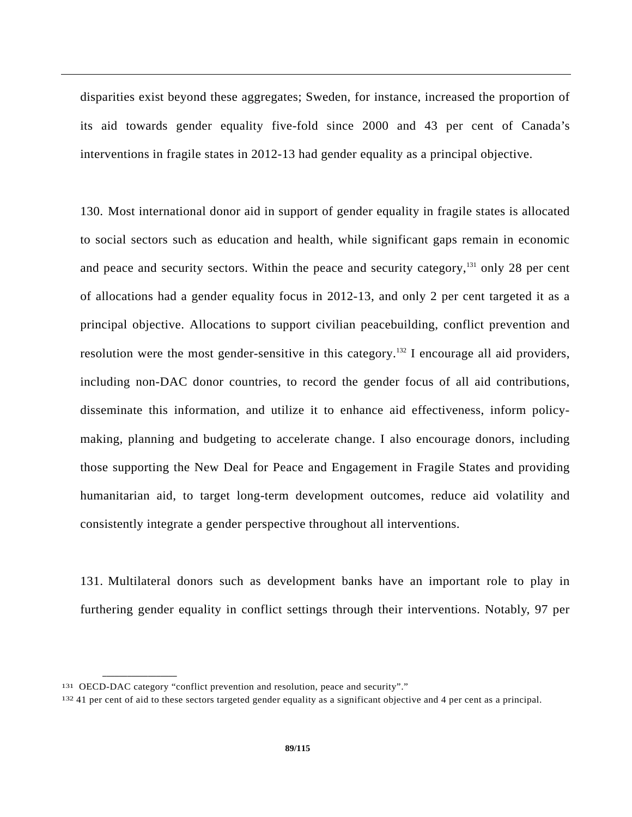disparities exist beyond these aggregates; Sweden, for instance, increased the proportion of its aid towards gender equality five-fold since 2000 and 43 per cent of Canada's interventions in fragile states in 2012-13 had gender equality as a principal objective.

130. Most international donor aid in support of gender equality in fragile states is allocated to social sectors such as education and health, while significant gaps remain in economic and peace and security sectors. Within the peace and security category, $131$  only 28 per cent of allocations had a gender equality focus in 2012-13, and only 2 per cent targeted it as a principal objective. Allocations to support civilian peacebuilding, conflict prevention and resolution were the most gender-sensitive in this category.<sup>132</sup> I encourage all aid providers, including non-DAC donor countries, to record the gender focus of all aid contributions, disseminate this information, and utilize it to enhance aid effectiveness, inform policymaking, planning and budgeting to accelerate change. I also encourage donors, including those supporting the New Deal for Peace and Engagement in Fragile States and providing humanitarian aid, to target long-term development outcomes, reduce aid volatility and consistently integrate a gender perspective throughout all interventions.

131. Multilateral donors such as development banks have an important role to play in furthering gender equality in conflict settings through their interventions. Notably, 97 per

<sup>131</sup> OECD-DAC category "conflict prevention and resolution, peace and security"."

<sup>132 41</sup> per cent of aid to these sectors targeted gender equality as a significant objective and 4 per cent as a principal.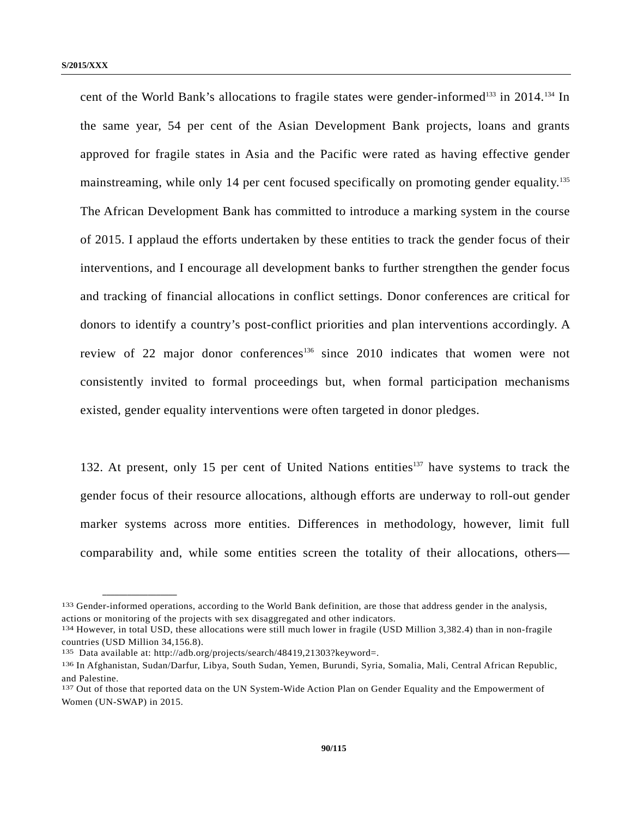cent of the World Bank's allocations to fragile states were gender-informed<sup>133</sup> in 2014.<sup>134</sup> In the same year, 54 per cent of the Asian Development Bank projects, loans and grants approved for fragile states in Asia and the Pacific were rated as having effective gender mainstreaming, while only 14 per cent focused specifically on promoting gender equality.<sup>135</sup> The African Development Bank has committed to introduce a marking system in the course of 2015. I applaud the efforts undertaken by these entities to track the gender focus of their interventions, and I encourage all development banks to further strengthen the gender focus and tracking of financial allocations in conflict settings. Donor conferences are critical for donors to identify a country's post-conflict priorities and plan interventions accordingly. A review of 22 major donor conferences<sup>136</sup> since 2010 indicates that women were not consistently invited to formal proceedings but, when formal participation mechanisms existed, gender equality interventions were often targeted in donor pledges.

132. At present, only 15 per cent of United Nations entities<sup>137</sup> have systems to track the gender focus of their resource allocations, although efforts are underway to roll-out gender marker systems across more entities. Differences in methodology, however, limit full comparability and, while some entities screen the totality of their allocations, others—

<sup>133</sup> Gender-informed operations, according to the World Bank definition, are those that address gender in the analysis, actions or monitoring of the projects with sex disaggregated and other indicators.<br><sup>134</sup> However, in total USD, these allocations were still much lower in fragile (USD Million 3,382.4) than in non-fragile

countries (USD Million 34,156.8).

<sup>135</sup> Data available at: http://adb.org/projects/search/48419,21303?keyword=.

<sup>136</sup> In Afghanistan, Sudan/Darfur, Libya, South Sudan, Yemen, Burundi, Syria, Somalia, Mali, Central African Republic, and Palestine.

<sup>137</sup> Out of those that reported data on the UN System-Wide Action Plan on Gender Equality and the Empowerment of Women (UN-SWAP) in 2015.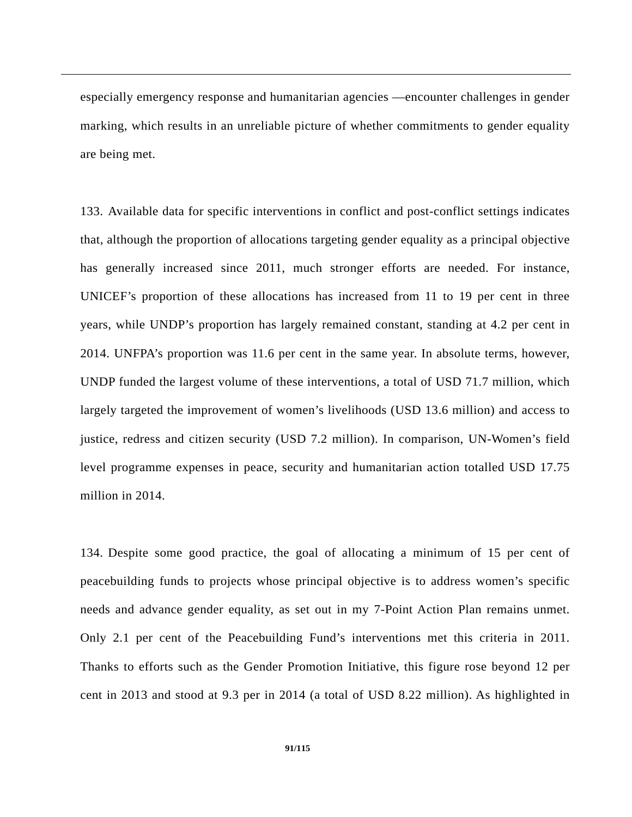especially emergency response and humanitarian agencies —encounter challenges in gender marking, which results in an unreliable picture of whether commitments to gender equality are being met.

133. Available data for specific interventions in conflict and post-conflict settings indicates that, although the proportion of allocations targeting gender equality as a principal objective has generally increased since 2011, much stronger efforts are needed. For instance, UNICEF's proportion of these allocations has increased from 11 to 19 per cent in three years, while UNDP's proportion has largely remained constant, standing at 4.2 per cent in 2014. UNFPA's proportion was 11.6 per cent in the same year. In absolute terms, however, UNDP funded the largest volume of these interventions, a total of USD 71.7 million, which largely targeted the improvement of women's livelihoods (USD 13.6 million) and access to justice, redress and citizen security (USD 7.2 million). In comparison, UN-Women's field level programme expenses in peace, security and humanitarian action totalled USD 17.75 million in 2014.

134. Despite some good practice, the goal of allocating a minimum of 15 per cent of peacebuilding funds to projects whose principal objective is to address women's specific needs and advance gender equality, as set out in my 7-Point Action Plan remains unmet. Only 2.1 per cent of the Peacebuilding Fund's interventions met this criteria in 2011. Thanks to efforts such as the Gender Promotion Initiative, this figure rose beyond 12 per cent in 2013 and stood at 9.3 per in 2014 (a total of USD 8.22 million). As highlighted in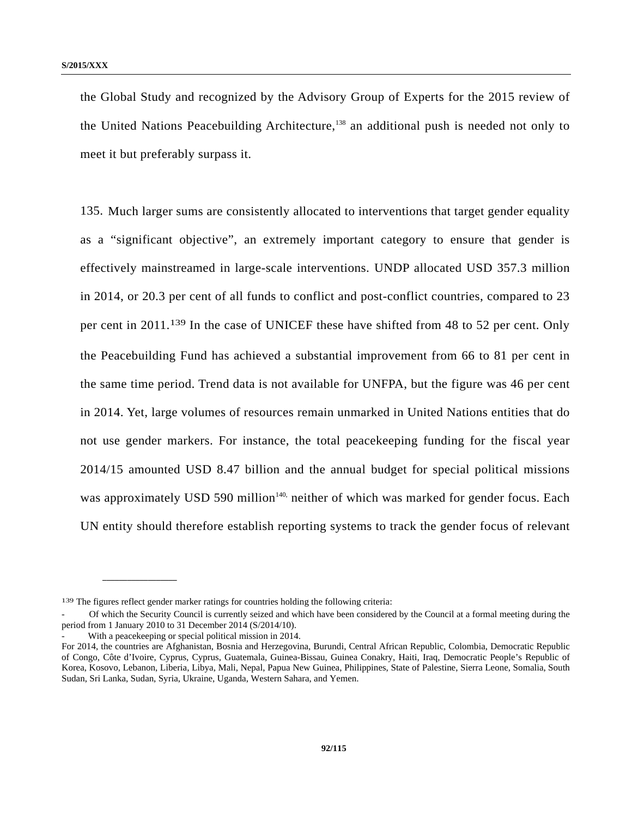the Global Study and recognized by the Advisory Group of Experts for the 2015 review of the United Nations Peacebuilding Architecture,<sup>138</sup> an additional push is needed not only to meet it but preferably surpass it.

135. Much larger sums are consistently allocated to interventions that target gender equality as a "significant objective", an extremely important category to ensure that gender is effectively mainstreamed in large-scale interventions. UNDP allocated USD 357.3 million in 2014, or 20.3 per cent of all funds to conflict and post-conflict countries, compared to 23 per cent in 2011.139 In the case of UNICEF these have shifted from 48 to 52 per cent. Only the Peacebuilding Fund has achieved a substantial improvement from 66 to 81 per cent in the same time period. Trend data is not available for UNFPA, but the figure was 46 per cent in 2014. Yet, large volumes of resources remain unmarked in United Nations entities that do not use gender markers. For instance, the total peacekeeping funding for the fiscal year 2014/15 amounted USD 8.47 billion and the annual budget for special political missions was approximately USD 590 million<sup>140,</sup> neither of which was marked for gender focus. Each UN entity should therefore establish reporting systems to track the gender focus of relevant

<sup>139</sup> The figures reflect gender marker ratings for countries holding the following criteria:

<sup>-</sup> Of which the Security Council is currently seized and which have been considered by the Council at a formal meeting during the period from 1 January 2010 to 31 December 2014 (S/2014/10).

With a peacekeeping or special political mission in 2014.

For 2014, the countries are Afghanistan, Bosnia and Herzegovina, Burundi, Central African Republic, Colombia, Democratic Republic of Congo, Côte d'Ivoire, Cyprus, Cyprus, Guatemala, Guinea-Bissau, Guinea Conakry, Haiti, Iraq, Democratic People's Republic of Korea, Kosovo, Lebanon, Liberia, Libya, Mali, Nepal, Papua New Guinea, Philippines, State of Palestine, Sierra Leone, Somalia, South Sudan, Sri Lanka, Sudan, Syria, Ukraine, Uganda, Western Sahara, and Yemen.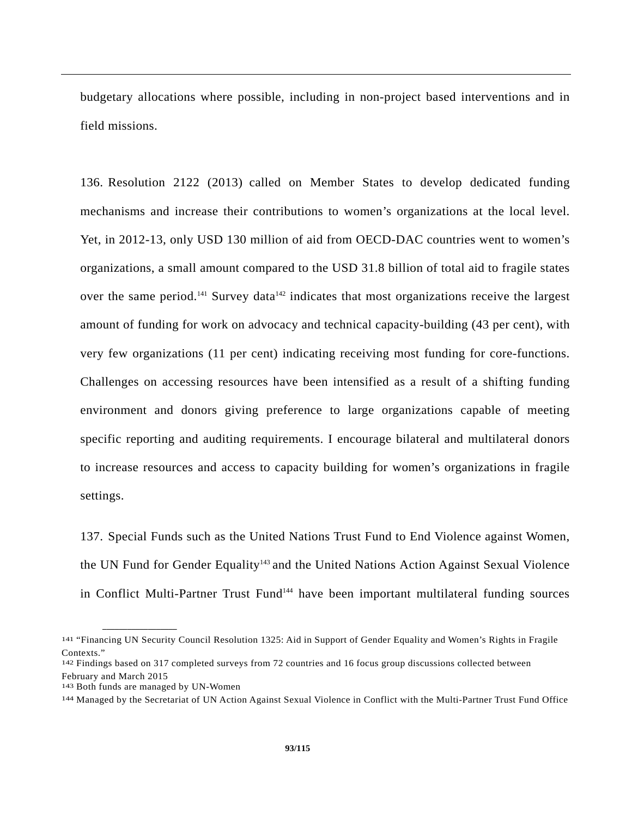budgetary allocations where possible, including in non-project based interventions and in field missions.

136. Resolution 2122 (2013) called on Member States to develop dedicated funding mechanisms and increase their contributions to women's organizations at the local level. Yet, in 2012-13, only USD 130 million of aid from OECD-DAC countries went to women's organizations, a small amount compared to the USD 31.8 billion of total aid to fragile states over the same period.<sup>141</sup> Survey data<sup>142</sup> indicates that most organizations receive the largest amount of funding for work on advocacy and technical capacity-building (43 per cent), with very few organizations (11 per cent) indicating receiving most funding for core-functions. Challenges on accessing resources have been intensified as a result of a shifting funding environment and donors giving preference to large organizations capable of meeting specific reporting and auditing requirements. I encourage bilateral and multilateral donors to increase resources and access to capacity building for women's organizations in fragile settings.

137. Special Funds such as the United Nations Trust Fund to End Violence against Women, the UN Fund for Gender Equality<sup>143</sup> and the United Nations Action Against Sexual Violence in Conflict Multi-Partner Trust Fund<sup>144</sup> have been important multilateral funding sources

<sup>141 &</sup>quot;Financing UN Security Council Resolution 1325: Aid in Support of Gender Equality and Women's Rights in Fragile Contexts."

<sup>142</sup> Findings based on 317 completed surveys from 72 countries and 16 focus group discussions collected between February and March 2015

<sup>143</sup> Both funds are managed by UN-Women

<sup>144</sup> Managed by the Secretariat of UN Action Against Sexual Violence in Conflict with the Multi-Partner Trust Fund Office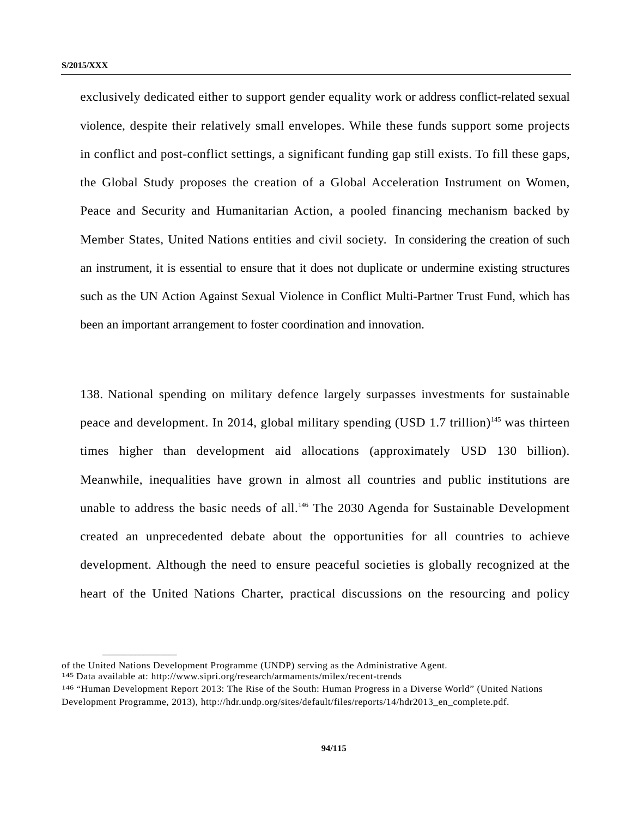exclusively dedicated either to support gender equality work or address conflict-related sexual violence, despite their relatively small envelopes. While these funds support some projects in conflict and post-conflict settings, a significant funding gap still exists. To fill these gaps, the Global Study proposes the creation of a Global Acceleration Instrument on Women, Peace and Security and Humanitarian Action, a pooled financing mechanism backed by Member States, United Nations entities and civil society. In considering the creation of such an instrument, it is essential to ensure that it does not duplicate or undermine existing structures such as the UN Action Against Sexual Violence in Conflict Multi-Partner Trust Fund, which has been an important arrangement to foster coordination and innovation.

138. National spending on military defence largely surpasses investments for sustainable peace and development. In 2014, global military spending  $(USD\ 1.7\ trillion)^{145}$  was thirteen times higher than development aid allocations (approximately USD 130 billion). Meanwhile, inequalities have grown in almost all countries and public institutions are unable to address the basic needs of all.<sup>146</sup> The 2030 Agenda for Sustainable Development created an unprecedented debate about the opportunities for all countries to achieve development. Although the need to ensure peaceful societies is globally recognized at the heart of the United Nations Charter, practical discussions on the resourcing and policy

of the United Nations Development Programme (UNDP) serving as the Administrative Agent. 145 Data available at: http://www.sipri.org/research/armaments/milex/recent-trends

<sup>146 &</sup>quot;Human Development Report 2013: The Rise of the South: Human Progress in a Diverse World" (United Nations Development Programme, 2013), http://hdr.undp.org/sites/default/files/reports/14/hdr2013\_en\_complete.pdf.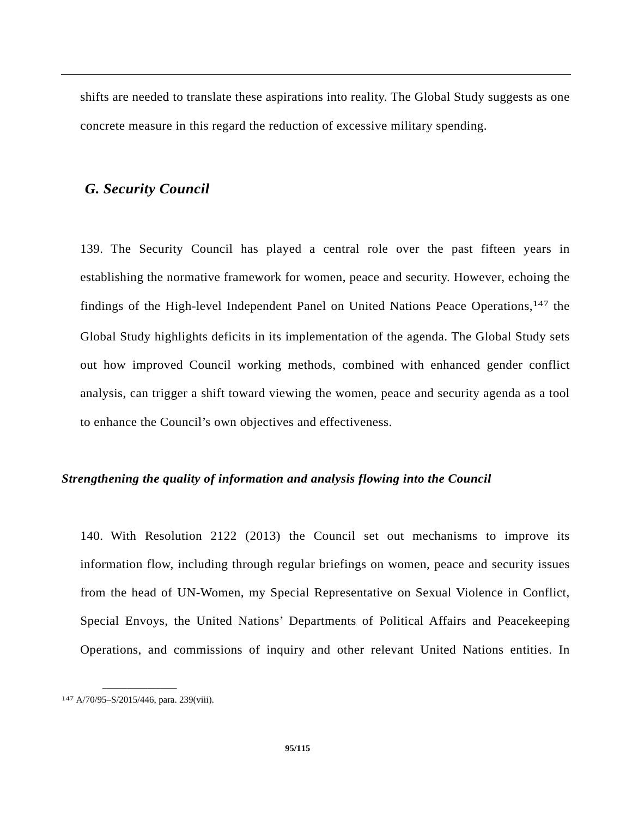shifts are needed to translate these aspirations into reality. The Global Study suggests as one concrete measure in this regard the reduction of excessive military spending.

## *G. Security Council*

139. The Security Council has played a central role over the past fifteen years in establishing the normative framework for women, peace and security. However, echoing the findings of the High-level Independent Panel on United Nations Peace Operations,<sup>147</sup> the Global Study highlights deficits in its implementation of the agenda. The Global Study sets out how improved Council working methods, combined with enhanced gender conflict analysis, can trigger a shift toward viewing the women, peace and security agenda as a tool to enhance the Council's own objectives and effectiveness.

## *Strengthening the quality of information and analysis flowing into the Council*

140. With Resolution 2122 (2013) the Council set out mechanisms to improve its information flow, including through regular briefings on women, peace and security issues from the head of UN-Women, my Special Representative on Sexual Violence in Conflict, Special Envoys, the United Nations' Departments of Political Affairs and Peacekeeping Operations, and commissions of inquiry and other relevant United Nations entities. In

**\_\_\_\_\_\_\_\_\_\_\_\_\_\_\_\_\_\_**  147 A/70/95–S/2015/446, para. 239(viii).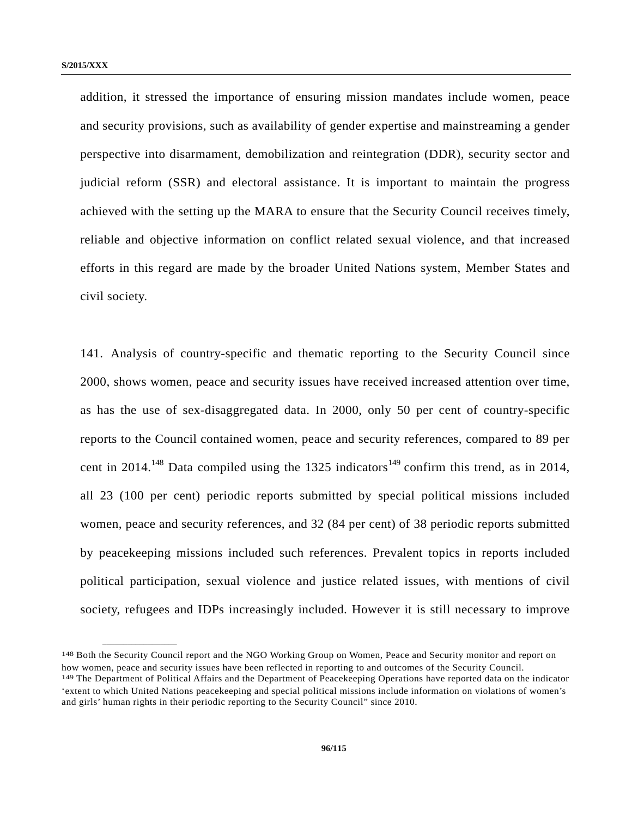**\_\_\_\_\_\_\_\_\_\_\_\_\_\_\_\_\_\_** 

addition, it stressed the importance of ensuring mission mandates include women, peace and security provisions, such as availability of gender expertise and mainstreaming a gender perspective into disarmament, demobilization and reintegration (DDR), security sector and judicial reform (SSR) and electoral assistance. It is important to maintain the progress achieved with the setting up the MARA to ensure that the Security Council receives timely, reliable and objective information on conflict related sexual violence, and that increased efforts in this regard are made by the broader United Nations system, Member States and civil society.

141. Analysis of country-specific and thematic reporting to the Security Council since 2000, shows women, peace and security issues have received increased attention over time, as has the use of sex-disaggregated data. In 2000, only 50 per cent of country-specific reports to the Council contained women, peace and security references, compared to 89 per cent in 2014.<sup>148</sup> Data compiled using the 1325 indicators<sup>149</sup> confirm this trend, as in 2014, all 23 (100 per cent) periodic reports submitted by special political missions included women, peace and security references, and 32 (84 per cent) of 38 periodic reports submitted by peacekeeping missions included such references. Prevalent topics in reports included political participation, sexual violence and justice related issues, with mentions of civil society, refugees and IDPs increasingly included. However it is still necessary to improve

<sup>148</sup> Both the Security Council report and the NGO Working Group on Women, Peace and Security monitor and report on how women, peace and security issues have been reflected in reporting to and outcomes of the Security Council.

<sup>149</sup> The Department of Political Affairs and the Department of Peacekeeping Operations have reported data on the indicator 'extent to which United Nations peacekeeping and special political missions include information on violations of women's and girls' human rights in their periodic reporting to the Security Council" since 2010.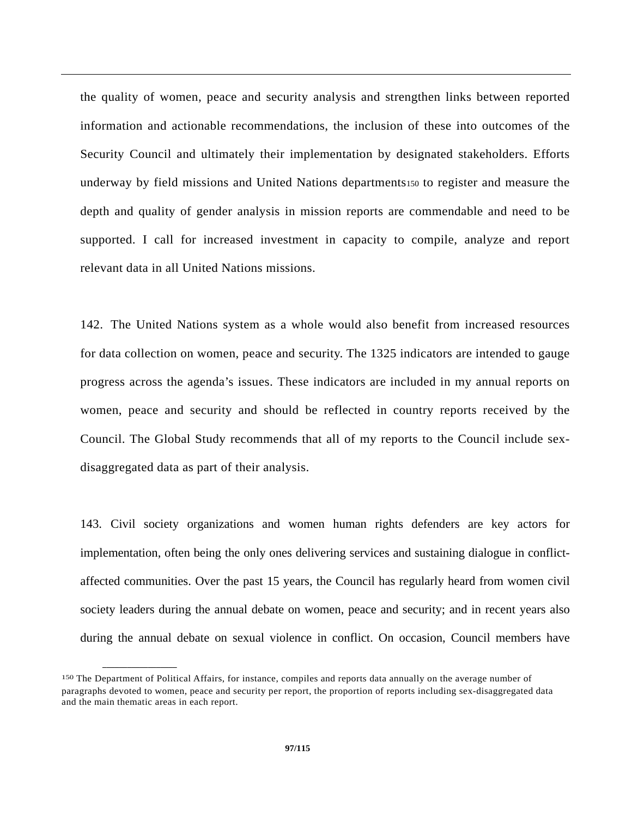the quality of women, peace and security analysis and strengthen links between reported information and actionable recommendations, the inclusion of these into outcomes of the Security Council and ultimately their implementation by designated stakeholders. Efforts underway by field missions and United Nations departments150 to register and measure the depth and quality of gender analysis in mission reports are commendable and need to be supported. I call for increased investment in capacity to compile, analyze and report relevant data in all United Nations missions.

142. The United Nations system as a whole would also benefit from increased resources for data collection on women, peace and security. The 1325 indicators are intended to gauge progress across the agenda's issues. These indicators are included in my annual reports on women, peace and security and should be reflected in country reports received by the Council. The Global Study recommends that all of my reports to the Council include sexdisaggregated data as part of their analysis.

143. Civil society organizations and women human rights defenders are key actors for implementation, often being the only ones delivering services and sustaining dialogue in conflictaffected communities. Over the past 15 years, the Council has regularly heard from women civil society leaders during the annual debate on women, peace and security; and in recent years also during the annual debate on sexual violence in conflict. On occasion, Council members have

<sup>150</sup> The Department of Political Affairs, for instance, compiles and reports data annually on the average number of paragraphs devoted to women, peace and security per report, the proportion of reports including sex-disaggregated data and the main thematic areas in each report.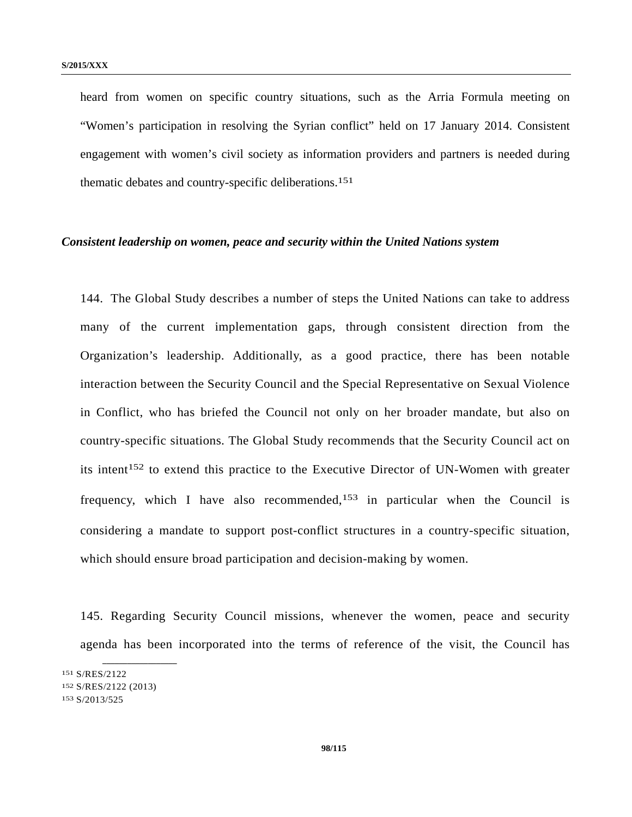heard from women on specific country situations, such as the Arria Formula meeting on "Women's participation in resolving the Syrian conflict" held on 17 January 2014. Consistent engagement with women's civil society as information providers and partners is needed during thematic debates and country-specific deliberations.151

#### *Consistent leadership on women, peace and security within the United Nations system*

144. The Global Study describes a number of steps the United Nations can take to address many of the current implementation gaps, through consistent direction from the Organization's leadership. Additionally, as a good practice, there has been notable interaction between the Security Council and the Special Representative on Sexual Violence in Conflict, who has briefed the Council not only on her broader mandate, but also on country-specific situations. The Global Study recommends that the Security Council act on its intent<sup>152</sup> to extend this practice to the Executive Director of UN-Women with greater frequency, which I have also recommended,<sup>153</sup> in particular when the Council is considering a mandate to support post-conflict structures in a country-specific situation, which should ensure broad participation and decision-making by women.

145. Regarding Security Council missions, whenever the women, peace and security agenda has been incorporated into the terms of reference of the visit, the Council has

<sup>151</sup> S/RES/2122

<sup>152</sup> S/RES/2122 (2013)

<sup>153</sup> S/2013/525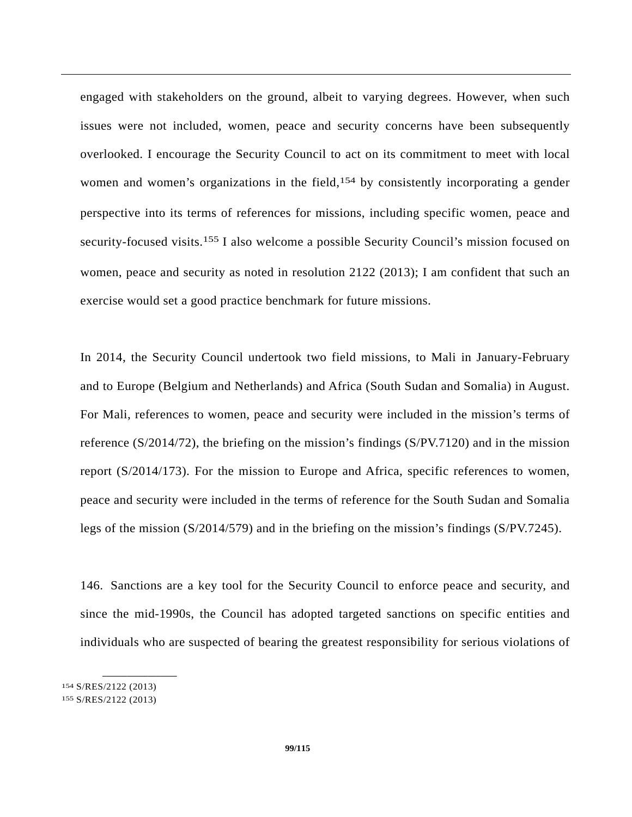engaged with stakeholders on the ground, albeit to varying degrees. However, when such issues were not included, women, peace and security concerns have been subsequently overlooked. I encourage the Security Council to act on its commitment to meet with local women and women's organizations in the field,<sup>154</sup> by consistently incorporating a gender perspective into its terms of references for missions, including specific women, peace and security-focused visits.<sup>155</sup> I also welcome a possible Security Council's mission focused on women, peace and security as noted in resolution 2122 (2013); I am confident that such an exercise would set a good practice benchmark for future missions.

In 2014, the Security Council undertook two field missions, to Mali in January-February and to Europe (Belgium and Netherlands) and Africa (South Sudan and Somalia) in August. For Mali, references to women, peace and security were included in the mission's terms of reference (S/2014/72), the briefing on the mission's findings (S/PV.7120) and in the mission report (S/2014/173). For the mission to Europe and Africa, specific references to women, peace and security were included in the terms of reference for the South Sudan and Somalia legs of the mission (S/2014/579) and in the briefing on the mission's findings (S/PV.7245).

146. Sanctions are a key tool for the Security Council to enforce peace and security, and since the mid-1990s, the Council has adopted targeted sanctions on specific entities and individuals who are suspected of bearing the greatest responsibility for serious violations of

<sup>154</sup> S/RES/2122 (2013)

<sup>155</sup> S/RES/2122 (2013)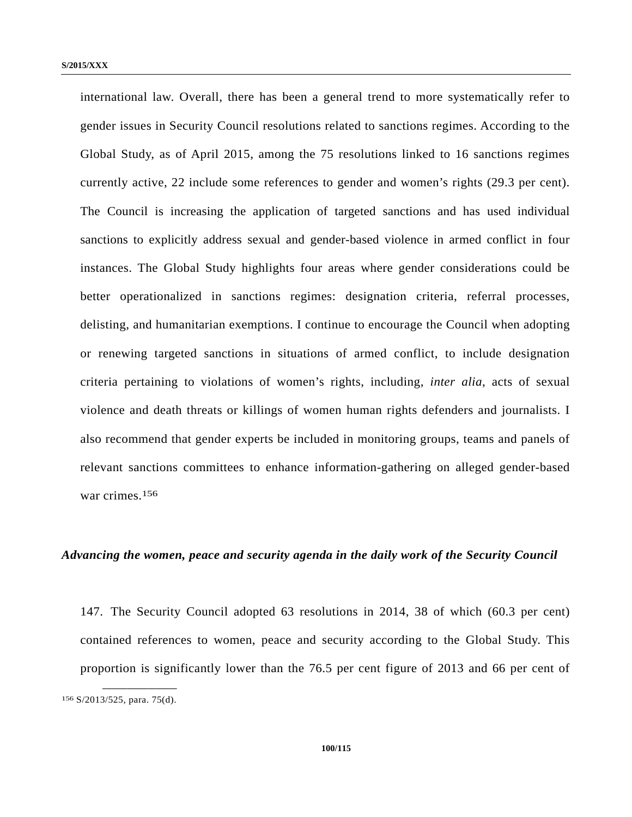international law. Overall, there has been a general trend to more systematically refer to gender issues in Security Council resolutions related to sanctions regimes. According to the Global Study, as of April 2015, among the 75 resolutions linked to 16 sanctions regimes currently active, 22 include some references to gender and women's rights (29.3 per cent). The Council is increasing the application of targeted sanctions and has used individual sanctions to explicitly address sexual and gender-based violence in armed conflict in four instances. The Global Study highlights four areas where gender considerations could be better operationalized in sanctions regimes: designation criteria, referral processes, delisting, and humanitarian exemptions. I continue to encourage the Council when adopting or renewing targeted sanctions in situations of armed conflict, to include designation criteria pertaining to violations of women's rights, including, *inter alia*, acts of sexual violence and death threats or killings of women human rights defenders and journalists. I also recommend that gender experts be included in monitoring groups, teams and panels of relevant sanctions committees to enhance information-gathering on alleged gender-based war crimes.156

#### *Advancing the women, peace and security agenda in the daily work of the Security Council*

147. The Security Council adopted 63 resolutions in 2014, 38 of which (60.3 per cent) contained references to women, peace and security according to the Global Study. This proportion is significantly lower than the 76.5 per cent figure of 2013 and 66 per cent of **\_\_\_\_\_\_\_\_\_\_\_\_\_\_\_\_\_\_** 

<sup>156</sup> S/2013/525, para. 75(d).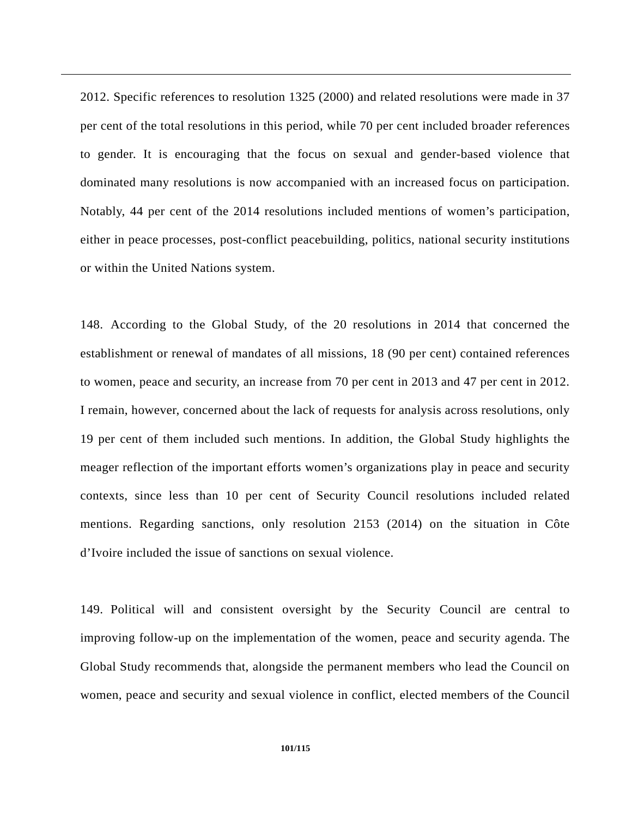2012. Specific references to resolution 1325 (2000) and related resolutions were made in 37 per cent of the total resolutions in this period, while 70 per cent included broader references to gender. It is encouraging that the focus on sexual and gender-based violence that dominated many resolutions is now accompanied with an increased focus on participation. Notably, 44 per cent of the 2014 resolutions included mentions of women's participation, either in peace processes, post-conflict peacebuilding, politics, national security institutions or within the United Nations system.

148. According to the Global Study, of the 20 resolutions in 2014 that concerned the establishment or renewal of mandates of all missions, 18 (90 per cent) contained references to women, peace and security, an increase from 70 per cent in 2013 and 47 per cent in 2012. I remain, however, concerned about the lack of requests for analysis across resolutions, only 19 per cent of them included such mentions. In addition, the Global Study highlights the meager reflection of the important efforts women's organizations play in peace and security contexts, since less than 10 per cent of Security Council resolutions included related mentions. Regarding sanctions, only resolution 2153 (2014) on the situation in Côte d'Ivoire included the issue of sanctions on sexual violence.

149. Political will and consistent oversight by the Security Council are central to improving follow-up on the implementation of the women, peace and security agenda. The Global Study recommends that, alongside the permanent members who lead the Council on women, peace and security and sexual violence in conflict, elected members of the Council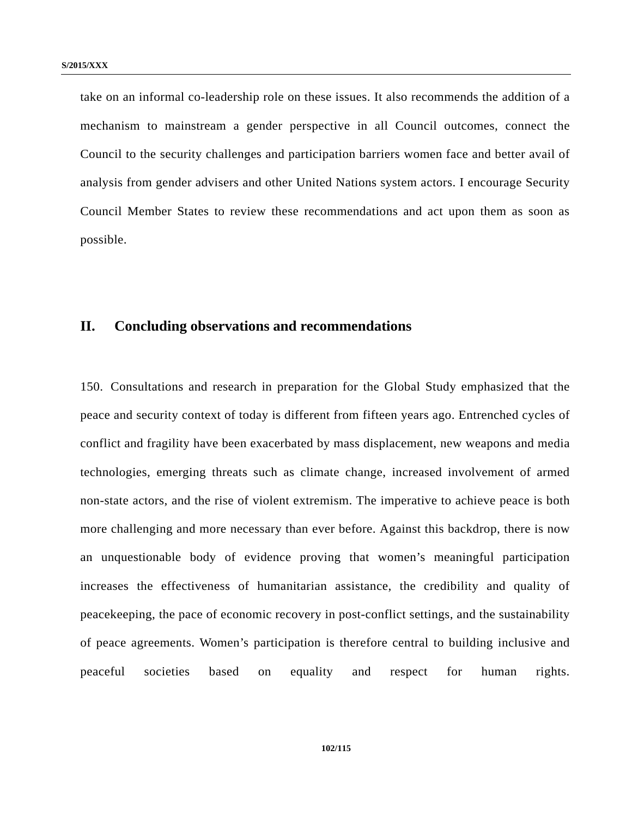take on an informal co-leadership role on these issues. It also recommends the addition of a mechanism to mainstream a gender perspective in all Council outcomes, connect the Council to the security challenges and participation barriers women face and better avail of analysis from gender advisers and other United Nations system actors. I encourage Security Council Member States to review these recommendations and act upon them as soon as possible.

## **II. Concluding observations and recommendations**

150. Consultations and research in preparation for the Global Study emphasized that the peace and security context of today is different from fifteen years ago. Entrenched cycles of conflict and fragility have been exacerbated by mass displacement, new weapons and media technologies, emerging threats such as climate change, increased involvement of armed non-state actors, and the rise of violent extremism. The imperative to achieve peace is both more challenging and more necessary than ever before. Against this backdrop, there is now an unquestionable body of evidence proving that women's meaningful participation increases the effectiveness of humanitarian assistance, the credibility and quality of peacekeeping, the pace of economic recovery in post-conflict settings, and the sustainability of peace agreements. Women's participation is therefore central to building inclusive and peaceful societies based on equality and respect for human rights.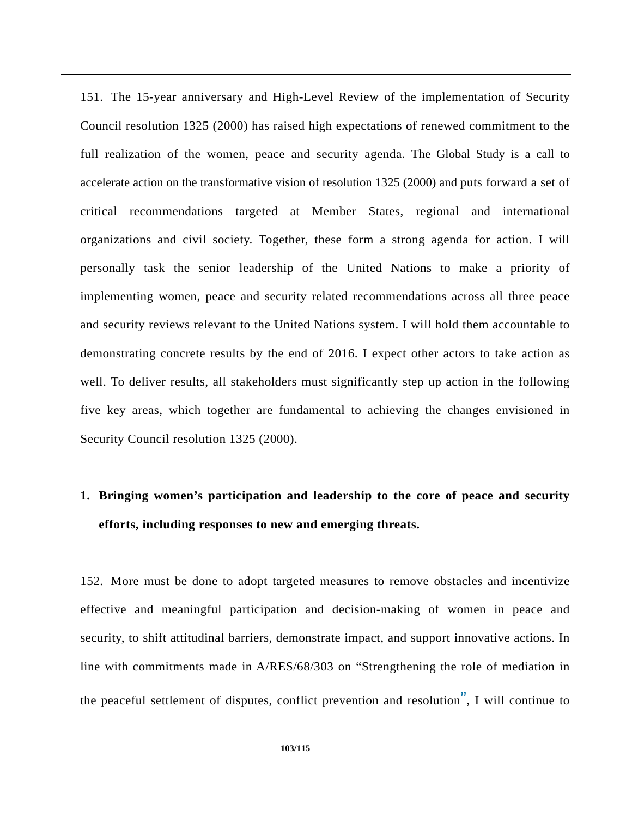151. The 15-year anniversary and High-Level Review of the implementation of Security Council resolution 1325 (2000) has raised high expectations of renewed commitment to the full realization of the women, peace and security agenda. The Global Study is a call to accelerate action on the transformative vision of resolution 1325 (2000) and puts forward a set of critical recommendations targeted at Member States, regional and international organizations and civil society. Together, these form a strong agenda for action. I will personally task the senior leadership of the United Nations to make a priority of implementing women, peace and security related recommendations across all three peace and security reviews relevant to the United Nations system. I will hold them accountable to demonstrating concrete results by the end of 2016. I expect other actors to take action as well. To deliver results, all stakeholders must significantly step up action in the following five key areas, which together are fundamental to achieving the changes envisioned in Security Council resolution 1325 (2000).

# **1. Bringing women's participation and leadership to the core of peace and security efforts, including responses to new and emerging threats.**

152. More must be done to adopt targeted measures to remove obstacles and incentivize effective and meaningful participation and decision-making of women in peace and security, to shift attitudinal barriers, demonstrate impact, and support innovative actions. In line with commitments made in A/RES/68/303 on "Strengthening the role of mediation in the peaceful settlement of disputes, conflict prevention and resolution", I will continue to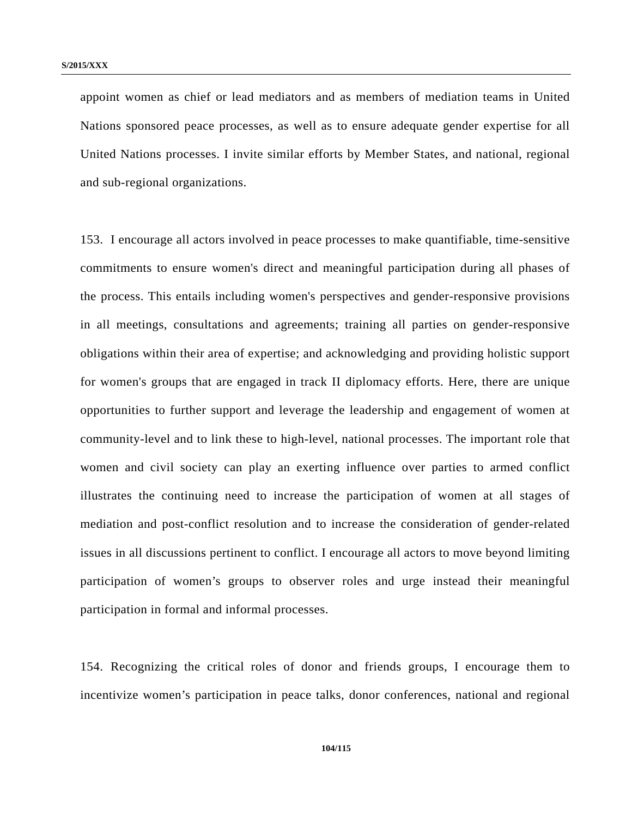appoint women as chief or lead mediators and as members of mediation teams in United Nations sponsored peace processes, as well as to ensure adequate gender expertise for all United Nations processes. I invite similar efforts by Member States, and national, regional and sub-regional organizations.

153. I encourage all actors involved in peace processes to make quantifiable, time-sensitive commitments to ensure women's direct and meaningful participation during all phases of the process. This entails including women's perspectives and gender-responsive provisions in all meetings, consultations and agreements; training all parties on gender-responsive obligations within their area of expertise; and acknowledging and providing holistic support for women's groups that are engaged in track II diplomacy efforts. Here, there are unique opportunities to further support and leverage the leadership and engagement of women at community-level and to link these to high-level, national processes. The important role that women and civil society can play an exerting influence over parties to armed conflict illustrates the continuing need to increase the participation of women at all stages of mediation and post-conflict resolution and to increase the consideration of gender-related issues in all discussions pertinent to conflict. I encourage all actors to move beyond limiting participation of women's groups to observer roles and urge instead their meaningful participation in formal and informal processes.

154. Recognizing the critical roles of donor and friends groups, I encourage them to incentivize women's participation in peace talks, donor conferences, national and regional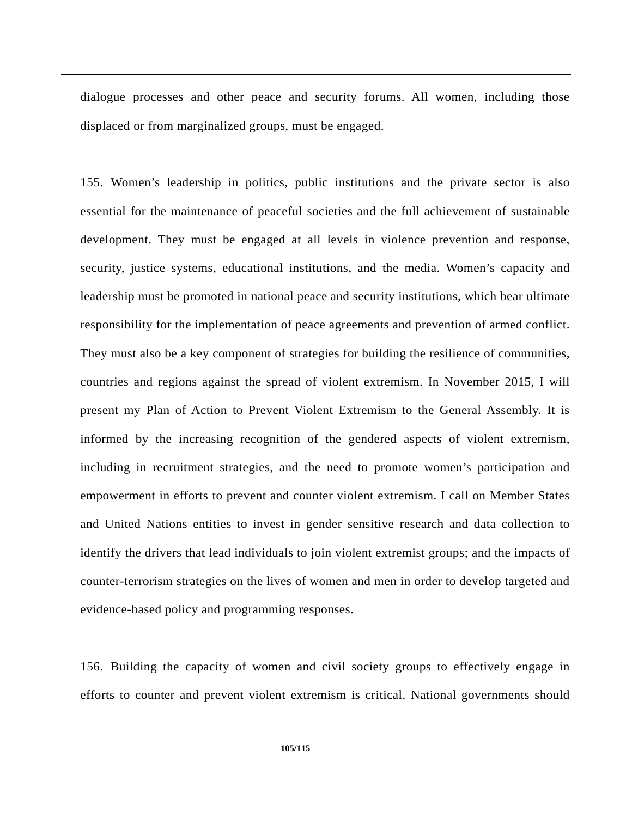dialogue processes and other peace and security forums. All women, including those displaced or from marginalized groups, must be engaged.

155. Women's leadership in politics, public institutions and the private sector is also essential for the maintenance of peaceful societies and the full achievement of sustainable development. They must be engaged at all levels in violence prevention and response, security, justice systems, educational institutions, and the media. Women's capacity and leadership must be promoted in national peace and security institutions, which bear ultimate responsibility for the implementation of peace agreements and prevention of armed conflict. They must also be a key component of strategies for building the resilience of communities, countries and regions against the spread of violent extremism. In November 2015, I will present my Plan of Action to Prevent Violent Extremism to the General Assembly. It is informed by the increasing recognition of the gendered aspects of violent extremism, including in recruitment strategies, and the need to promote women's participation and empowerment in efforts to prevent and counter violent extremism. I call on Member States and United Nations entities to invest in gender sensitive research and data collection to identify the drivers that lead individuals to join violent extremist groups; and the impacts of counter-terrorism strategies on the lives of women and men in order to develop targeted and evidence-based policy and programming responses.

156. Building the capacity of women and civil society groups to effectively engage in efforts to counter and prevent violent extremism is critical. National governments should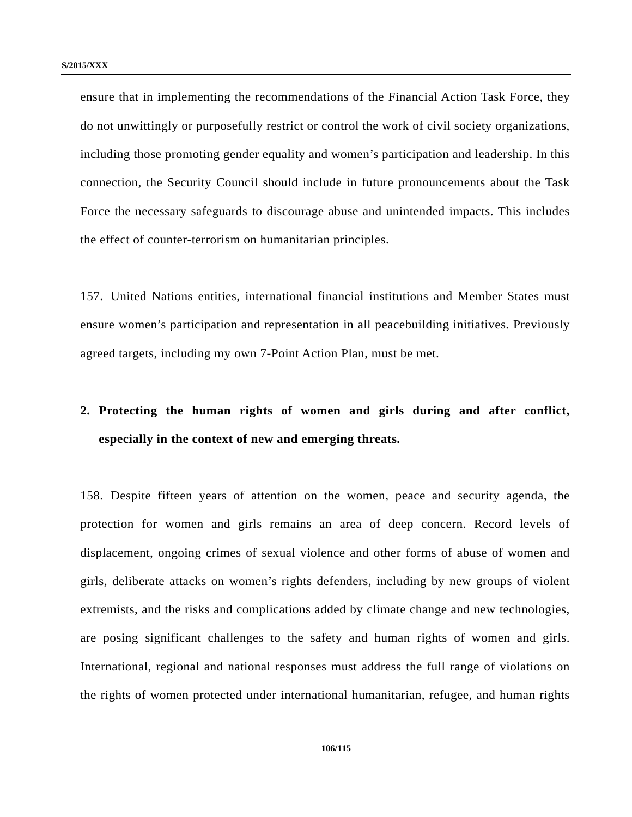ensure that in implementing the recommendations of the Financial Action Task Force, they do not unwittingly or purposefully restrict or control the work of civil society organizations, including those promoting gender equality and women's participation and leadership. In this connection, the Security Council should include in future pronouncements about the Task Force the necessary safeguards to discourage abuse and unintended impacts. This includes the effect of counter-terrorism on humanitarian principles.

157. United Nations entities, international financial institutions and Member States must ensure women's participation and representation in all peacebuilding initiatives. Previously agreed targets, including my own 7-Point Action Plan, must be met.

# **2. Protecting the human rights of women and girls during and after conflict, especially in the context of new and emerging threats.**

158. Despite fifteen years of attention on the women, peace and security agenda, the protection for women and girls remains an area of deep concern. Record levels of displacement, ongoing crimes of sexual violence and other forms of abuse of women and girls, deliberate attacks on women's rights defenders, including by new groups of violent extremists, and the risks and complications added by climate change and new technologies, are posing significant challenges to the safety and human rights of women and girls. International, regional and national responses must address the full range of violations on the rights of women protected under international humanitarian, refugee, and human rights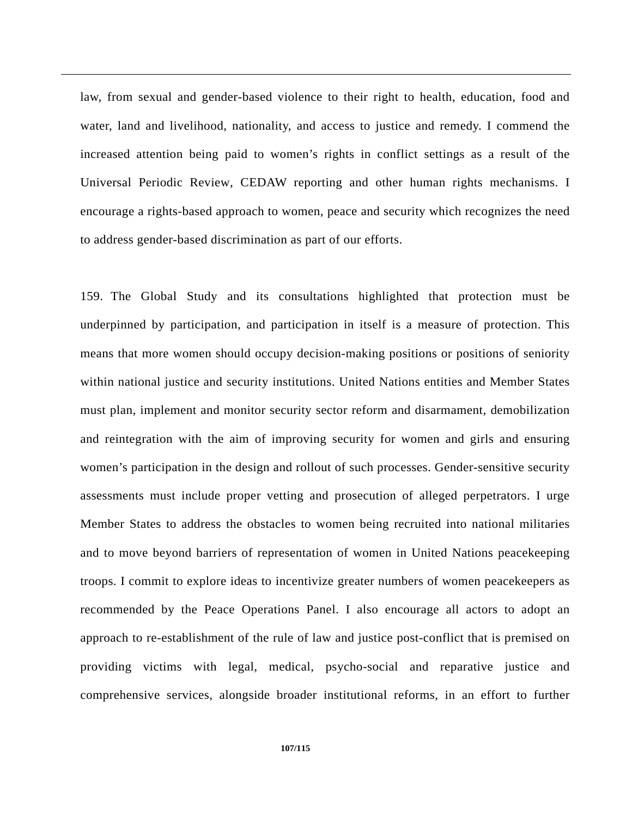law, from sexual and gender-based violence to their right to health, education, food and water, land and livelihood, nationality, and access to justice and remedy. I commend the increased attention being paid to women's rights in conflict settings as a result of the Universal Periodic Review, CEDAW reporting and other human rights mechanisms. I encourage a rights-based approach to women, peace and security which recognizes the need to address gender-based discrimination as part of our efforts.

159. The Global Study and its consultations highlighted that protection must be underpinned by participation, and participation in itself is a measure of protection. This means that more women should occupy decision-making positions or positions of seniority within national justice and security institutions. United Nations entities and Member States must plan, implement and monitor security sector reform and disarmament, demobilization and reintegration with the aim of improving security for women and girls and ensuring women's participation in the design and rollout of such processes. Gender-sensitive security assessments must include proper vetting and prosecution of alleged perpetrators. I urge Member States to address the obstacles to women being recruited into national militaries and to move beyond barriers of representation of women in United Nations peacekeeping troops. I commit to explore ideas to incentivize greater numbers of women peacekeepers as recommended by the Peace Operations Panel. I also encourage all actors to adopt an approach to re-establishment of the rule of law and justice post-conflict that is premised on providing victims with legal, medical, psycho-social and reparative justice and comprehensive services, alongside broader institutional reforms, in an effort to further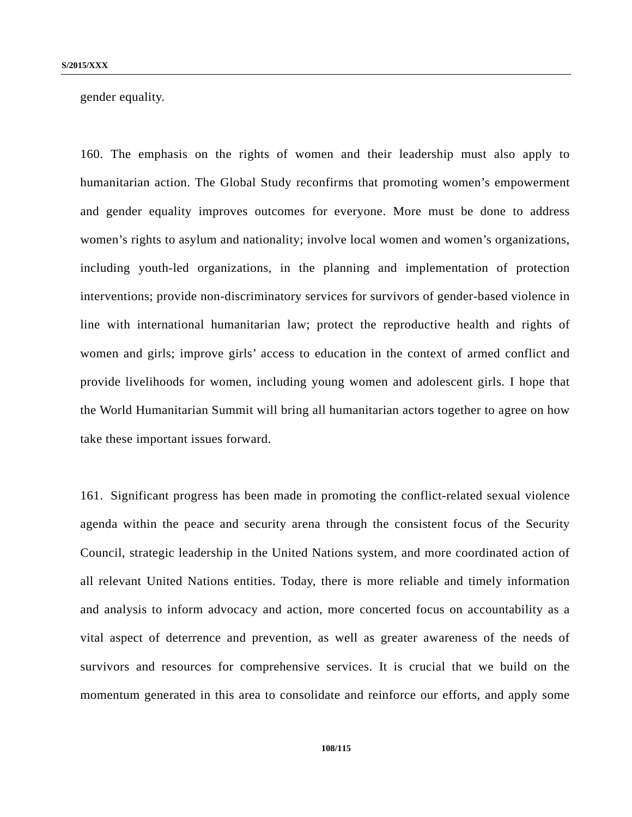gender equality.

160. The emphasis on the rights of women and their leadership must also apply to humanitarian action. The Global Study reconfirms that promoting women's empowerment and gender equality improves outcomes for everyone. More must be done to address women's rights to asylum and nationality; involve local women and women's organizations, including youth-led organizations, in the planning and implementation of protection interventions; provide non-discriminatory services for survivors of gender-based violence in line with international humanitarian law; protect the reproductive health and rights of women and girls; improve girls' access to education in the context of armed conflict and provide livelihoods for women, including young women and adolescent girls. I hope that the World Humanitarian Summit will bring all humanitarian actors together to agree on how take these important issues forward.

161. Significant progress has been made in promoting the conflict-related sexual violence agenda within the peace and security arena through the consistent focus of the Security Council, strategic leadership in the United Nations system, and more coordinated action of all relevant United Nations entities. Today, there is more reliable and timely information and analysis to inform advocacy and action, more concerted focus on accountability as a vital aspect of deterrence and prevention, as well as greater awareness of the needs of survivors and resources for comprehensive services. It is crucial that we build on the momentum generated in this area to consolidate and reinforce our efforts, and apply some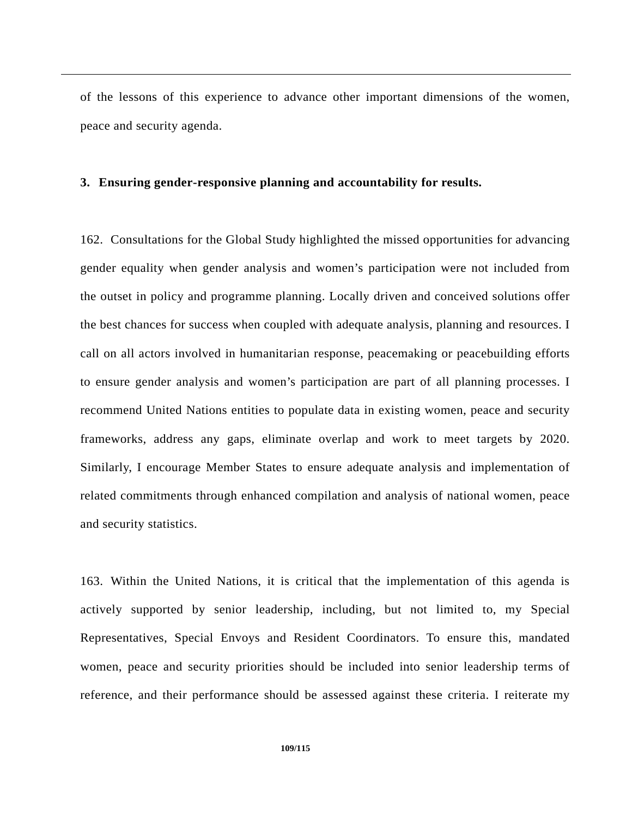of the lessons of this experience to advance other important dimensions of the women, peace and security agenda.

## **3. Ensuring gender-responsive planning and accountability for results.**

162. Consultations for the Global Study highlighted the missed opportunities for advancing gender equality when gender analysis and women's participation were not included from the outset in policy and programme planning. Locally driven and conceived solutions offer the best chances for success when coupled with adequate analysis, planning and resources. I call on all actors involved in humanitarian response, peacemaking or peacebuilding efforts to ensure gender analysis and women's participation are part of all planning processes. I recommend United Nations entities to populate data in existing women, peace and security frameworks, address any gaps, eliminate overlap and work to meet targets by 2020. Similarly, I encourage Member States to ensure adequate analysis and implementation of related commitments through enhanced compilation and analysis of national women, peace and security statistics.

163. Within the United Nations, it is critical that the implementation of this agenda is actively supported by senior leadership, including, but not limited to, my Special Representatives, Special Envoys and Resident Coordinators. To ensure this, mandated women, peace and security priorities should be included into senior leadership terms of reference, and their performance should be assessed against these criteria. I reiterate my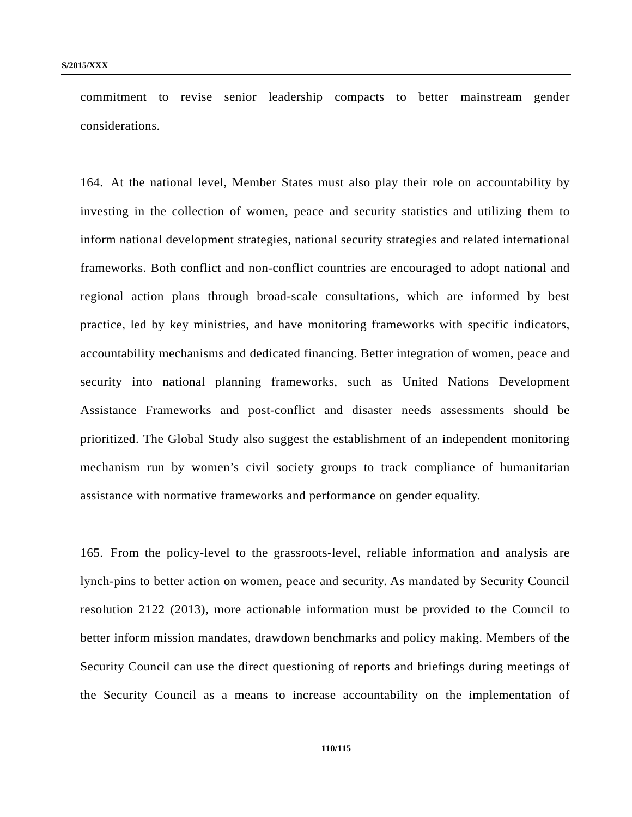commitment to revise senior leadership compacts to better mainstream gender considerations.

164. At the national level, Member States must also play their role on accountability by investing in the collection of women, peace and security statistics and utilizing them to inform national development strategies, national security strategies and related international frameworks. Both conflict and non-conflict countries are encouraged to adopt national and regional action plans through broad-scale consultations, which are informed by best practice, led by key ministries, and have monitoring frameworks with specific indicators, accountability mechanisms and dedicated financing. Better integration of women, peace and security into national planning frameworks, such as United Nations Development Assistance Frameworks and post-conflict and disaster needs assessments should be prioritized. The Global Study also suggest the establishment of an independent monitoring mechanism run by women's civil society groups to track compliance of humanitarian assistance with normative frameworks and performance on gender equality.

165. From the policy-level to the grassroots-level, reliable information and analysis are lynch-pins to better action on women, peace and security. As mandated by Security Council resolution 2122 (2013), more actionable information must be provided to the Council to better inform mission mandates, drawdown benchmarks and policy making. Members of the Security Council can use the direct questioning of reports and briefings during meetings of the Security Council as a means to increase accountability on the implementation of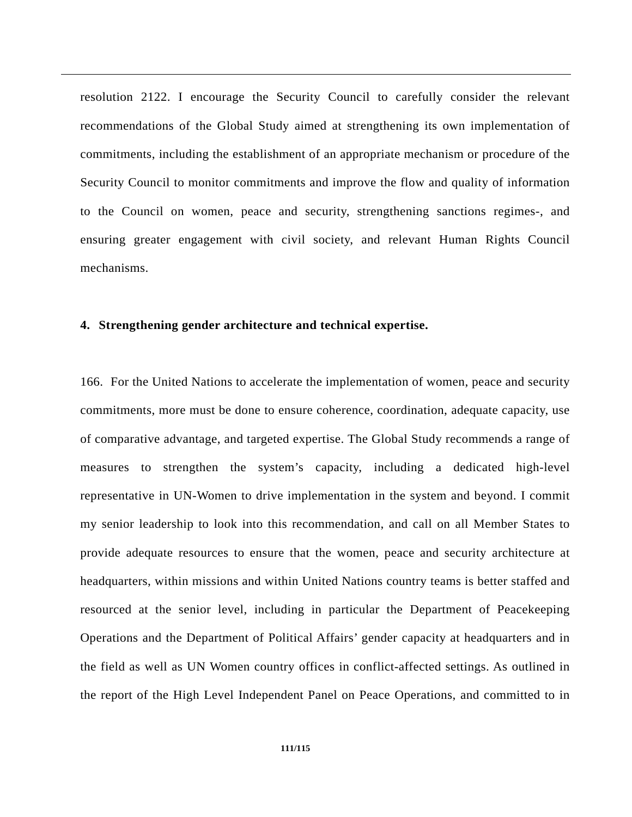resolution 2122. I encourage the Security Council to carefully consider the relevant recommendations of the Global Study aimed at strengthening its own implementation of commitments, including the establishment of an appropriate mechanism or procedure of the Security Council to monitor commitments and improve the flow and quality of information to the Council on women, peace and security, strengthening sanctions regimes-, and ensuring greater engagement with civil society, and relevant Human Rights Council mechanisms.

## **4. Strengthening gender architecture and technical expertise.**

166. For the United Nations to accelerate the implementation of women, peace and security commitments, more must be done to ensure coherence, coordination, adequate capacity, use of comparative advantage, and targeted expertise. The Global Study recommends a range of measures to strengthen the system's capacity, including a dedicated high-level representative in UN-Women to drive implementation in the system and beyond. I commit my senior leadership to look into this recommendation, and call on all Member States to provide adequate resources to ensure that the women, peace and security architecture at headquarters, within missions and within United Nations country teams is better staffed and resourced at the senior level, including in particular the Department of Peacekeeping Operations and the Department of Political Affairs' gender capacity at headquarters and in the field as well as UN Women country offices in conflict-affected settings. As outlined in the report of the High Level Independent Panel on Peace Operations, and committed to in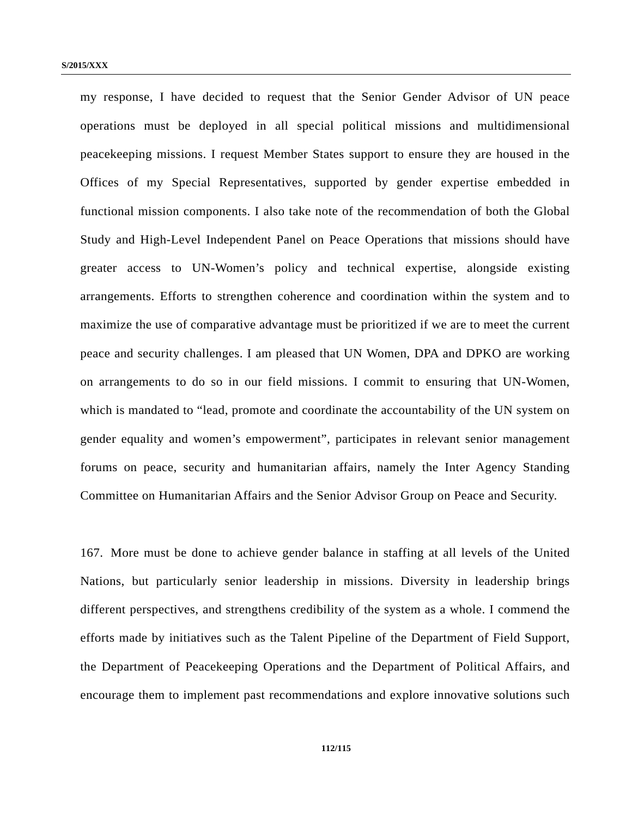my response, I have decided to request that the Senior Gender Advisor of UN peace operations must be deployed in all special political missions and multidimensional peacekeeping missions. I request Member States support to ensure they are housed in the Offices of my Special Representatives, supported by gender expertise embedded in functional mission components. I also take note of the recommendation of both the Global Study and High-Level Independent Panel on Peace Operations that missions should have greater access to UN-Women's policy and technical expertise, alongside existing arrangements. Efforts to strengthen coherence and coordination within the system and to maximize the use of comparative advantage must be prioritized if we are to meet the current peace and security challenges. I am pleased that UN Women, DPA and DPKO are working on arrangements to do so in our field missions. I commit to ensuring that UN-Women, which is mandated to "lead, promote and coordinate the accountability of the UN system on gender equality and women's empowerment", participates in relevant senior management forums on peace, security and humanitarian affairs, namely the Inter Agency Standing Committee on Humanitarian Affairs and the Senior Advisor Group on Peace and Security.

167. More must be done to achieve gender balance in staffing at all levels of the United Nations, but particularly senior leadership in missions. Diversity in leadership brings different perspectives, and strengthens credibility of the system as a whole. I commend the efforts made by initiatives such as the Talent Pipeline of the Department of Field Support, the Department of Peacekeeping Operations and the Department of Political Affairs, and encourage them to implement past recommendations and explore innovative solutions such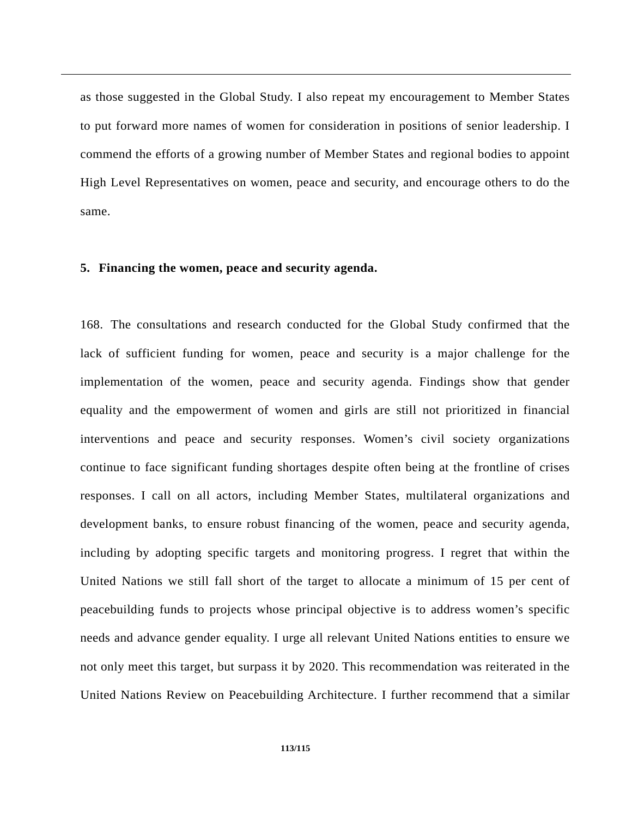as those suggested in the Global Study. I also repeat my encouragement to Member States to put forward more names of women for consideration in positions of senior leadership. I commend the efforts of a growing number of Member States and regional bodies to appoint High Level Representatives on women, peace and security, and encourage others to do the same.

## **5. Financing the women, peace and security agenda.**

168. The consultations and research conducted for the Global Study confirmed that the lack of sufficient funding for women, peace and security is a major challenge for the implementation of the women, peace and security agenda. Findings show that gender equality and the empowerment of women and girls are still not prioritized in financial interventions and peace and security responses. Women's civil society organizations continue to face significant funding shortages despite often being at the frontline of crises responses. I call on all actors, including Member States, multilateral organizations and development banks, to ensure robust financing of the women, peace and security agenda, including by adopting specific targets and monitoring progress. I regret that within the United Nations we still fall short of the target to allocate a minimum of 15 per cent of peacebuilding funds to projects whose principal objective is to address women's specific needs and advance gender equality. I urge all relevant United Nations entities to ensure we not only meet this target, but surpass it by 2020. This recommendation was reiterated in the United Nations Review on Peacebuilding Architecture. I further recommend that a similar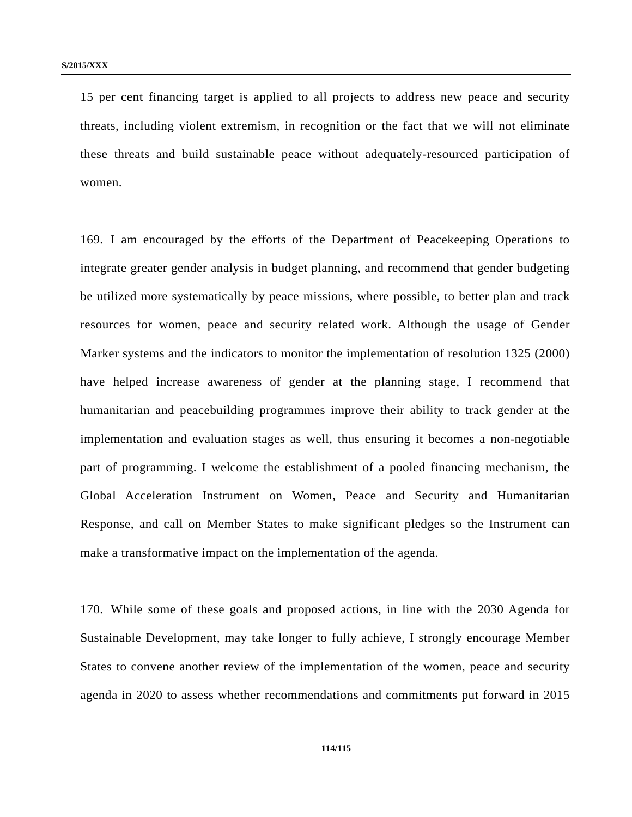15 per cent financing target is applied to all projects to address new peace and security threats, including violent extremism, in recognition or the fact that we will not eliminate these threats and build sustainable peace without adequately-resourced participation of women.

169. I am encouraged by the efforts of the Department of Peacekeeping Operations to integrate greater gender analysis in budget planning, and recommend that gender budgeting be utilized more systematically by peace missions, where possible, to better plan and track resources for women, peace and security related work. Although the usage of Gender Marker systems and the indicators to monitor the implementation of resolution 1325 (2000) have helped increase awareness of gender at the planning stage, I recommend that humanitarian and peacebuilding programmes improve their ability to track gender at the implementation and evaluation stages as well, thus ensuring it becomes a non-negotiable part of programming. I welcome the establishment of a pooled financing mechanism, the Global Acceleration Instrument on Women, Peace and Security and Humanitarian Response, and call on Member States to make significant pledges so the Instrument can make a transformative impact on the implementation of the agenda.

170. While some of these goals and proposed actions, in line with the 2030 Agenda for Sustainable Development, may take longer to fully achieve, I strongly encourage Member States to convene another review of the implementation of the women, peace and security agenda in 2020 to assess whether recommendations and commitments put forward in 2015